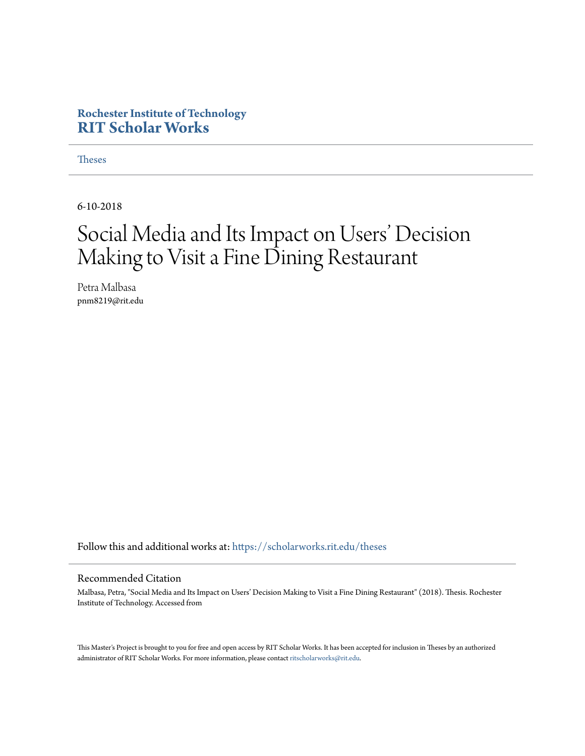#### **Rochester Institute of Technology [RIT Scholar Works](https://scholarworks.rit.edu?utm_source=scholarworks.rit.edu%2Ftheses%2F10026&utm_medium=PDF&utm_campaign=PDFCoverPages)**

**[Theses](https://scholarworks.rit.edu/theses?utm_source=scholarworks.rit.edu%2Ftheses%2F10026&utm_medium=PDF&utm_campaign=PDFCoverPages)** 

6-10-2018

## Social Media and Its Impact on Users' Decision Making to Visit a Fine Dining Restaurant

Petra Malbasa pnm8219@rit.edu

Follow this and additional works at: [https://scholarworks.rit.edu/theses](https://scholarworks.rit.edu/theses?utm_source=scholarworks.rit.edu%2Ftheses%2F10026&utm_medium=PDF&utm_campaign=PDFCoverPages)

#### Recommended Citation

Malbasa, Petra, "Social Media and Its Impact on Users' Decision Making to Visit a Fine Dining Restaurant" (2018). Thesis. Rochester Institute of Technology. Accessed from

This Master's Project is brought to you for free and open access by RIT Scholar Works. It has been accepted for inclusion in Theses by an authorized administrator of RIT Scholar Works. For more information, please contact [ritscholarworks@rit.edu.](mailto:ritscholarworks@rit.edu)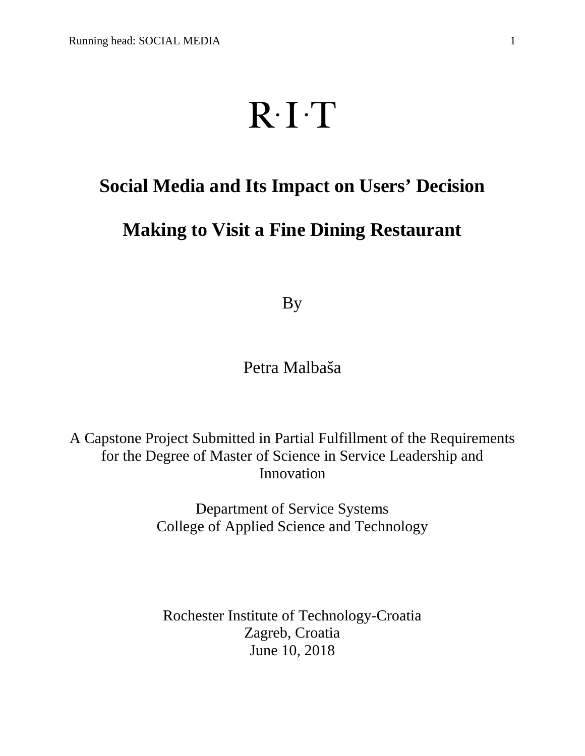# $R \cdot I \cdot T$

## **Social Media and Its Impact on Users' Decision**

### **Making to Visit a Fine Dining Restaurant**

By

Petra Malbaša

A Capstone Project Submitted in Partial Fulfillment of the Requirements for the Degree of Master of Science in Service Leadership and Innovation

> Department of Service Systems College of Applied Science and Technology

Rochester Institute of Technology-Croatia Zagreb, Croatia June 10, 2018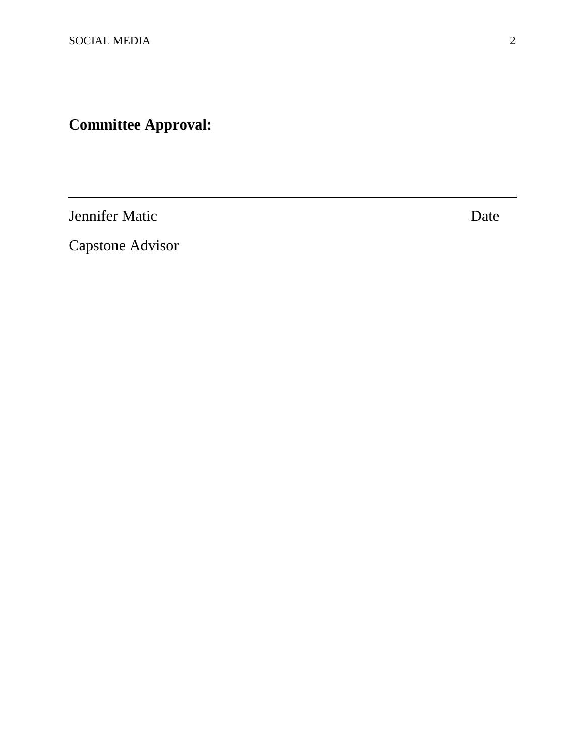## **Committee Approval:**

Jennifer Matic Date

Capstone Advisor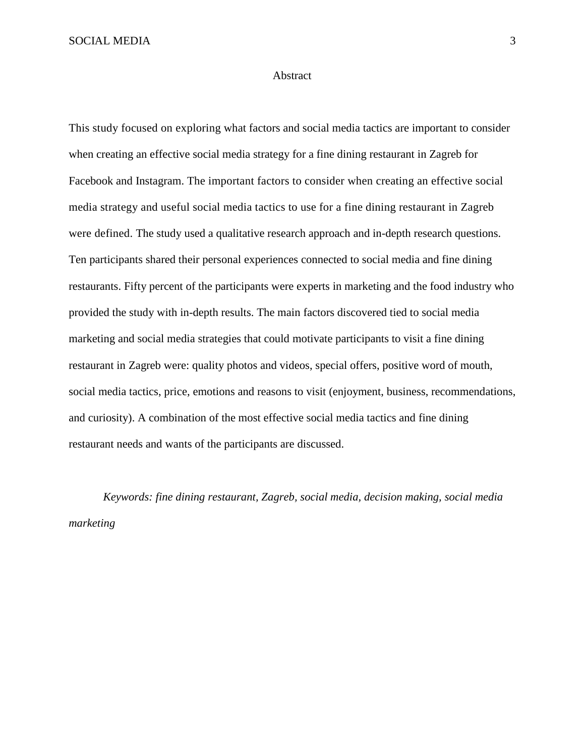SOCIAL MEDIA 3

#### Abstract

This study focused on exploring what factors and social media tactics are important to consider when creating an effective social media strategy for a fine dining restaurant in Zagreb for Facebook and Instagram. The important factors to consider when creating an effective social media strategy and useful social media tactics to use for a fine dining restaurant in Zagreb were defined. The study used a qualitative research approach and in-depth research questions. Ten participants shared their personal experiences connected to social media and fine dining restaurants. Fifty percent of the participants were experts in marketing and the food industry who provided the study with in-depth results. The main factors discovered tied to social media marketing and social media strategies that could motivate participants to visit a fine dining restaurant in Zagreb were: quality photos and videos, special offers, positive word of mouth, social media tactics, price, emotions and reasons to visit (enjoyment, business, recommendations, and curiosity). A combination of the most effective social media tactics and fine dining restaurant needs and wants of the participants are discussed.

*Keywords: fine dining restaurant, Zagreb, social media, decision making, social media marketing*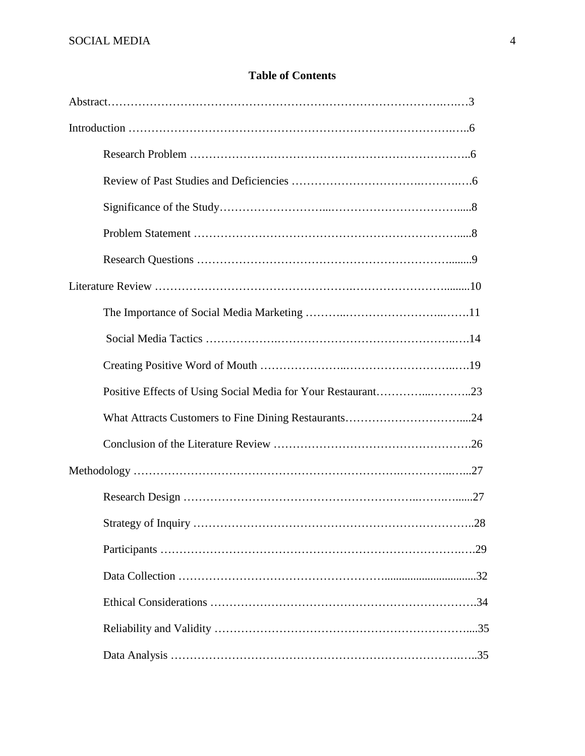#### **Table of Contents**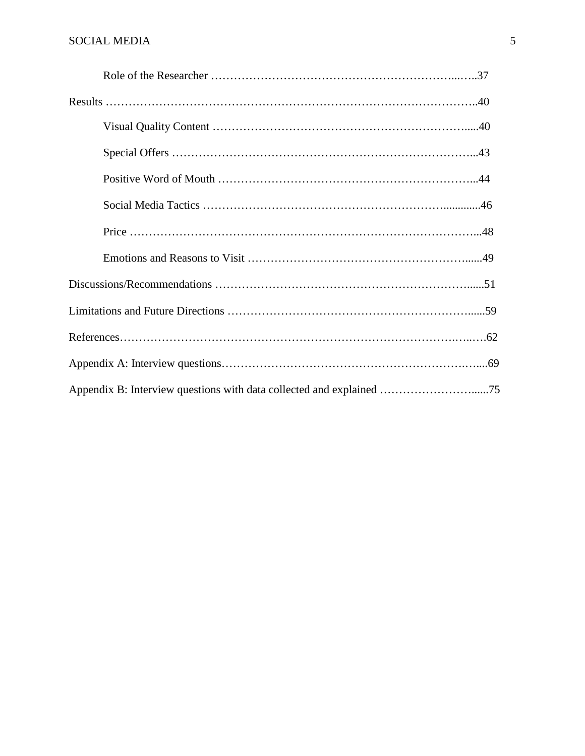| Appendix B: Interview questions with data collected and explained 75 |  |
|----------------------------------------------------------------------|--|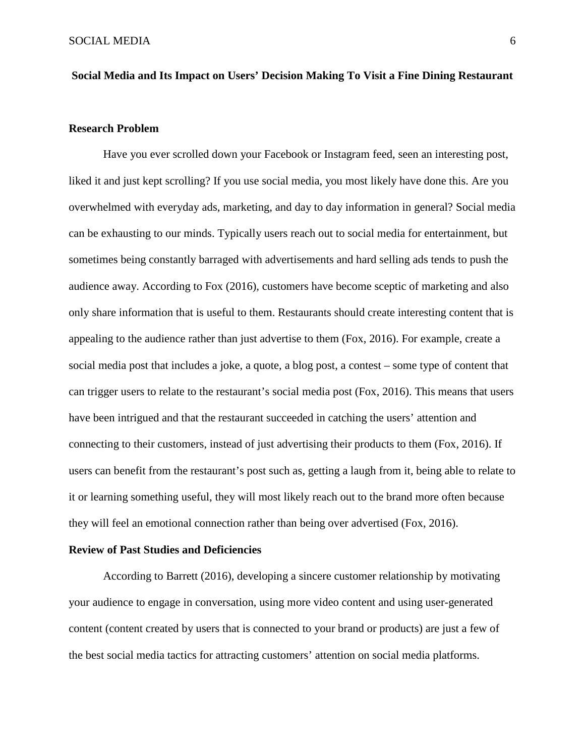#### **Social Media and Its Impact on Users' Decision Making To Visit a Fine Dining Restaurant**

#### **Research Problem**

Have you ever scrolled down your Facebook or Instagram feed, seen an interesting post, liked it and just kept scrolling? If you use social media, you most likely have done this. Are you overwhelmed with everyday ads, marketing, and day to day information in general? Social media can be exhausting to our minds. Typically users reach out to social media for entertainment, but sometimes being constantly barraged with advertisements and hard selling ads tends to push the audience away. According to Fox (2016), customers have become sceptic of marketing and also only share information that is useful to them. Restaurants should create interesting content that is appealing to the audience rather than just advertise to them (Fox, 2016). For example, create a social media post that includes a joke, a quote, a blog post, a contest – some type of content that can trigger users to relate to the restaurant's social media post (Fox, 2016). This means that users have been intrigued and that the restaurant succeeded in catching the users' attention and connecting to their customers, instead of just advertising their products to them (Fox, 2016). If users can benefit from the restaurant's post such as, getting a laugh from it, being able to relate to it or learning something useful, they will most likely reach out to the brand more often because they will feel an emotional connection rather than being over advertised (Fox, 2016).

#### **Review of Past Studies and Deficiencies**

According to Barrett (2016), developing a sincere customer relationship by motivating your audience to engage in conversation, using more video content and using user-generated content (content created by users that is connected to your brand or products) are just a few of the best social media tactics for attracting customers' attention on social media platforms.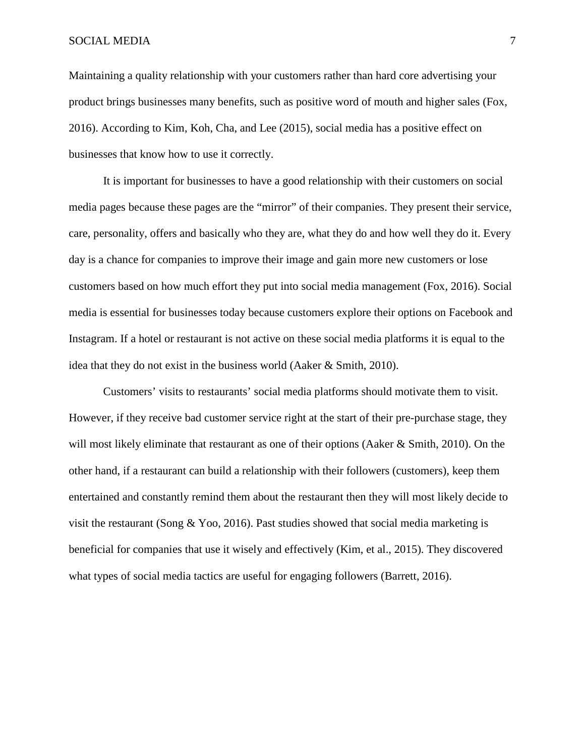#### SOCIAL MEDIA 7

Maintaining a quality relationship with your customers rather than hard core advertising your product brings businesses many benefits, such as positive word of mouth and higher sales (Fox, 2016). According to Kim, Koh, Cha, and Lee (2015), social media has a positive effect on businesses that know how to use it correctly.

It is important for businesses to have a good relationship with their customers on social media pages because these pages are the "mirror" of their companies. They present their service, care, personality, offers and basically who they are, what they do and how well they do it. Every day is a chance for companies to improve their image and gain more new customers or lose customers based on how much effort they put into social media management (Fox, 2016). Social media is essential for businesses today because customers explore their options on Facebook and Instagram. If a hotel or restaurant is not active on these social media platforms it is equal to the idea that they do not exist in the business world (Aaker & Smith, 2010).

Customers' visits to restaurants' social media platforms should motivate them to visit. However, if they receive bad customer service right at the start of their pre-purchase stage, they will most likely eliminate that restaurant as one of their options (Aaker & Smith, 2010). On the other hand, if a restaurant can build a relationship with their followers (customers), keep them entertained and constantly remind them about the restaurant then they will most likely decide to visit the restaurant (Song & Yoo, 2016). Past studies showed that social media marketing is beneficial for companies that use it wisely and effectively (Kim, et al., 2015). They discovered what types of social media tactics are useful for engaging followers (Barrett, 2016).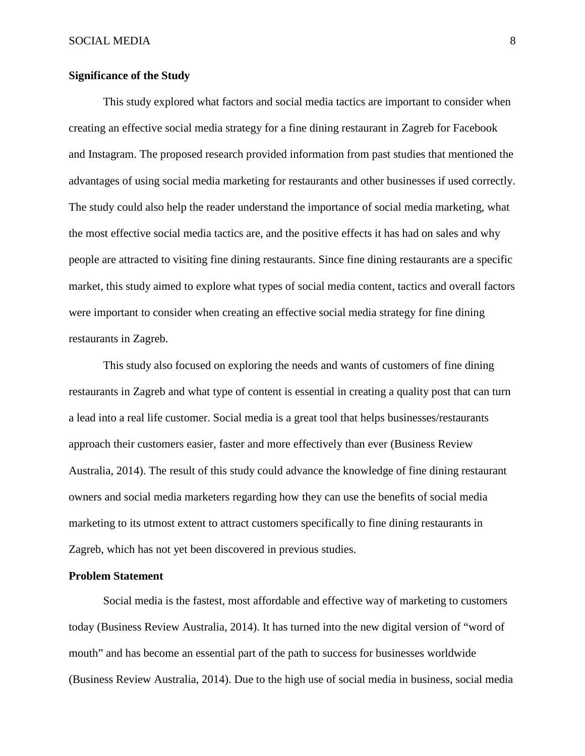#### **Significance of the Study**

This study explored what factors and social media tactics are important to consider when creating an effective social media strategy for a fine dining restaurant in Zagreb for Facebook and Instagram. The proposed research provided information from past studies that mentioned the advantages of using social media marketing for restaurants and other businesses if used correctly. The study could also help the reader understand the importance of social media marketing, what the most effective social media tactics are, and the positive effects it has had on sales and why people are attracted to visiting fine dining restaurants. Since fine dining restaurants are a specific market, this study aimed to explore what types of social media content, tactics and overall factors were important to consider when creating an effective social media strategy for fine dining restaurants in Zagreb.

This study also focused on exploring the needs and wants of customers of fine dining restaurants in Zagreb and what type of content is essential in creating a quality post that can turn a lead into a real life customer. Social media is a great tool that helps businesses/restaurants approach their customers easier, faster and more effectively than ever (Business Review Australia, 2014). The result of this study could advance the knowledge of fine dining restaurant owners and social media marketers regarding how they can use the benefits of social media marketing to its utmost extent to attract customers specifically to fine dining restaurants in Zagreb, which has not yet been discovered in previous studies.

#### **Problem Statement**

Social media is the fastest, most affordable and effective way of marketing to customers today (Business Review Australia, 2014). It has turned into the new digital version of "word of mouth" and has become an essential part of the path to success for businesses worldwide (Business Review Australia, 2014). Due to the high use of social media in business, social media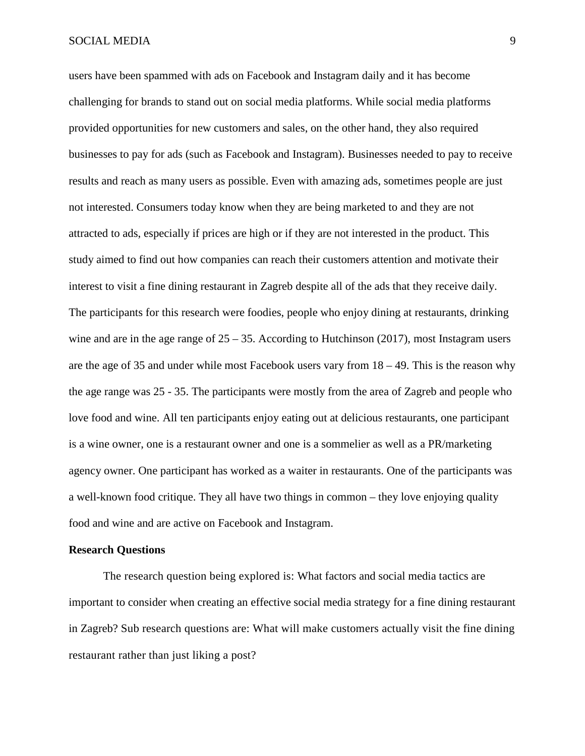#### SOCIAL MEDIA 9

users have been spammed with ads on Facebook and Instagram daily and it has become challenging for brands to stand out on social media platforms. While social media platforms provided opportunities for new customers and sales, on the other hand, they also required businesses to pay for ads (such as Facebook and Instagram). Businesses needed to pay to receive results and reach as many users as possible. Even with amazing ads, sometimes people are just not interested. Consumers today know when they are being marketed to and they are not attracted to ads, especially if prices are high or if they are not interested in the product. This study aimed to find out how companies can reach their customers attention and motivate their interest to visit a fine dining restaurant in Zagreb despite all of the ads that they receive daily. The participants for this research were foodies, people who enjoy dining at restaurants, drinking wine and are in the age range of  $25 - 35$ . According to Hutchinson (2017), most Instagram users are the age of 35 and under while most Facebook users vary from 18 – 49. This is the reason why the age range was 25 - 35. The participants were mostly from the area of Zagreb and people who love food and wine. All ten participants enjoy eating out at delicious restaurants, one participant is a wine owner, one is a restaurant owner and one is a sommelier as well as a PR/marketing agency owner. One participant has worked as a waiter in restaurants. One of the participants was a well-known food critique. They all have two things in common – they love enjoying quality food and wine and are active on Facebook and Instagram.

#### **Research Questions**

The research question being explored is: What factors and social media tactics are important to consider when creating an effective social media strategy for a fine dining restaurant in Zagreb? Sub research questions are: What will make customers actually visit the fine dining restaurant rather than just liking a post?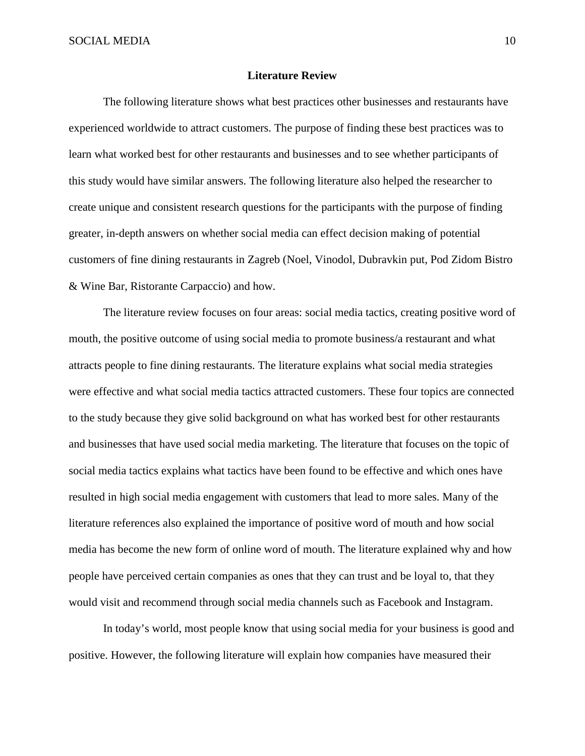#### **Literature Review**

The following literature shows what best practices other businesses and restaurants have experienced worldwide to attract customers. The purpose of finding these best practices was to learn what worked best for other restaurants and businesses and to see whether participants of this study would have similar answers. The following literature also helped the researcher to create unique and consistent research questions for the participants with the purpose of finding greater, in-depth answers on whether social media can effect decision making of potential customers of fine dining restaurants in Zagreb (Noel, Vinodol, Dubravkin put, Pod Zidom Bistro & Wine Bar, Ristorante Carpaccio) and how.

The literature review focuses on four areas: social media tactics, creating positive word of mouth, the positive outcome of using social media to promote business/a restaurant and what attracts people to fine dining restaurants. The literature explains what social media strategies were effective and what social media tactics attracted customers. These four topics are connected to the study because they give solid background on what has worked best for other restaurants and businesses that have used social media marketing. The literature that focuses on the topic of social media tactics explains what tactics have been found to be effective and which ones have resulted in high social media engagement with customers that lead to more sales. Many of the literature references also explained the importance of positive word of mouth and how social media has become the new form of online word of mouth. The literature explained why and how people have perceived certain companies as ones that they can trust and be loyal to, that they would visit and recommend through social media channels such as Facebook and Instagram.

In today's world, most people know that using social media for your business is good and positive. However, the following literature will explain how companies have measured their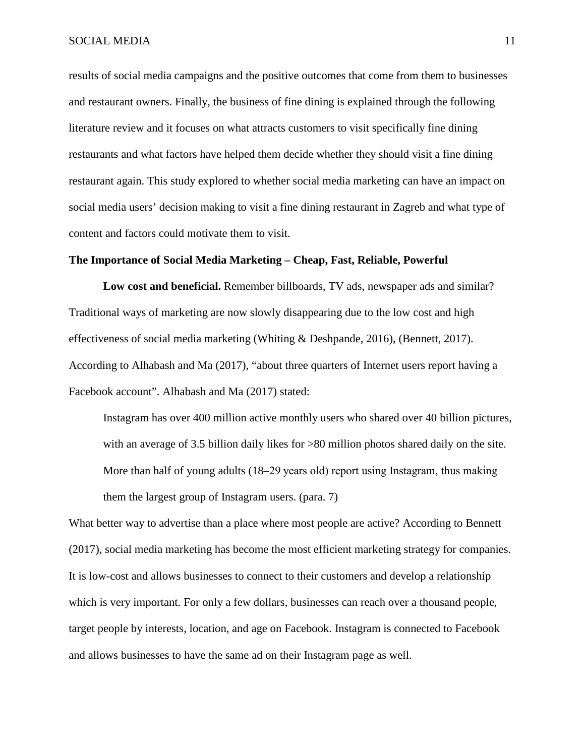results of social media campaigns and the positive outcomes that come from them to businesses and restaurant owners. Finally, the business of fine dining is explained through the following literature review and it focuses on what attracts customers to visit specifically fine dining restaurants and what factors have helped them decide whether they should visit a fine dining restaurant again. This study explored to whether social media marketing can have an impact on social media users' decision making to visit a fine dining restaurant in Zagreb and what type of content and factors could motivate them to visit.

#### **The Importance of Social Media Marketing – Cheap, Fast, Reliable, Powerful**

**Low cost and beneficial.** Remember billboards, TV ads, newspaper ads and similar? Traditional ways of marketing are now slowly disappearing due to the low cost and high effectiveness of social media marketing (Whiting & Deshpande, 2016), (Bennett, 2017). According to Alhabash and Ma (2017), "about three quarters of Internet users report having a Facebook account". Alhabash and Ma (2017) stated:

Instagram has over 400 million active monthly users who shared over 40 billion pictures, with an average of 3.5 billion daily likes for >80 million photos shared daily on the site. More than half of young adults (18–29 years old) report using Instagram, thus making them the largest group of Instagram users. (para. 7)

What better way to advertise than a place where most people are active? According to Bennett (2017), social media marketing has become the most efficient marketing strategy for companies. It is low-cost and allows businesses to connect to their customers and develop a relationship which is very important. For only a few dollars, businesses can reach over a thousand people, target people by interests, location, and age on Facebook. Instagram is connected to Facebook and allows businesses to have the same ad on their Instagram page as well.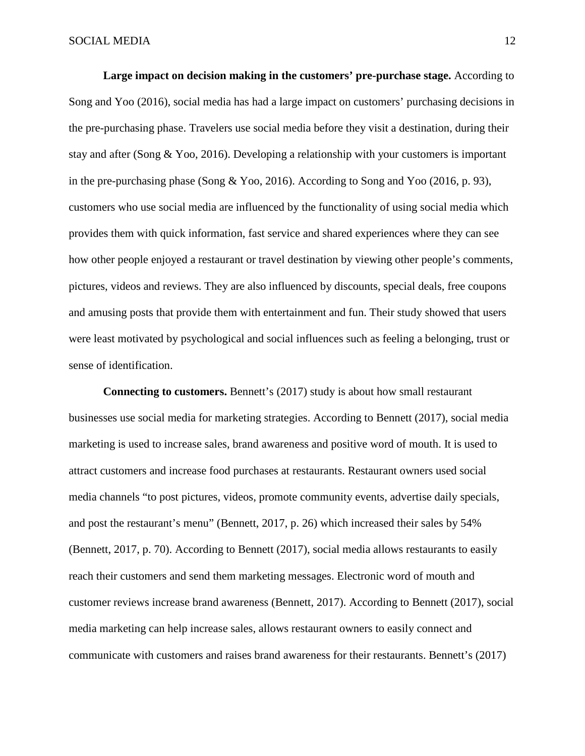**Large impact on decision making in the customers' pre-purchase stage.** According to Song and Yoo (2016), social media has had a large impact on customers' purchasing decisions in the pre-purchasing phase. Travelers use social media before they visit a destination, during their stay and after (Song & Yoo, 2016). Developing a relationship with your customers is important in the pre-purchasing phase (Song & Yoo, 2016). According to Song and Yoo (2016, p. 93), customers who use social media are influenced by the functionality of using social media which provides them with quick information, fast service and shared experiences where they can see how other people enjoyed a restaurant or travel destination by viewing other people's comments, pictures, videos and reviews. They are also influenced by discounts, special deals, free coupons and amusing posts that provide them with entertainment and fun. Their study showed that users were least motivated by psychological and social influences such as feeling a belonging, trust or sense of identification.

**Connecting to customers.** Bennett's (2017) study is about how small restaurant businesses use social media for marketing strategies. According to Bennett (2017), social media marketing is used to increase sales, brand awareness and positive word of mouth. It is used to attract customers and increase food purchases at restaurants. Restaurant owners used social media channels "to post pictures, videos, promote community events, advertise daily specials, and post the restaurant's menu" (Bennett, 2017, p. 26) which increased their sales by 54% (Bennett, 2017, p. 70). According to Bennett (2017), social media allows restaurants to easily reach their customers and send them marketing messages. Electronic word of mouth and customer reviews increase brand awareness (Bennett, 2017). According to Bennett (2017), social media marketing can help increase sales, allows restaurant owners to easily connect and communicate with customers and raises brand awareness for their restaurants. Bennett's (2017)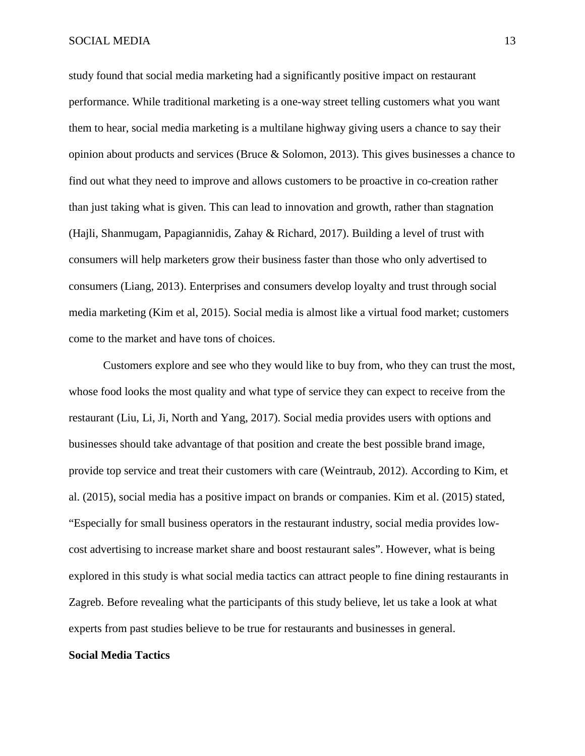#### SOCIAL MEDIA 13

study found that social media marketing had a significantly positive impact on restaurant performance. While traditional marketing is a one-way street telling customers what you want them to hear, social media marketing is a multilane highway giving users a chance to say their opinion about products and services (Bruce  $\&$  Solomon, 2013). This gives businesses a chance to find out what they need to improve and allows customers to be proactive in co-creation rather than just taking what is given. This can lead to innovation and growth, rather than stagnation (Hajli, Shanmugam, Papagiannidis, Zahay & Richard, 2017). Building a level of trust with consumers will help marketers grow their business faster than those who only advertised to consumers (Liang, 2013). Enterprises and consumers develop loyalty and trust through social media marketing (Kim et al, 2015). Social media is almost like a virtual food market; customers come to the market and have tons of choices.

Customers explore and see who they would like to buy from, who they can trust the most, whose food looks the most quality and what type of service they can expect to receive from the restaurant (Liu, Li, Ji, North and Yang, 2017). Social media provides users with options and businesses should take advantage of that position and create the best possible brand image, provide top service and treat their customers with care (Weintraub, 2012). According to Kim, et al. (2015), social media has a positive impact on brands or companies. Kim et al. (2015) stated, "Especially for small business operators in the restaurant industry, social media provides lowcost advertising to increase market share and boost restaurant sales". However, what is being explored in this study is what social media tactics can attract people to fine dining restaurants in Zagreb. Before revealing what the participants of this study believe, let us take a look at what experts from past studies believe to be true for restaurants and businesses in general.

#### **Social Media Tactics**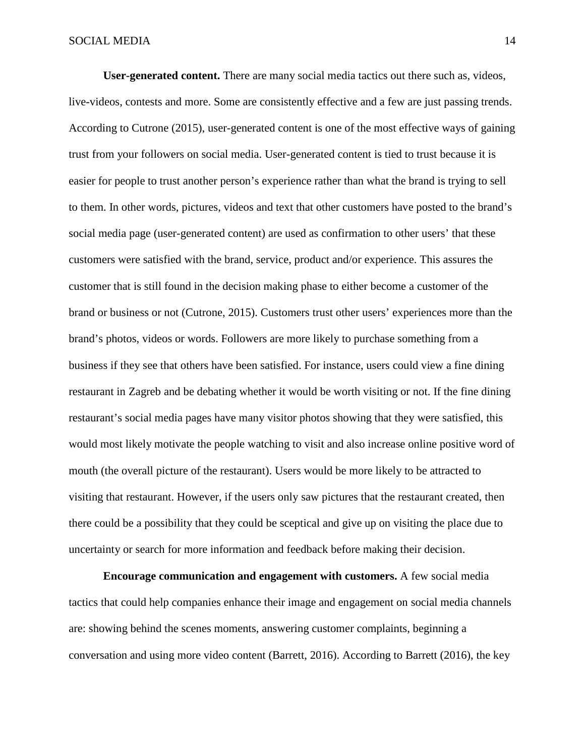**User-generated content.** There are many social media tactics out there such as, videos, live-videos, contests and more. Some are consistently effective and a few are just passing trends. According to Cutrone (2015), user-generated content is one of the most effective ways of gaining trust from your followers on social media. User-generated content is tied to trust because it is easier for people to trust another person's experience rather than what the brand is trying to sell to them. In other words, pictures, videos and text that other customers have posted to the brand's social media page (user-generated content) are used as confirmation to other users' that these customers were satisfied with the brand, service, product and/or experience. This assures the customer that is still found in the decision making phase to either become a customer of the brand or business or not (Cutrone, 2015). Customers trust other users' experiences more than the brand's photos, videos or words. Followers are more likely to purchase something from a business if they see that others have been satisfied. For instance, users could view a fine dining restaurant in Zagreb and be debating whether it would be worth visiting or not. If the fine dining restaurant's social media pages have many visitor photos showing that they were satisfied, this would most likely motivate the people watching to visit and also increase online positive word of mouth (the overall picture of the restaurant). Users would be more likely to be attracted to visiting that restaurant. However, if the users only saw pictures that the restaurant created, then there could be a possibility that they could be sceptical and give up on visiting the place due to uncertainty or search for more information and feedback before making their decision.

**Encourage communication and engagement with customers.** A few social media tactics that could help companies enhance their image and engagement on social media channels are: showing behind the scenes moments, answering customer complaints, beginning a conversation and using more video content (Barrett, 2016). According to Barrett (2016), the key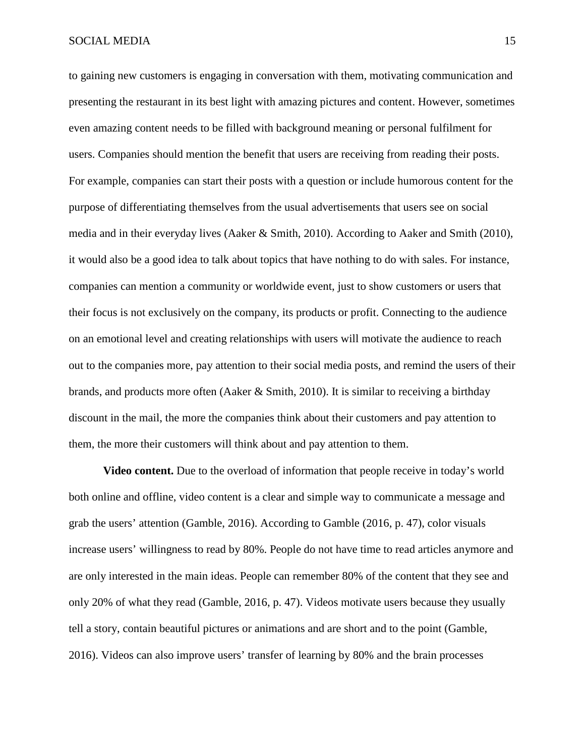#### SOCIAL MEDIA 15

to gaining new customers is engaging in conversation with them, motivating communication and presenting the restaurant in its best light with amazing pictures and content. However, sometimes even amazing content needs to be filled with background meaning or personal fulfilment for users. Companies should mention the benefit that users are receiving from reading their posts. For example, companies can start their posts with a question or include humorous content for the purpose of differentiating themselves from the usual advertisements that users see on social media and in their everyday lives (Aaker & Smith, 2010). According to Aaker and Smith (2010), it would also be a good idea to talk about topics that have nothing to do with sales. For instance, companies can mention a community or worldwide event, just to show customers or users that their focus is not exclusively on the company, its products or profit. Connecting to the audience on an emotional level and creating relationships with users will motivate the audience to reach out to the companies more, pay attention to their social media posts, and remind the users of their brands, and products more often (Aaker & Smith, 2010). It is similar to receiving a birthday discount in the mail, the more the companies think about their customers and pay attention to them, the more their customers will think about and pay attention to them.

**Video content.** Due to the overload of information that people receive in today's world both online and offline, video content is a clear and simple way to communicate a message and grab the users' attention (Gamble, 2016). According to Gamble (2016, p. 47), color visuals increase users' willingness to read by 80%. People do not have time to read articles anymore and are only interested in the main ideas. People can remember 80% of the content that they see and only 20% of what they read (Gamble, 2016, p. 47). Videos motivate users because they usually tell a story, contain beautiful pictures or animations and are short and to the point (Gamble, 2016). Videos can also improve users' transfer of learning by 80% and the brain processes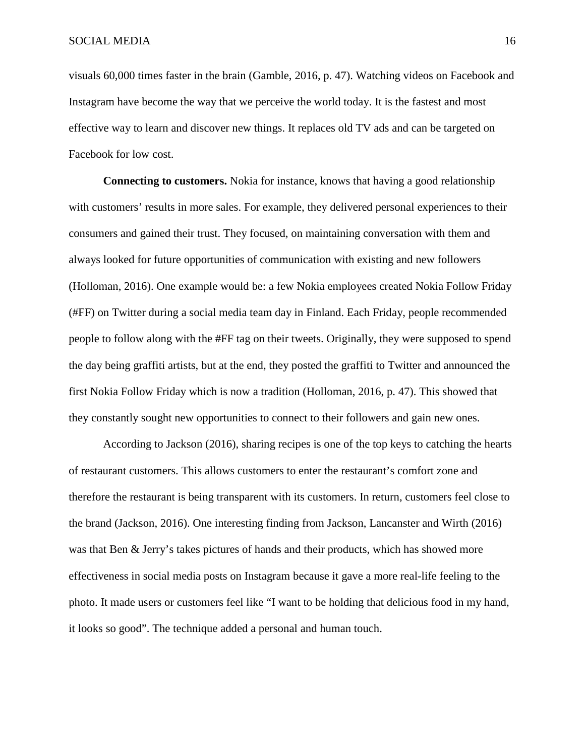visuals 60,000 times faster in the brain (Gamble, 2016, p. 47). Watching videos on Facebook and Instagram have become the way that we perceive the world today. It is the fastest and most effective way to learn and discover new things. It replaces old TV ads and can be targeted on Facebook for low cost.

**Connecting to customers.** Nokia for instance, knows that having a good relationship with customers' results in more sales. For example, they delivered personal experiences to their consumers and gained their trust. They focused, on maintaining conversation with them and always looked for future opportunities of communication with existing and new followers (Holloman, 2016). One example would be: a few Nokia employees created Nokia Follow Friday (#FF) on Twitter during a social media team day in Finland. Each Friday, people recommended people to follow along with the #FF tag on their tweets. Originally, they were supposed to spend the day being graffiti artists, but at the end, they posted the graffiti to Twitter and announced the first Nokia Follow Friday which is now a tradition (Holloman, 2016, p. 47). This showed that they constantly sought new opportunities to connect to their followers and gain new ones.

According to Jackson (2016), sharing recipes is one of the top keys to catching the hearts of restaurant customers. This allows customers to enter the restaurant's comfort zone and therefore the restaurant is being transparent with its customers. In return, customers feel close to the brand (Jackson, 2016). One interesting finding from Jackson, Lancanster and Wirth (2016) was that Ben & Jerry's takes pictures of hands and their products, which has showed more effectiveness in social media posts on Instagram because it gave a more real-life feeling to the photo. It made users or customers feel like "I want to be holding that delicious food in my hand, it looks so good". The technique added a personal and human touch.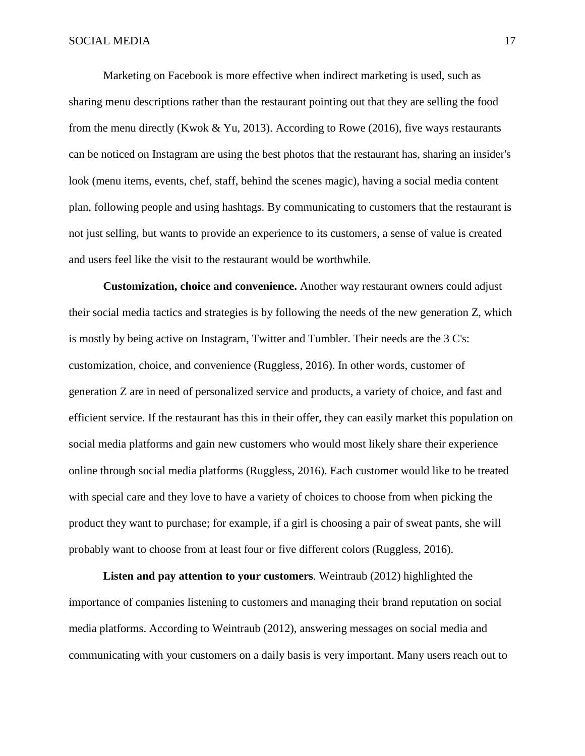Marketing on Facebook is more effective when indirect marketing is used, such as sharing menu descriptions rather than the restaurant pointing out that they are selling the food from the menu directly (Kwok & Yu, 2013). According to Rowe (2016), five ways restaurants can be noticed on Instagram are using the best photos that the restaurant has, sharing an insider's look (menu items, events, chef, staff, behind the scenes magic), having a social media content plan, following people and using hashtags. By communicating to customers that the restaurant is not just selling, but wants to provide an experience to its customers, a sense of value is created and users feel like the visit to the restaurant would be worthwhile.

**Customization, choice and convenience.** Another way restaurant owners could adjust their social media tactics and strategies is by following the needs of the new generation Z, which is mostly by being active on Instagram, Twitter and Tumbler. Their needs are the 3 C's: customization, choice, and convenience (Ruggless, 2016). In other words, customer of generation Z are in need of personalized service and products, a variety of choice, and fast and efficient service. If the restaurant has this in their offer, they can easily market this population on social media platforms and gain new customers who would most likely share their experience online through social media platforms (Ruggless, 2016). Each customer would like to be treated with special care and they love to have a variety of choices to choose from when picking the product they want to purchase; for example, if a girl is choosing a pair of sweat pants, she will probably want to choose from at least four or five different colors (Ruggless, 2016).

**Listen and pay attention to your customers**. Weintraub (2012) highlighted the importance of companies listening to customers and managing their brand reputation on social media platforms. According to Weintraub (2012), answering messages on social media and communicating with your customers on a daily basis is very important. Many users reach out to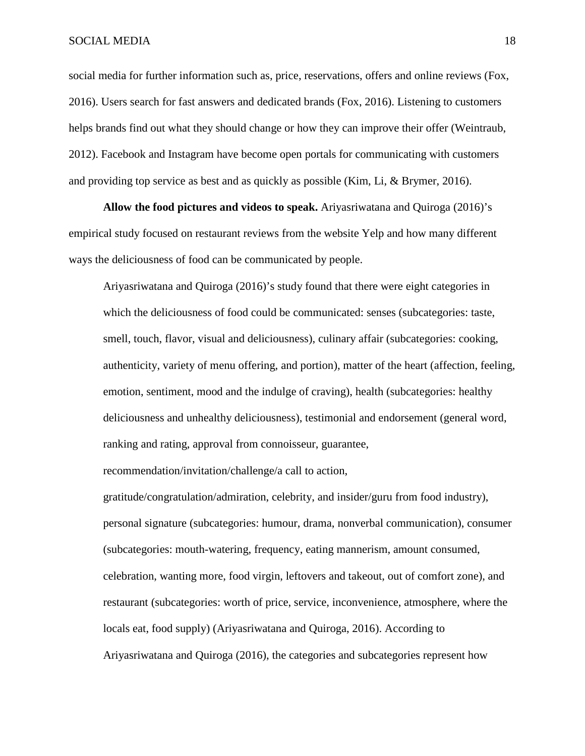social media for further information such as, price, reservations, offers and online reviews (Fox, 2016). Users search for fast answers and dedicated brands (Fox, 2016). Listening to customers helps brands find out what they should change or how they can improve their offer (Weintraub, 2012). Facebook and Instagram have become open portals for communicating with customers and providing top service as best and as quickly as possible (Kim, Li, & Brymer, 2016).

**Allow the food pictures and videos to speak.** Ariyasriwatana and Quiroga (2016)'s empirical study focused on restaurant reviews from the website Yelp and how many different ways the deliciousness of food can be communicated by people.

Ariyasriwatana and Quiroga (2016)'s study found that there were eight categories in which the deliciousness of food could be communicated: senses (subcategories: taste, smell, touch, flavor, visual and deliciousness), culinary affair (subcategories: cooking, authenticity, variety of menu offering, and portion), matter of the heart (affection, feeling, emotion, sentiment, mood and the indulge of craving), health (subcategories: healthy deliciousness and unhealthy deliciousness), testimonial and endorsement (general word, ranking and rating, approval from connoisseur, guarantee,

recommendation/invitation/challenge/a call to action,

gratitude/congratulation/admiration, celebrity, and insider/guru from food industry), personal signature (subcategories: humour, drama, nonverbal communication), consumer (subcategories: mouth-watering, frequency, eating mannerism, amount consumed, celebration, wanting more, food virgin, leftovers and takeout, out of comfort zone), and restaurant (subcategories: worth of price, service, inconvenience, atmosphere, where the locals eat, food supply) (Ariyasriwatana and Quiroga, 2016). According to Ariyasriwatana and Quiroga (2016), the categories and subcategories represent how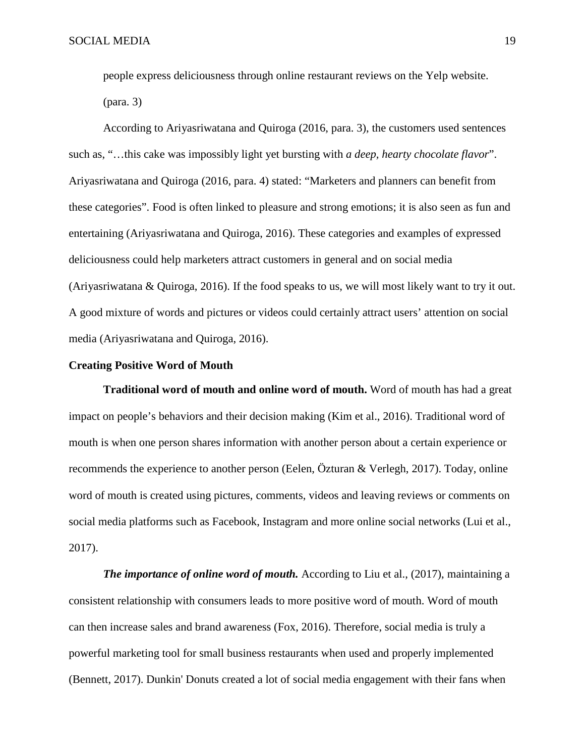people express deliciousness through online restaurant reviews on the Yelp website. (para. 3)

According to Ariyasriwatana and Quiroga (2016, para. 3), the customers used sentences such as, "…this cake was impossibly light yet bursting with *a deep, hearty chocolate flavor*". Ariyasriwatana and Quiroga (2016, para. 4) stated: "Marketers and planners can benefit from these categories". Food is often linked to pleasure and strong emotions; it is also seen as fun and entertaining (Ariyasriwatana and Quiroga, 2016). These categories and examples of expressed deliciousness could help marketers attract customers in general and on social media (Ariyasriwatana & Quiroga, 2016). If the food speaks to us, we will most likely want to try it out. A good mixture of words and pictures or videos could certainly attract users' attention on social media (Ariyasriwatana and Quiroga, 2016).

#### **Creating Positive Word of Mouth**

**Traditional word of mouth and online word of mouth.** Word of mouth has had a great impact on people's behaviors and their decision making (Kim et al., 2016). Traditional word of mouth is when one person shares information with another person about a certain experience or recommends the experience to another person (Eelen, Özturan & Verlegh, 2017). Today, online word of mouth is created using pictures, comments, videos and leaving reviews or comments on social media platforms such as Facebook, Instagram and more online social networks (Lui et al., 2017).

*The importance of online word of mouth.* According to Liu et al., (2017), maintaining a consistent relationship with consumers leads to more positive word of mouth. Word of mouth can then increase sales and brand awareness (Fox, 2016). Therefore, social media is truly a powerful marketing tool for small business restaurants when used and properly implemented (Bennett, 2017). Dunkin' Donuts created a lot of social media engagement with their fans when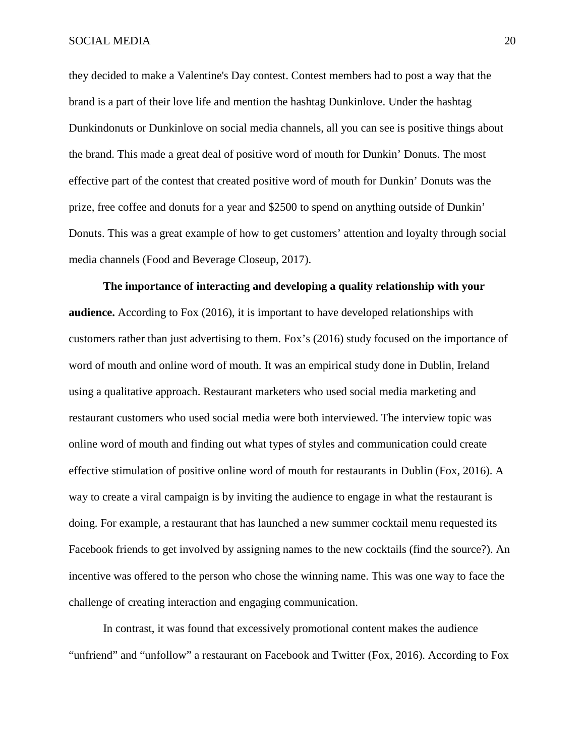they decided to make a Valentine's Day contest. Contest members had to post a way that the brand is a part of their love life and mention the hashtag Dunkinlove. Under the hashtag Dunkindonuts or Dunkinlove on social media channels, all you can see is positive things about the brand. This made a great deal of positive word of mouth for Dunkin' Donuts. The most effective part of the contest that created positive word of mouth for Dunkin' Donuts was the prize, free coffee and donuts for a year and \$2500 to spend on anything outside of Dunkin' Donuts. This was a great example of how to get customers' attention and loyalty through social media channels (Food and Beverage Closeup, 2017).

**The importance of interacting and developing a quality relationship with your audience.** According to Fox (2016), it is important to have developed relationships with customers rather than just advertising to them. Fox's (2016) study focused on the importance of word of mouth and online word of mouth. It was an empirical study done in Dublin, Ireland using a qualitative approach. Restaurant marketers who used social media marketing and restaurant customers who used social media were both interviewed. The interview topic was online word of mouth and finding out what types of styles and communication could create effective stimulation of positive online word of mouth for restaurants in Dublin (Fox, 2016). A way to create a viral campaign is by inviting the audience to engage in what the restaurant is doing. For example, a restaurant that has launched a new summer cocktail menu requested its Facebook friends to get involved by assigning names to the new cocktails (find the source?). An incentive was offered to the person who chose the winning name. This was one way to face the challenge of creating interaction and engaging communication.

In contrast, it was found that excessively promotional content makes the audience "unfriend" and "unfollow" a restaurant on Facebook and Twitter (Fox, 2016). According to Fox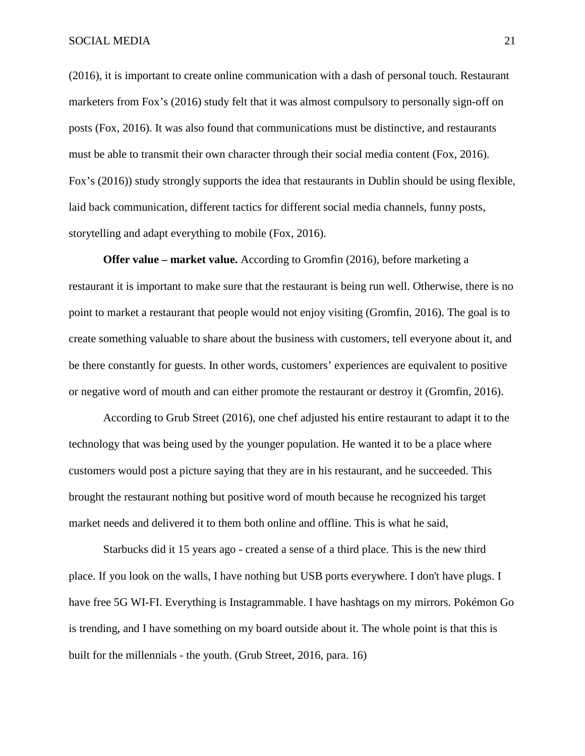(2016), it is important to create online communication with a dash of personal touch. Restaurant marketers from Fox's (2016) study felt that it was almost compulsory to personally sign-off on posts (Fox, 2016). It was also found that communications must be distinctive, and restaurants must be able to transmit their own character through their social media content (Fox, 2016). Fox's (2016)) study strongly supports the idea that restaurants in Dublin should be using flexible, laid back communication, different tactics for different social media channels, funny posts, storytelling and adapt everything to mobile (Fox, 2016).

**Offer value – market value.** According to Gromfin (2016), before marketing a restaurant it is important to make sure that the restaurant is being run well. Otherwise, there is no point to market a restaurant that people would not enjoy visiting (Gromfin, 2016). The goal is to create something valuable to share about the business with customers, tell everyone about it, and be there constantly for guests. In other words, customers' experiences are equivalent to positive or negative word of mouth and can either promote the restaurant or destroy it (Gromfin, 2016).

According to Grub Street (2016), one chef adjusted his entire restaurant to adapt it to the technology that was being used by the younger population. He wanted it to be a place where customers would post a picture saying that they are in his restaurant, and he succeeded. This brought the restaurant nothing but positive word of mouth because he recognized his target market needs and delivered it to them both online and offline. This is what he said,

Starbucks did it 15 years ago - created a sense of a third place. This is the new third place. If you look on the walls, I have nothing but USB ports everywhere. I don't have plugs. I have free 5G WI-FI. Everything is Instagrammable. I have hashtags on my mirrors. Pokémon Go is trending, and I have something on my board outside about it. The whole point is that this is built for the millennials - the youth. (Grub Street, 2016, para. 16)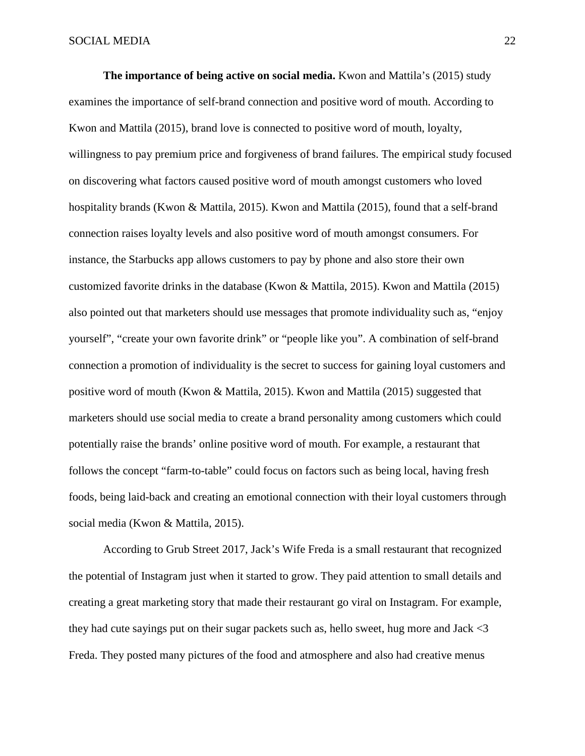**The importance of being active on social media.** Kwon and Mattila's (2015) study examines the importance of self-brand connection and positive word of mouth. According to Kwon and Mattila (2015), brand love is connected to positive word of mouth, loyalty, willingness to pay premium price and forgiveness of brand failures. The empirical study focused on discovering what factors caused positive word of mouth amongst customers who loved hospitality brands (Kwon & Mattila, 2015). Kwon and Mattila (2015), found that a self-brand connection raises loyalty levels and also positive word of mouth amongst consumers. For instance, the Starbucks app allows customers to pay by phone and also store their own customized favorite drinks in the database (Kwon & Mattila, 2015). Kwon and Mattila (2015) also pointed out that marketers should use messages that promote individuality such as, "enjoy yourself", "create your own favorite drink" or "people like you". A combination of self-brand connection a promotion of individuality is the secret to success for gaining loyal customers and positive word of mouth (Kwon & Mattila, 2015). Kwon and Mattila (2015) suggested that marketers should use social media to create a brand personality among customers which could potentially raise the brands' online positive word of mouth. For example, a restaurant that follows the concept "farm-to-table" could focus on factors such as being local, having fresh foods, being laid-back and creating an emotional connection with their loyal customers through social media (Kwon & Mattila, 2015).

According to Grub Street 2017, Jack's Wife Freda is a small restaurant that recognized the potential of Instagram just when it started to grow. They paid attention to small details and creating a great marketing story that made their restaurant go viral on Instagram. For example, they had cute sayings put on their sugar packets such as, hello sweet, hug more and Jack <3 Freda. They posted many pictures of the food and atmosphere and also had creative menus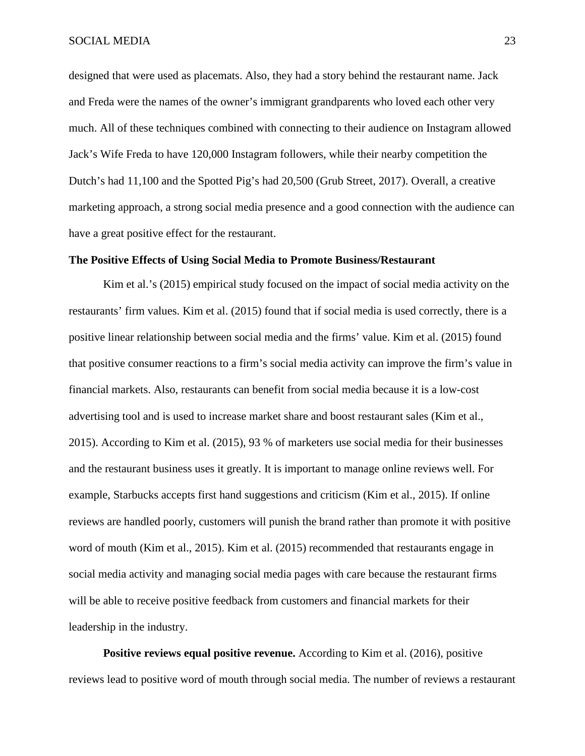designed that were used as placemats. Also, they had a story behind the restaurant name. Jack and Freda were the names of the owner's immigrant grandparents who loved each other very much. All of these techniques combined with connecting to their audience on Instagram allowed Jack's Wife Freda to have 120,000 Instagram followers, while their nearby competition the Dutch's had 11,100 and the Spotted Pig's had 20,500 (Grub Street, 2017). Overall, a creative marketing approach, a strong social media presence and a good connection with the audience can have a great positive effect for the restaurant.

#### **The Positive Effects of Using Social Media to Promote Business/Restaurant**

Kim et al.'s (2015) empirical study focused on the impact of social media activity on the restaurants' firm values. Kim et al. (2015) found that if social media is used correctly, there is a positive linear relationship between social media and the firms' value. Kim et al. (2015) found that positive consumer reactions to a firm's social media activity can improve the firm's value in financial markets. Also, restaurants can benefit from social media because it is a low-cost advertising tool and is used to increase market share and boost restaurant sales (Kim et al., 2015). According to Kim et al. (2015), 93 % of marketers use social media for their businesses and the restaurant business uses it greatly. It is important to manage online reviews well. For example, Starbucks accepts first hand suggestions and criticism (Kim et al., 2015). If online reviews are handled poorly, customers will punish the brand rather than promote it with positive word of mouth (Kim et al., 2015). Kim et al. (2015) recommended that restaurants engage in social media activity and managing social media pages with care because the restaurant firms will be able to receive positive feedback from customers and financial markets for their leadership in the industry.

**Positive reviews equal positive revenue.** According to Kim et al. (2016), positive reviews lead to positive word of mouth through social media. The number of reviews a restaurant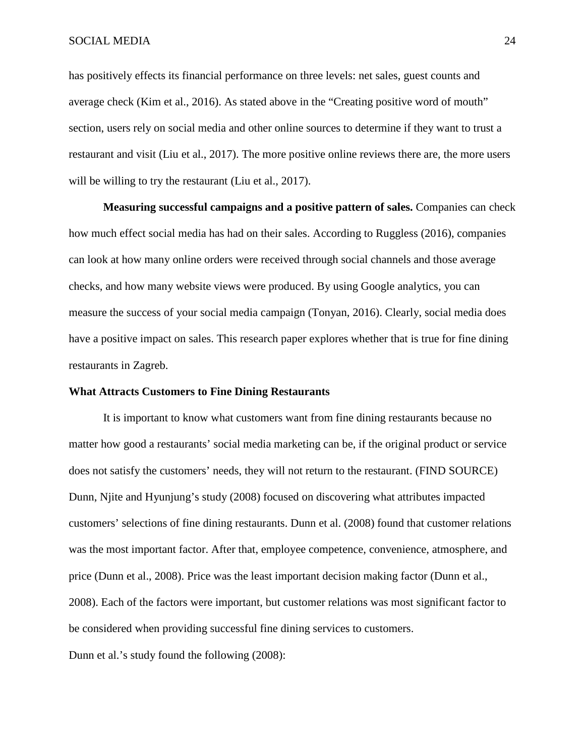has positively effects its financial performance on three levels: net sales, guest counts and average check (Kim et al., 2016). As stated above in the "Creating positive word of mouth" section, users rely on social media and other online sources to determine if they want to trust a restaurant and visit (Liu et al., 2017). The more positive online reviews there are, the more users will be willing to try the restaurant (Liu et al., 2017).

**Measuring successful campaigns and a positive pattern of sales.** Companies can check how much effect social media has had on their sales. According to Ruggless (2016), companies can look at how many online orders were received through social channels and those average checks, and how many website views were produced. By using Google analytics, you can measure the success of your social media campaign (Tonyan, 2016). Clearly, social media does have a positive impact on sales. This research paper explores whether that is true for fine dining restaurants in Zagreb.

#### **What Attracts Customers to Fine Dining Restaurants**

It is important to know what customers want from fine dining restaurants because no matter how good a restaurants' social media marketing can be, if the original product or service does not satisfy the customers' needs, they will not return to the restaurant. (FIND SOURCE) Dunn, Njite and Hyunjung's study (2008) focused on discovering what attributes impacted customers' selections of fine dining restaurants. Dunn et al. (2008) found that customer relations was the most important factor. After that, employee competence, convenience, atmosphere, and price (Dunn et al., 2008). Price was the least important decision making factor (Dunn et al., 2008). Each of the factors were important, but customer relations was most significant factor to be considered when providing successful fine dining services to customers. Dunn et al.'s study found the following (2008):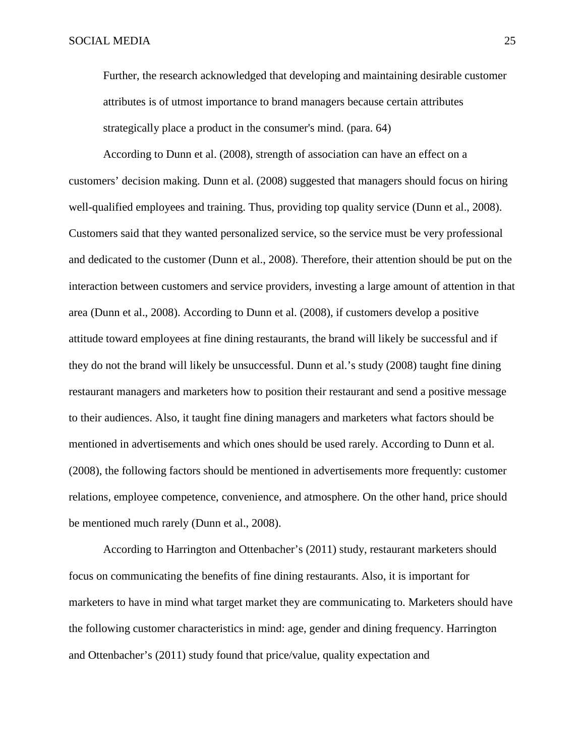Further, the research acknowledged that developing and maintaining desirable customer attributes is of utmost importance to brand managers because certain attributes strategically place a product in the consumer's mind. (para. 64)

According to Dunn et al. (2008), strength of association can have an effect on a customers' decision making. Dunn et al. (2008) suggested that managers should focus on hiring well-qualified employees and training. Thus, providing top quality service (Dunn et al., 2008). Customers said that they wanted personalized service, so the service must be very professional and dedicated to the customer (Dunn et al., 2008). Therefore, their attention should be put on the interaction between customers and service providers, investing a large amount of attention in that area (Dunn et al., 2008). According to Dunn et al. (2008), if customers develop a positive attitude toward employees at fine dining restaurants, the brand will likely be successful and if they do not the brand will likely be unsuccessful. Dunn et al.'s study (2008) taught fine dining restaurant managers and marketers how to position their restaurant and send a positive message to their audiences. Also, it taught fine dining managers and marketers what factors should be mentioned in advertisements and which ones should be used rarely. According to Dunn et al. (2008), the following factors should be mentioned in advertisements more frequently: customer relations, employee competence, convenience, and atmosphere. On the other hand, price should be mentioned much rarely (Dunn et al., 2008).

According to Harrington and Ottenbacher's (2011) study, restaurant marketers should focus on communicating the benefits of fine dining restaurants. Also, it is important for marketers to have in mind what target market they are communicating to. Marketers should have the following customer characteristics in mind: age, gender and dining frequency. Harrington and Ottenbacher's (2011) study found that price/value, quality expectation and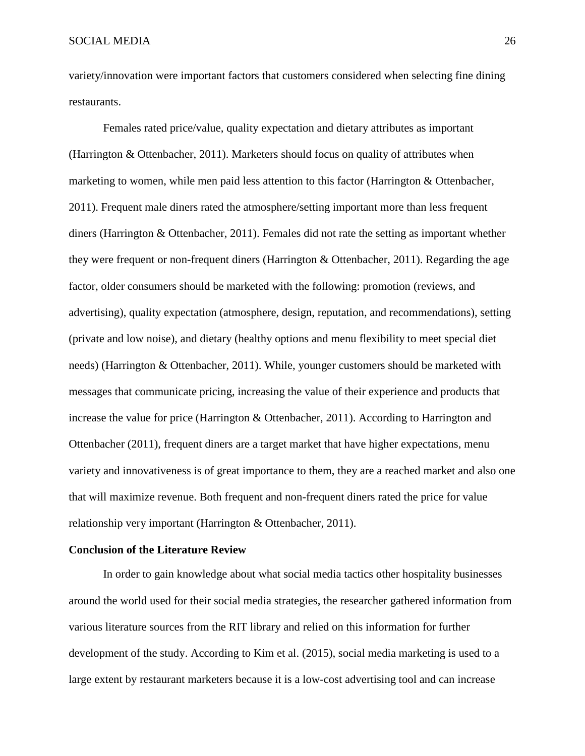variety/innovation were important factors that customers considered when selecting fine dining restaurants.

Females rated price/value, quality expectation and dietary attributes as important (Harrington & Ottenbacher, 2011). Marketers should focus on quality of attributes when marketing to women, while men paid less attention to this factor (Harrington & Ottenbacher, 2011). Frequent male diners rated the atmosphere/setting important more than less frequent diners (Harrington & Ottenbacher, 2011). Females did not rate the setting as important whether they were frequent or non-frequent diners (Harrington & Ottenbacher, 2011). Regarding the age factor, older consumers should be marketed with the following: promotion (reviews, and advertising), quality expectation (atmosphere, design, reputation, and recommendations), setting (private and low noise), and dietary (healthy options and menu flexibility to meet special diet needs) (Harrington & Ottenbacher, 2011). While, younger customers should be marketed with messages that communicate pricing, increasing the value of their experience and products that increase the value for price (Harrington & Ottenbacher, 2011). According to Harrington and Ottenbacher (2011), frequent diners are a target market that have higher expectations, menu variety and innovativeness is of great importance to them, they are a reached market and also one that will maximize revenue. Both frequent and non-frequent diners rated the price for value relationship very important (Harrington & Ottenbacher, 2011).

#### **Conclusion of the Literature Review**

In order to gain knowledge about what social media tactics other hospitality businesses around the world used for their social media strategies, the researcher gathered information from various literature sources from the RIT library and relied on this information for further development of the study. According to Kim et al. (2015), social media marketing is used to a large extent by restaurant marketers because it is a low-cost advertising tool and can increase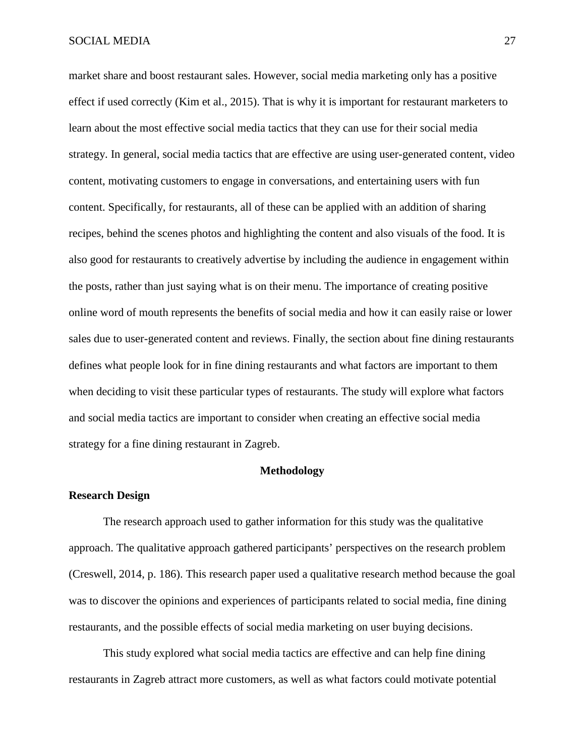market share and boost restaurant sales. However, social media marketing only has a positive effect if used correctly (Kim et al., 2015). That is why it is important for restaurant marketers to learn about the most effective social media tactics that they can use for their social media strategy. In general, social media tactics that are effective are using user-generated content, video content, motivating customers to engage in conversations, and entertaining users with fun content. Specifically, for restaurants, all of these can be applied with an addition of sharing recipes, behind the scenes photos and highlighting the content and also visuals of the food. It is also good for restaurants to creatively advertise by including the audience in engagement within the posts, rather than just saying what is on their menu. The importance of creating positive online word of mouth represents the benefits of social media and how it can easily raise or lower sales due to user-generated content and reviews. Finally, the section about fine dining restaurants defines what people look for in fine dining restaurants and what factors are important to them when deciding to visit these particular types of restaurants. The study will explore what factors and social media tactics are important to consider when creating an effective social media strategy for a fine dining restaurant in Zagreb.

#### **Methodology**

#### **Research Design**

The research approach used to gather information for this study was the qualitative approach. The qualitative approach gathered participants' perspectives on the research problem (Creswell, 2014, p. 186). This research paper used a qualitative research method because the goal was to discover the opinions and experiences of participants related to social media, fine dining restaurants, and the possible effects of social media marketing on user buying decisions.

This study explored what social media tactics are effective and can help fine dining restaurants in Zagreb attract more customers, as well as what factors could motivate potential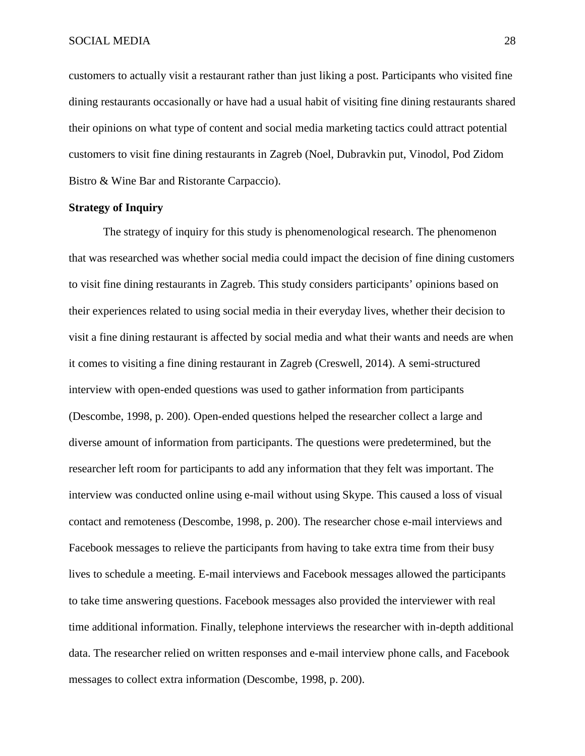customers to actually visit a restaurant rather than just liking a post. Participants who visited fine dining restaurants occasionally or have had a usual habit of visiting fine dining restaurants shared their opinions on what type of content and social media marketing tactics could attract potential customers to visit fine dining restaurants in Zagreb (Noel, Dubravkin put, Vinodol, Pod Zidom Bistro & Wine Bar and Ristorante Carpaccio).

#### **Strategy of Inquiry**

The strategy of inquiry for this study is phenomenological research. The phenomenon that was researched was whether social media could impact the decision of fine dining customers to visit fine dining restaurants in Zagreb. This study considers participants' opinions based on their experiences related to using social media in their everyday lives, whether their decision to visit a fine dining restaurant is affected by social media and what their wants and needs are when it comes to visiting a fine dining restaurant in Zagreb (Creswell, 2014). A semi-structured interview with open-ended questions was used to gather information from participants (Descombe, 1998, p. 200). Open-ended questions helped the researcher collect a large and diverse amount of information from participants. The questions were predetermined, but the researcher left room for participants to add any information that they felt was important. The interview was conducted online using e-mail without using Skype. This caused a loss of visual contact and remoteness (Descombe, 1998, p. 200). The researcher chose e-mail interviews and Facebook messages to relieve the participants from having to take extra time from their busy lives to schedule a meeting. E-mail interviews and Facebook messages allowed the participants to take time answering questions. Facebook messages also provided the interviewer with real time additional information. Finally, telephone interviews the researcher with in-depth additional data. The researcher relied on written responses and e-mail interview phone calls, and Facebook messages to collect extra information (Descombe, 1998, p. 200).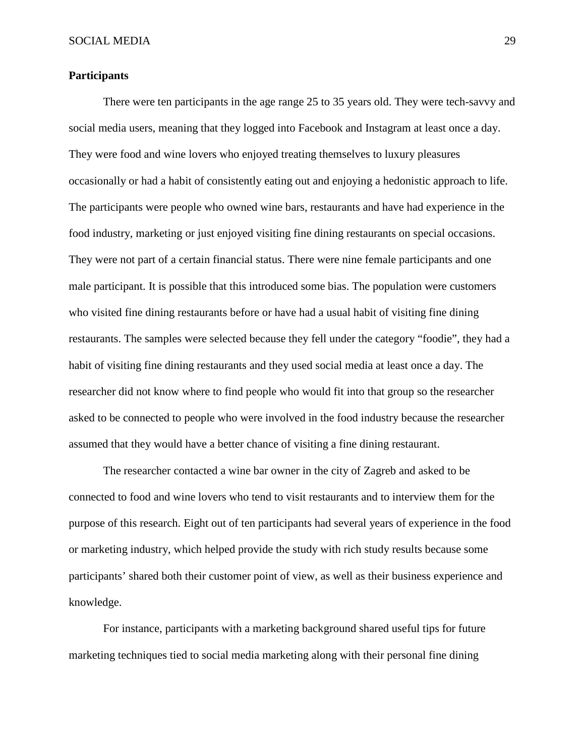#### **Participants**

There were ten participants in the age range 25 to 35 years old. They were tech-savvy and social media users, meaning that they logged into Facebook and Instagram at least once a day. They were food and wine lovers who enjoyed treating themselves to luxury pleasures occasionally or had a habit of consistently eating out and enjoying a hedonistic approach to life. The participants were people who owned wine bars, restaurants and have had experience in the food industry, marketing or just enjoyed visiting fine dining restaurants on special occasions. They were not part of a certain financial status. There were nine female participants and one male participant. It is possible that this introduced some bias. The population were customers who visited fine dining restaurants before or have had a usual habit of visiting fine dining restaurants. The samples were selected because they fell under the category "foodie", they had a habit of visiting fine dining restaurants and they used social media at least once a day. The researcher did not know where to find people who would fit into that group so the researcher asked to be connected to people who were involved in the food industry because the researcher assumed that they would have a better chance of visiting a fine dining restaurant.

The researcher contacted a wine bar owner in the city of Zagreb and asked to be connected to food and wine lovers who tend to visit restaurants and to interview them for the purpose of this research. Eight out of ten participants had several years of experience in the food or marketing industry, which helped provide the study with rich study results because some participants' shared both their customer point of view, as well as their business experience and knowledge.

For instance, participants with a marketing background shared useful tips for future marketing techniques tied to social media marketing along with their personal fine dining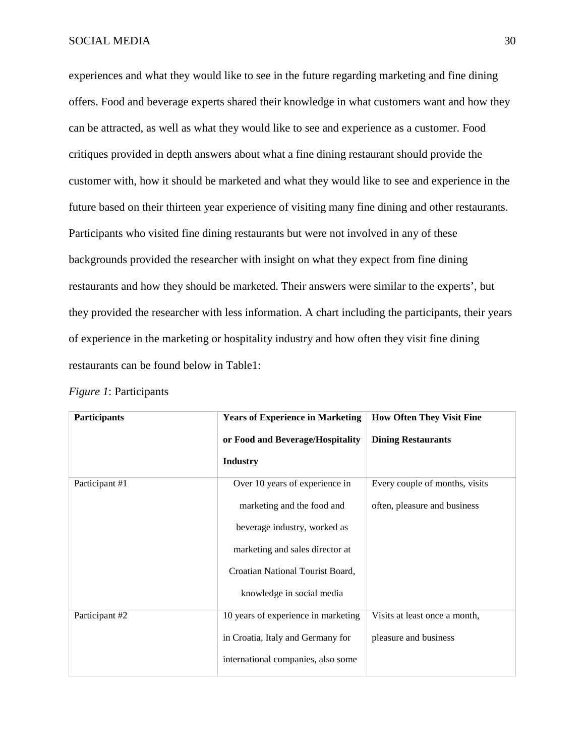experiences and what they would like to see in the future regarding marketing and fine dining offers. Food and beverage experts shared their knowledge in what customers want and how they can be attracted, as well as what they would like to see and experience as a customer. Food critiques provided in depth answers about what a fine dining restaurant should provide the customer with, how it should be marketed and what they would like to see and experience in the future based on their thirteen year experience of visiting many fine dining and other restaurants. Participants who visited fine dining restaurants but were not involved in any of these backgrounds provided the researcher with insight on what they expect from fine dining restaurants and how they should be marketed. Their answers were similar to the experts', but they provided the researcher with less information. A chart including the participants, their years of experience in the marketing or hospitality industry and how often they visit fine dining restaurants can be found below in Table1:

| <b>Participants</b> | <b>Years of Experience in Marketing</b> | <b>How Often They Visit Fine</b> |  |
|---------------------|-----------------------------------------|----------------------------------|--|
|                     | or Food and Beverage/Hospitality        | <b>Dining Restaurants</b>        |  |
|                     | <b>Industry</b>                         |                                  |  |
| Participant #1      | Over 10 years of experience in          | Every couple of months, visits   |  |
|                     | marketing and the food and              | often, pleasure and business     |  |
|                     | beverage industry, worked as            |                                  |  |
|                     | marketing and sales director at         |                                  |  |
|                     | Croatian National Tourist Board,        |                                  |  |
|                     | knowledge in social media               |                                  |  |
| Participant #2      | 10 years of experience in marketing     | Visits at least once a month,    |  |
|                     | in Croatia, Italy and Germany for       | pleasure and business            |  |
|                     | international companies, also some      |                                  |  |

|  |  | <i>Figure 1:</i> Participants |
|--|--|-------------------------------|
|--|--|-------------------------------|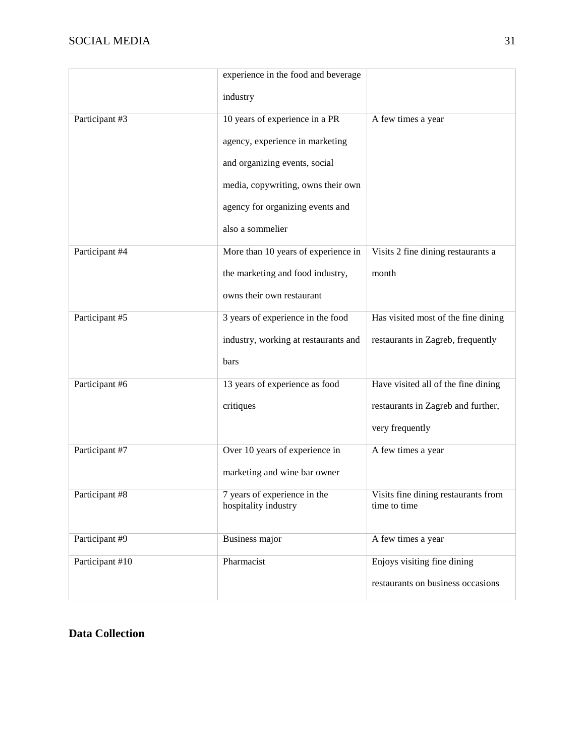|                 | experience in the food and beverage                  |                                                     |
|-----------------|------------------------------------------------------|-----------------------------------------------------|
|                 | industry                                             |                                                     |
| Participant #3  | 10 years of experience in a PR                       | A few times a year                                  |
|                 | agency, experience in marketing                      |                                                     |
|                 | and organizing events, social                        |                                                     |
|                 | media, copywriting, owns their own                   |                                                     |
|                 | agency for organizing events and                     |                                                     |
|                 | also a sommelier                                     |                                                     |
| Participant #4  | More than 10 years of experience in                  | Visits 2 fine dining restaurants a                  |
|                 | the marketing and food industry,                     | month                                               |
|                 | owns their own restaurant                            |                                                     |
| Participant #5  | 3 years of experience in the food                    | Has visited most of the fine dining                 |
|                 | industry, working at restaurants and                 | restaurants in Zagreb, frequently                   |
|                 | bars                                                 |                                                     |
| Participant #6  | 13 years of experience as food                       | Have visited all of the fine dining                 |
|                 | critiques                                            | restaurants in Zagreb and further,                  |
|                 |                                                      | very frequently                                     |
| Participant #7  | Over 10 years of experience in                       | A few times a year                                  |
|                 | marketing and wine bar owner                         |                                                     |
| Participant #8  | 7 years of experience in the<br>hospitality industry | Visits fine dining restaurants from<br>time to time |
|                 |                                                      |                                                     |
| Participant #9  | <b>Business major</b>                                | A few times a year                                  |
| Participant #10 | Pharmacist                                           | Enjoys visiting fine dining                         |
|                 |                                                      | restaurants on business occasions                   |

#### **Data Collection**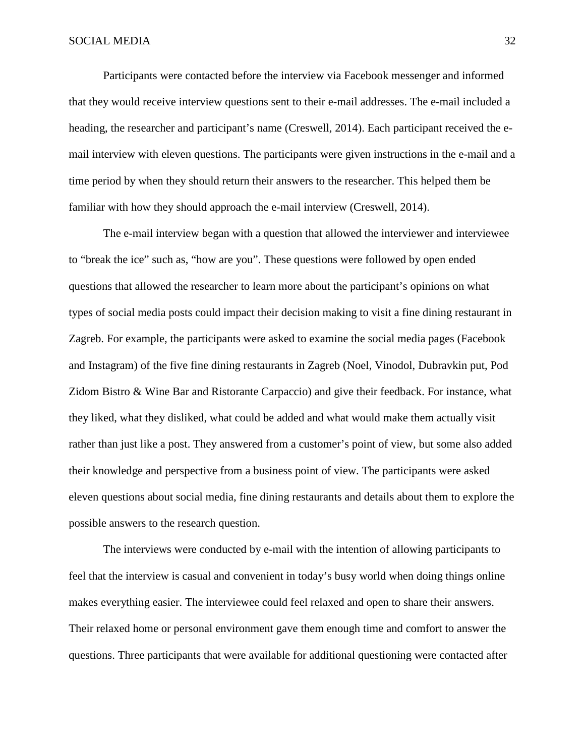Participants were contacted before the interview via Facebook messenger and informed that they would receive interview questions sent to their e-mail addresses. The e-mail included a heading, the researcher and participant's name (Creswell, 2014). Each participant received the email interview with eleven questions. The participants were given instructions in the e-mail and a time period by when they should return their answers to the researcher. This helped them be familiar with how they should approach the e-mail interview (Creswell, 2014).

The e-mail interview began with a question that allowed the interviewer and interviewee to "break the ice" such as, "how are you". These questions were followed by open ended questions that allowed the researcher to learn more about the participant's opinions on what types of social media posts could impact their decision making to visit a fine dining restaurant in Zagreb. For example, the participants were asked to examine the social media pages (Facebook and Instagram) of the five fine dining restaurants in Zagreb (Noel, Vinodol, Dubravkin put, Pod Zidom Bistro & Wine Bar and Ristorante Carpaccio) and give their feedback. For instance, what they liked, what they disliked, what could be added and what would make them actually visit rather than just like a post. They answered from a customer's point of view, but some also added their knowledge and perspective from a business point of view. The participants were asked eleven questions about social media, fine dining restaurants and details about them to explore the possible answers to the research question.

The interviews were conducted by e-mail with the intention of allowing participants to feel that the interview is casual and convenient in today's busy world when doing things online makes everything easier. The interviewee could feel relaxed and open to share their answers. Their relaxed home or personal environment gave them enough time and comfort to answer the questions. Three participants that were available for additional questioning were contacted after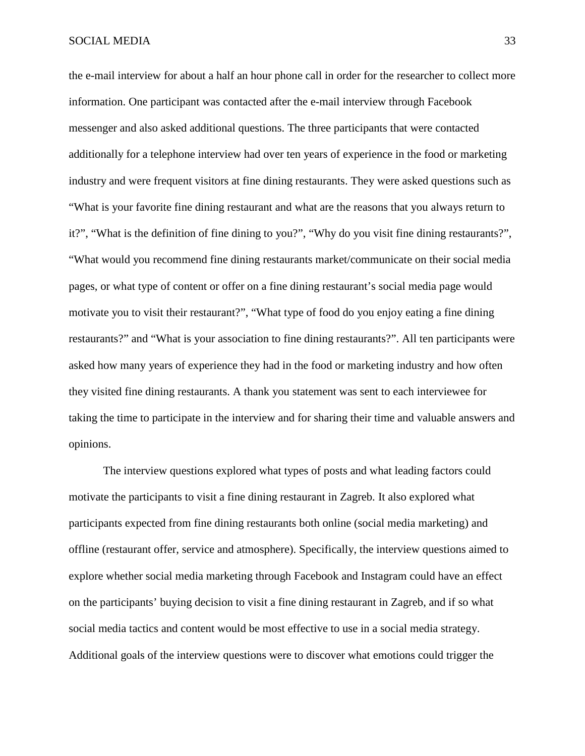the e-mail interview for about a half an hour phone call in order for the researcher to collect more information. One participant was contacted after the e-mail interview through Facebook messenger and also asked additional questions. The three participants that were contacted additionally for a telephone interview had over ten years of experience in the food or marketing industry and were frequent visitors at fine dining restaurants. They were asked questions such as "What is your favorite fine dining restaurant and what are the reasons that you always return to it?", "What is the definition of fine dining to you?", "Why do you visit fine dining restaurants?", "What would you recommend fine dining restaurants market/communicate on their social media pages, or what type of content or offer on a fine dining restaurant's social media page would motivate you to visit their restaurant?", "What type of food do you enjoy eating a fine dining restaurants?" and "What is your association to fine dining restaurants?". All ten participants were asked how many years of experience they had in the food or marketing industry and how often they visited fine dining restaurants. A thank you statement was sent to each interviewee for taking the time to participate in the interview and for sharing their time and valuable answers and opinions.

The interview questions explored what types of posts and what leading factors could motivate the participants to visit a fine dining restaurant in Zagreb. It also explored what participants expected from fine dining restaurants both online (social media marketing) and offline (restaurant offer, service and atmosphere). Specifically, the interview questions aimed to explore whether social media marketing through Facebook and Instagram could have an effect on the participants' buying decision to visit a fine dining restaurant in Zagreb, and if so what social media tactics and content would be most effective to use in a social media strategy. Additional goals of the interview questions were to discover what emotions could trigger the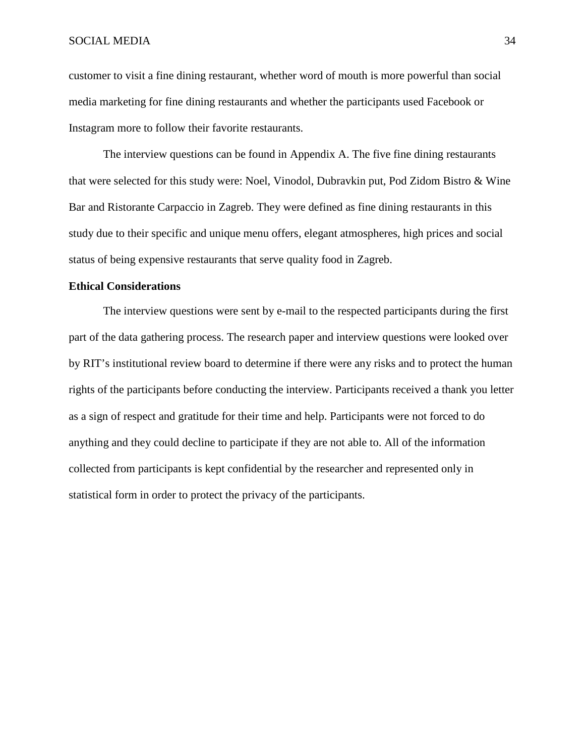customer to visit a fine dining restaurant, whether word of mouth is more powerful than social media marketing for fine dining restaurants and whether the participants used Facebook or Instagram more to follow their favorite restaurants.

The interview questions can be found in Appendix A. The five fine dining restaurants that were selected for this study were: Noel, Vinodol, Dubravkin put, Pod Zidom Bistro & Wine Bar and Ristorante Carpaccio in Zagreb. They were defined as fine dining restaurants in this study due to their specific and unique menu offers, elegant atmospheres, high prices and social status of being expensive restaurants that serve quality food in Zagreb.

#### **Ethical Considerations**

The interview questions were sent by e-mail to the respected participants during the first part of the data gathering process. The research paper and interview questions were looked over by RIT's institutional review board to determine if there were any risks and to protect the human rights of the participants before conducting the interview. Participants received a thank you letter as a sign of respect and gratitude for their time and help. Participants were not forced to do anything and they could decline to participate if they are not able to. All of the information collected from participants is kept confidential by the researcher and represented only in statistical form in order to protect the privacy of the participants.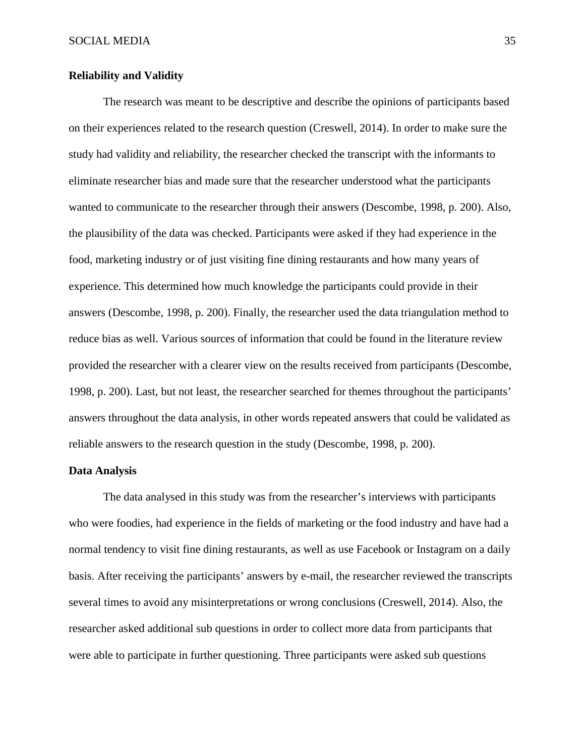#### **Reliability and Validity**

The research was meant to be descriptive and describe the opinions of participants based on their experiences related to the research question (Creswell, 2014). In order to make sure the study had validity and reliability, the researcher checked the transcript with the informants to eliminate researcher bias and made sure that the researcher understood what the participants wanted to communicate to the researcher through their answers (Descombe, 1998, p. 200). Also, the plausibility of the data was checked. Participants were asked if they had experience in the food, marketing industry or of just visiting fine dining restaurants and how many years of experience. This determined how much knowledge the participants could provide in their answers (Descombe, 1998, p. 200). Finally, the researcher used the data triangulation method to reduce bias as well. Various sources of information that could be found in the literature review provided the researcher with a clearer view on the results received from participants (Descombe, 1998, p. 200). Last, but not least, the researcher searched for themes throughout the participants' answers throughout the data analysis, in other words repeated answers that could be validated as reliable answers to the research question in the study (Descombe, 1998, p. 200).

#### **Data Analysis**

The data analysed in this study was from the researcher's interviews with participants who were foodies, had experience in the fields of marketing or the food industry and have had a normal tendency to visit fine dining restaurants, as well as use Facebook or Instagram on a daily basis. After receiving the participants' answers by e-mail, the researcher reviewed the transcripts several times to avoid any misinterpretations or wrong conclusions (Creswell, 2014). Also, the researcher asked additional sub questions in order to collect more data from participants that were able to participate in further questioning. Three participants were asked sub questions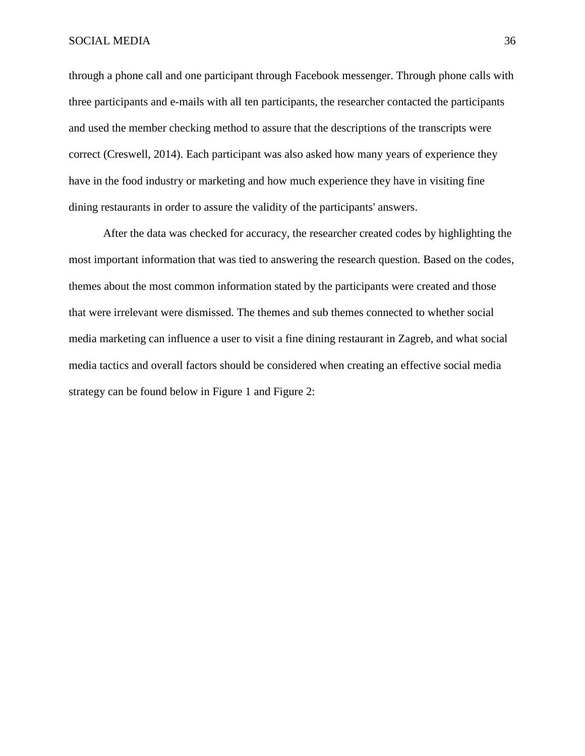#### SOCIAL MEDIA 36

through a phone call and one participant through Facebook messenger. Through phone calls with three participants and e-mails with all ten participants, the researcher contacted the participants and used the member checking method to assure that the descriptions of the transcripts were correct (Creswell, 2014). Each participant was also asked how many years of experience they have in the food industry or marketing and how much experience they have in visiting fine dining restaurants in order to assure the validity of the participants' answers.

After the data was checked for accuracy, the researcher created codes by highlighting the most important information that was tied to answering the research question. Based on the codes, themes about the most common information stated by the participants were created and those that were irrelevant were dismissed. The themes and sub themes connected to whether social media marketing can influence a user to visit a fine dining restaurant in Zagreb, and what social media tactics and overall factors should be considered when creating an effective social media strategy can be found below in Figure 1 and Figure 2: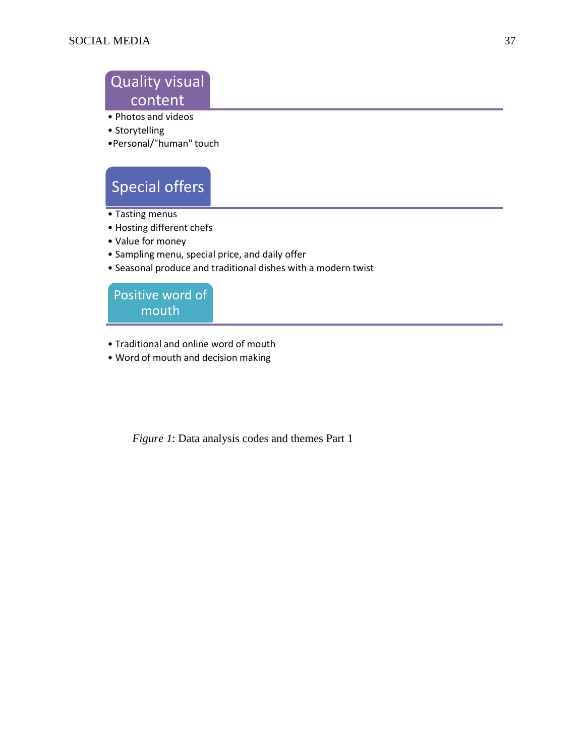### Quality visual content

- Photos and videos
- Storytelling
- •Personal/"human" touch

# Special offers

- Tasting menus
- Hosting different chefs
- Value for money
- Sampling menu, special price, and daily offer
- Seasonal produce and traditional dishes with a modern twist

Positive word of mouth

- Traditional and online word of mouth
- Word of mouth and decision making

*Figure 1*: Data analysis codes and themes Part 1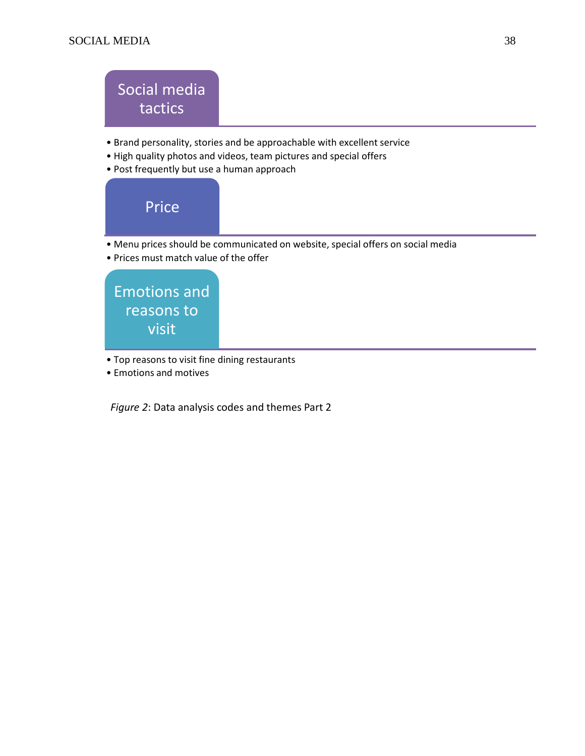## Social media tactics

- Brand personality, stories and be approachable with excellent service
- High quality photos and videos, team pictures and special offers
- Post frequently but use a human approach



- Top reasons to visit fine dining restaurants
- Emotions and motives

*Figure 2*: Data analysis codes and themes Part 2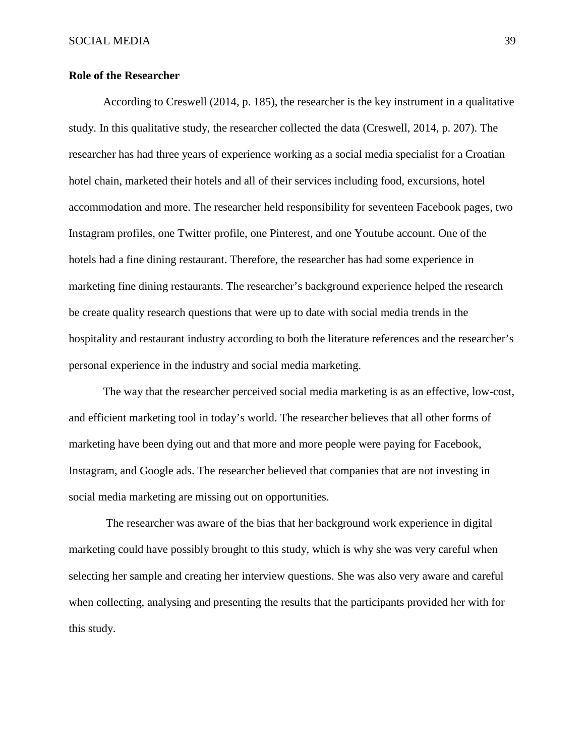#### **Role of the Researcher**

According to Creswell (2014, p. 185), the researcher is the key instrument in a qualitative study. In this qualitative study, the researcher collected the data (Creswell, 2014, p. 207). The researcher has had three years of experience working as a social media specialist for a Croatian hotel chain, marketed their hotels and all of their services including food, excursions, hotel accommodation and more. The researcher held responsibility for seventeen Facebook pages, two Instagram profiles, one Twitter profile, one Pinterest, and one Youtube account. One of the hotels had a fine dining restaurant. Therefore, the researcher has had some experience in marketing fine dining restaurants. The researcher's background experience helped the research be create quality research questions that were up to date with social media trends in the hospitality and restaurant industry according to both the literature references and the researcher's personal experience in the industry and social media marketing.

The way that the researcher perceived social media marketing is as an effective, low-cost, and efficient marketing tool in today's world. The researcher believes that all other forms of marketing have been dying out and that more and more people were paying for Facebook, Instagram, and Google ads. The researcher believed that companies that are not investing in social media marketing are missing out on opportunities.

The researcher was aware of the bias that her background work experience in digital marketing could have possibly brought to this study, which is why she was very careful when selecting her sample and creating her interview questions. She was also very aware and careful when collecting, analysing and presenting the results that the participants provided her with for this study.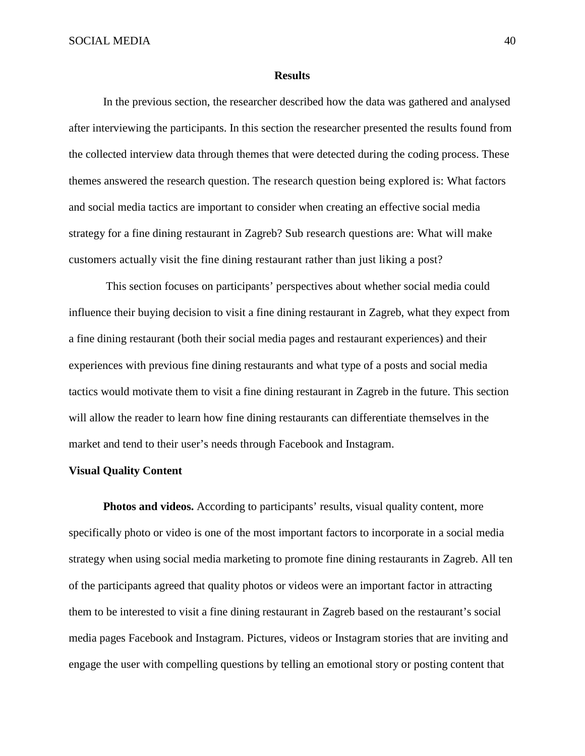#### **Results**

In the previous section, the researcher described how the data was gathered and analysed after interviewing the participants. In this section the researcher presented the results found from the collected interview data through themes that were detected during the coding process. These themes answered the research question. The research question being explored is: What factors and social media tactics are important to consider when creating an effective social media strategy for a fine dining restaurant in Zagreb? Sub research questions are: What will make customers actually visit the fine dining restaurant rather than just liking a post?

This section focuses on participants' perspectives about whether social media could influence their buying decision to visit a fine dining restaurant in Zagreb, what they expect from a fine dining restaurant (both their social media pages and restaurant experiences) and their experiences with previous fine dining restaurants and what type of a posts and social media tactics would motivate them to visit a fine dining restaurant in Zagreb in the future. This section will allow the reader to learn how fine dining restaurants can differentiate themselves in the market and tend to their user's needs through Facebook and Instagram.

#### **Visual Quality Content**

**Photos and videos.** According to participants' results, visual quality content, more specifically photo or video is one of the most important factors to incorporate in a social media strategy when using social media marketing to promote fine dining restaurants in Zagreb. All ten of the participants agreed that quality photos or videos were an important factor in attracting them to be interested to visit a fine dining restaurant in Zagreb based on the restaurant's social media pages Facebook and Instagram. Pictures, videos or Instagram stories that are inviting and engage the user with compelling questions by telling an emotional story or posting content that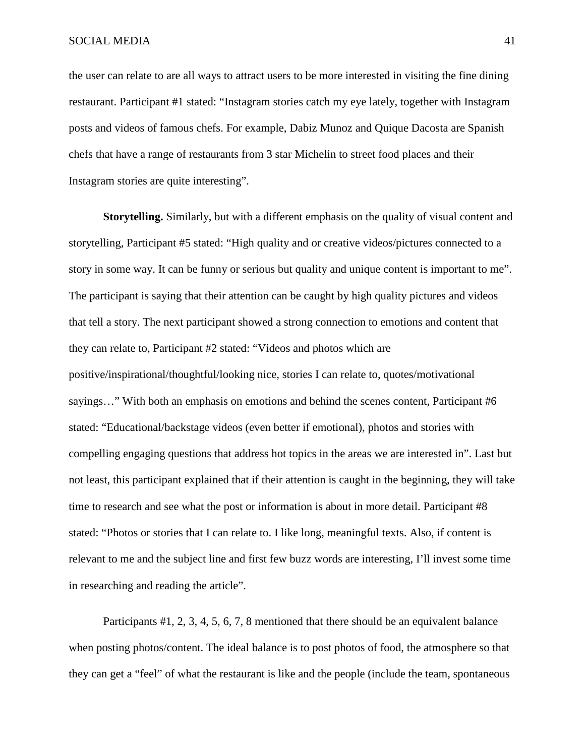the user can relate to are all ways to attract users to be more interested in visiting the fine dining restaurant. Participant #1 stated: "Instagram stories catch my eye lately, together with Instagram posts and videos of famous chefs. For example, Dabiz Munoz and Quique Dacosta are Spanish chefs that have a range of restaurants from 3 star Michelin to street food places and their Instagram stories are quite interesting".

**Storytelling.** Similarly, but with a different emphasis on the quality of visual content and storytelling, Participant #5 stated: "High quality and or creative videos/pictures connected to a story in some way. It can be funny or serious but quality and unique content is important to me". The participant is saying that their attention can be caught by high quality pictures and videos that tell a story. The next participant showed a strong connection to emotions and content that they can relate to, Participant #2 stated: "Videos and photos which are positive/inspirational/thoughtful/looking nice, stories I can relate to, quotes/motivational sayings…" With both an emphasis on emotions and behind the scenes content, Participant #6 stated: "Educational/backstage videos (even better if emotional), photos and stories with compelling engaging questions that address hot topics in the areas we are interested in". Last but not least, this participant explained that if their attention is caught in the beginning, they will take time to research and see what the post or information is about in more detail. Participant #8 stated: "Photos or stories that I can relate to. I like long, meaningful texts. Also, if content is relevant to me and the subject line and first few buzz words are interesting, I'll invest some time in researching and reading the article".

Participants #1, 2, 3, 4, 5, 6, 7, 8 mentioned that there should be an equivalent balance when posting photos/content. The ideal balance is to post photos of food, the atmosphere so that they can get a "feel" of what the restaurant is like and the people (include the team, spontaneous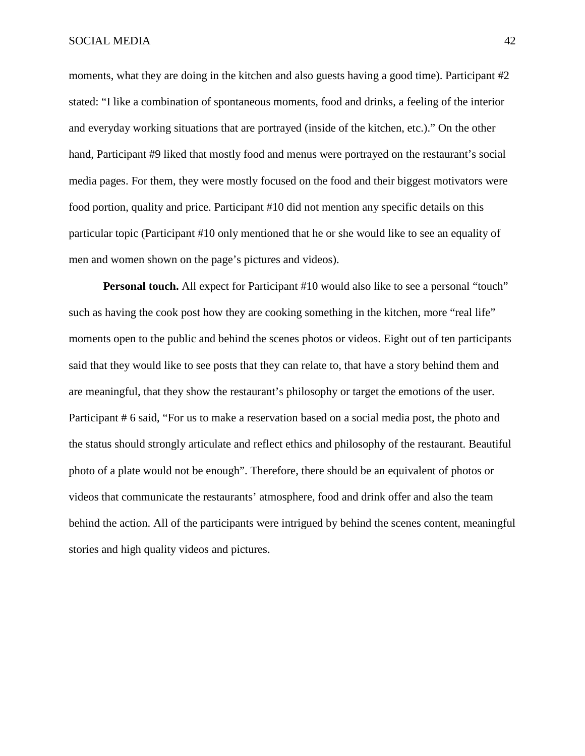moments, what they are doing in the kitchen and also guests having a good time). Participant #2 stated: "I like a combination of spontaneous moments, food and drinks, a feeling of the interior and everyday working situations that are portrayed (inside of the kitchen, etc.)." On the other hand, Participant #9 liked that mostly food and menus were portrayed on the restaurant's social media pages. For them, they were mostly focused on the food and their biggest motivators were food portion, quality and price. Participant #10 did not mention any specific details on this particular topic (Participant #10 only mentioned that he or she would like to see an equality of men and women shown on the page's pictures and videos).

**Personal touch.** All expect for Participant #10 would also like to see a personal "touch" such as having the cook post how they are cooking something in the kitchen, more "real life" moments open to the public and behind the scenes photos or videos. Eight out of ten participants said that they would like to see posts that they can relate to, that have a story behind them and are meaningful, that they show the restaurant's philosophy or target the emotions of the user. Participant # 6 said, "For us to make a reservation based on a social media post, the photo and the status should strongly articulate and reflect ethics and philosophy of the restaurant. Beautiful photo of a plate would not be enough". Therefore, there should be an equivalent of photos or videos that communicate the restaurants' atmosphere, food and drink offer and also the team behind the action. All of the participants were intrigued by behind the scenes content, meaningful stories and high quality videos and pictures.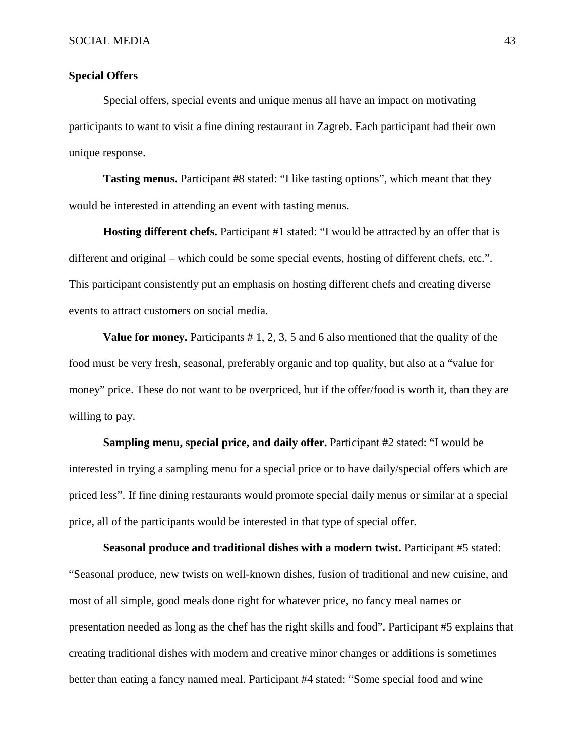#### **Special Offers**

Special offers, special events and unique menus all have an impact on motivating participants to want to visit a fine dining restaurant in Zagreb. Each participant had their own unique response.

**Tasting menus.** Participant #8 stated: "I like tasting options", which meant that they would be interested in attending an event with tasting menus.

**Hosting different chefs.** Participant #1 stated: "I would be attracted by an offer that is different and original – which could be some special events, hosting of different chefs, etc.". This participant consistently put an emphasis on hosting different chefs and creating diverse events to attract customers on social media.

**Value for money.** Participants # 1, 2, 3, 5 and 6 also mentioned that the quality of the food must be very fresh, seasonal, preferably organic and top quality, but also at a "value for money" price. These do not want to be overpriced, but if the offer/food is worth it, than they are willing to pay.

**Sampling menu, special price, and daily offer.** Participant #2 stated: "I would be interested in trying a sampling menu for a special price or to have daily/special offers which are priced less". If fine dining restaurants would promote special daily menus or similar at a special price, all of the participants would be interested in that type of special offer.

**Seasonal produce and traditional dishes with a modern twist.** Participant #5 stated: "Seasonal produce, new twists on well-known dishes, fusion of traditional and new cuisine, and most of all simple, good meals done right for whatever price, no fancy meal names or presentation needed as long as the chef has the right skills and food". Participant #5 explains that creating traditional dishes with modern and creative minor changes or additions is sometimes better than eating a fancy named meal. Participant #4 stated: "Some special food and wine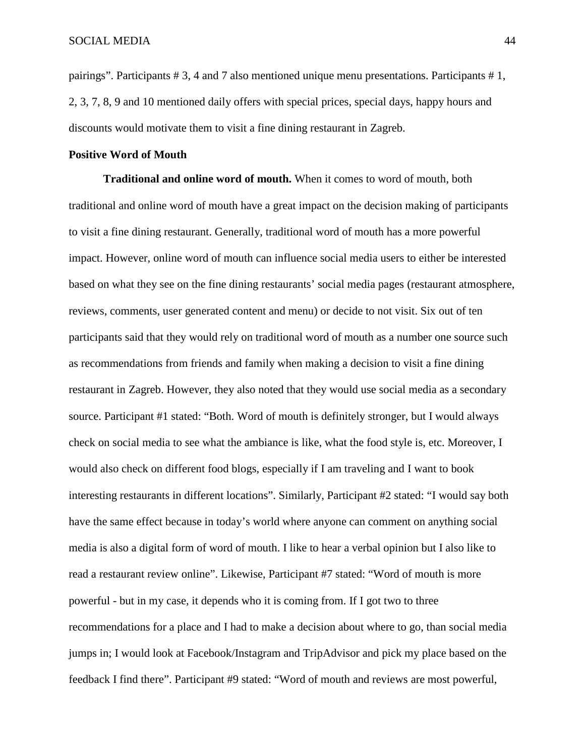pairings". Participants # 3, 4 and 7 also mentioned unique menu presentations. Participants # 1, 2, 3, 7, 8, 9 and 10 mentioned daily offers with special prices, special days, happy hours and discounts would motivate them to visit a fine dining restaurant in Zagreb.

#### **Positive Word of Mouth**

**Traditional and online word of mouth.** When it comes to word of mouth, both traditional and online word of mouth have a great impact on the decision making of participants to visit a fine dining restaurant. Generally, traditional word of mouth has a more powerful impact. However, online word of mouth can influence social media users to either be interested based on what they see on the fine dining restaurants' social media pages (restaurant atmosphere, reviews, comments, user generated content and menu) or decide to not visit. Six out of ten participants said that they would rely on traditional word of mouth as a number one source such as recommendations from friends and family when making a decision to visit a fine dining restaurant in Zagreb. However, they also noted that they would use social media as a secondary source. Participant #1 stated: "Both. Word of mouth is definitely stronger, but I would always check on social media to see what the ambiance is like, what the food style is, etc. Moreover, I would also check on different food blogs, especially if I am traveling and I want to book interesting restaurants in different locations". Similarly, Participant #2 stated: "I would say both have the same effect because in today's world where anyone can comment on anything social media is also a digital form of word of mouth. I like to hear a verbal opinion but I also like to read a restaurant review online". Likewise, Participant #7 stated: "Word of mouth is more powerful - but in my case, it depends who it is coming from. If I got two to three recommendations for a place and I had to make a decision about where to go, than social media jumps in; I would look at Facebook/Instagram and TripAdvisor and pick my place based on the feedback I find there". Participant #9 stated: "Word of mouth and reviews are most powerful,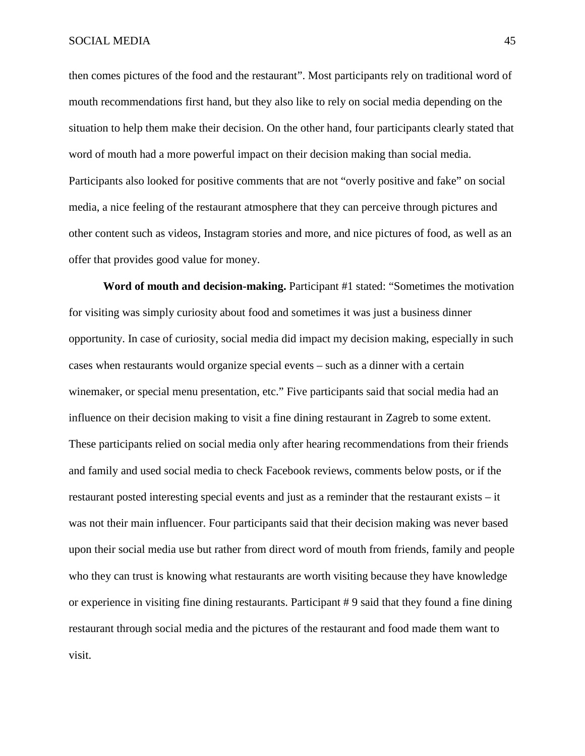then comes pictures of the food and the restaurant". Most participants rely on traditional word of mouth recommendations first hand, but they also like to rely on social media depending on the situation to help them make their decision. On the other hand, four participants clearly stated that word of mouth had a more powerful impact on their decision making than social media. Participants also looked for positive comments that are not "overly positive and fake" on social media, a nice feeling of the restaurant atmosphere that they can perceive through pictures and other content such as videos, Instagram stories and more, and nice pictures of food, as well as an offer that provides good value for money.

**Word of mouth and decision-making.** Participant #1 stated: "Sometimes the motivation for visiting was simply curiosity about food and sometimes it was just a business dinner opportunity. In case of curiosity, social media did impact my decision making, especially in such cases when restaurants would organize special events – such as a dinner with a certain winemaker, or special menu presentation, etc." Five participants said that social media had an influence on their decision making to visit a fine dining restaurant in Zagreb to some extent. These participants relied on social media only after hearing recommendations from their friends and family and used social media to check Facebook reviews, comments below posts, or if the restaurant posted interesting special events and just as a reminder that the restaurant exists – it was not their main influencer. Four participants said that their decision making was never based upon their social media use but rather from direct word of mouth from friends, family and people who they can trust is knowing what restaurants are worth visiting because they have knowledge or experience in visiting fine dining restaurants. Participant # 9 said that they found a fine dining restaurant through social media and the pictures of the restaurant and food made them want to visit.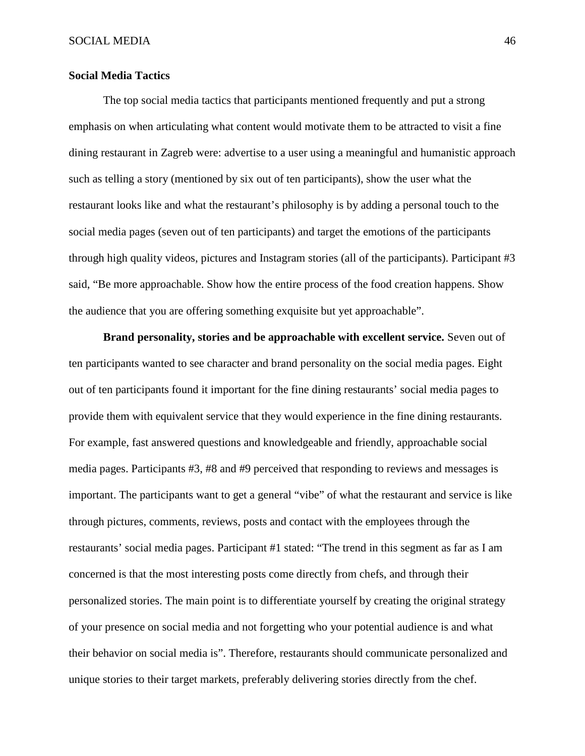#### **Social Media Tactics**

The top social media tactics that participants mentioned frequently and put a strong emphasis on when articulating what content would motivate them to be attracted to visit a fine dining restaurant in Zagreb were: advertise to a user using a meaningful and humanistic approach such as telling a story (mentioned by six out of ten participants), show the user what the restaurant looks like and what the restaurant's philosophy is by adding a personal touch to the social media pages (seven out of ten participants) and target the emotions of the participants through high quality videos, pictures and Instagram stories (all of the participants). Participant #3 said, "Be more approachable. Show how the entire process of the food creation happens. Show the audience that you are offering something exquisite but yet approachable".

**Brand personality, stories and be approachable with excellent service.** Seven out of ten participants wanted to see character and brand personality on the social media pages. Eight out of ten participants found it important for the fine dining restaurants' social media pages to provide them with equivalent service that they would experience in the fine dining restaurants. For example, fast answered questions and knowledgeable and friendly, approachable social media pages. Participants #3, #8 and #9 perceived that responding to reviews and messages is important. The participants want to get a general "vibe" of what the restaurant and service is like through pictures, comments, reviews, posts and contact with the employees through the restaurants' social media pages. Participant #1 stated: "The trend in this segment as far as I am concerned is that the most interesting posts come directly from chefs, and through their personalized stories. The main point is to differentiate yourself by creating the original strategy of your presence on social media and not forgetting who your potential audience is and what their behavior on social media is". Therefore, restaurants should communicate personalized and unique stories to their target markets, preferably delivering stories directly from the chef.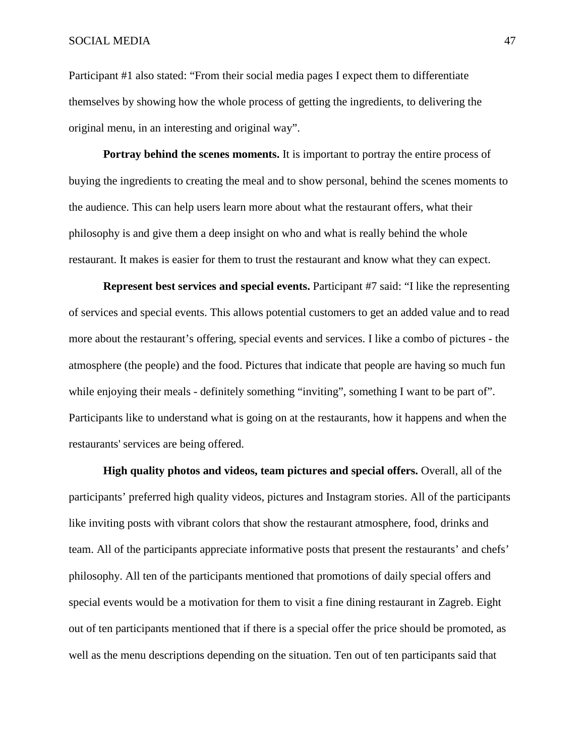Participant #1 also stated: "From their social media pages I expect them to differentiate themselves by showing how the whole process of getting the ingredients, to delivering the original menu, in an interesting and original way".

**Portray behind the scenes moments.** It is important to portray the entire process of buying the ingredients to creating the meal and to show personal, behind the scenes moments to the audience. This can help users learn more about what the restaurant offers, what their philosophy is and give them a deep insight on who and what is really behind the whole restaurant. It makes is easier for them to trust the restaurant and know what they can expect.

**Represent best services and special events.** Participant #7 said: "I like the representing of services and special events. This allows potential customers to get an added value and to read more about the restaurant's offering, special events and services. I like a combo of pictures - the atmosphere (the people) and the food. Pictures that indicate that people are having so much fun while enjoying their meals - definitely something "inviting", something I want to be part of". Participants like to understand what is going on at the restaurants, how it happens and when the restaurants' services are being offered.

**High quality photos and videos, team pictures and special offers.** Overall, all of the participants' preferred high quality videos, pictures and Instagram stories. All of the participants like inviting posts with vibrant colors that show the restaurant atmosphere, food, drinks and team. All of the participants appreciate informative posts that present the restaurants' and chefs' philosophy. All ten of the participants mentioned that promotions of daily special offers and special events would be a motivation for them to visit a fine dining restaurant in Zagreb. Eight out of ten participants mentioned that if there is a special offer the price should be promoted, as well as the menu descriptions depending on the situation. Ten out of ten participants said that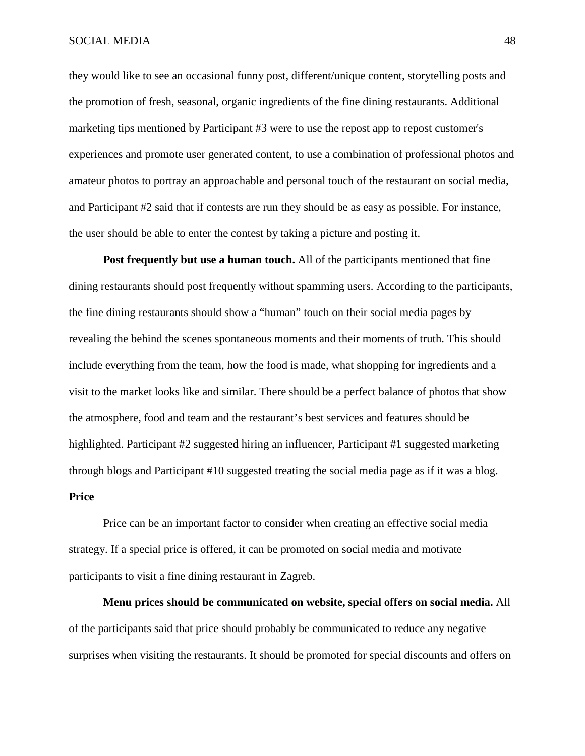they would like to see an occasional funny post, different/unique content, storytelling posts and the promotion of fresh, seasonal, organic ingredients of the fine dining restaurants. Additional marketing tips mentioned by Participant #3 were to use the repost app to repost customer's experiences and promote user generated content, to use a combination of professional photos and amateur photos to portray an approachable and personal touch of the restaurant on social media, and Participant #2 said that if contests are run they should be as easy as possible. For instance, the user should be able to enter the contest by taking a picture and posting it.

**Post frequently but use a human touch.** All of the participants mentioned that fine dining restaurants should post frequently without spamming users. According to the participants, the fine dining restaurants should show a "human" touch on their social media pages by revealing the behind the scenes spontaneous moments and their moments of truth. This should include everything from the team, how the food is made, what shopping for ingredients and a visit to the market looks like and similar. There should be a perfect balance of photos that show the atmosphere, food and team and the restaurant's best services and features should be highlighted. Participant #2 suggested hiring an influencer, Participant #1 suggested marketing through blogs and Participant #10 suggested treating the social media page as if it was a blog. **Price**

Price can be an important factor to consider when creating an effective social media strategy. If a special price is offered, it can be promoted on social media and motivate participants to visit a fine dining restaurant in Zagreb.

**Menu prices should be communicated on website, special offers on social media.** All of the participants said that price should probably be communicated to reduce any negative surprises when visiting the restaurants. It should be promoted for special discounts and offers on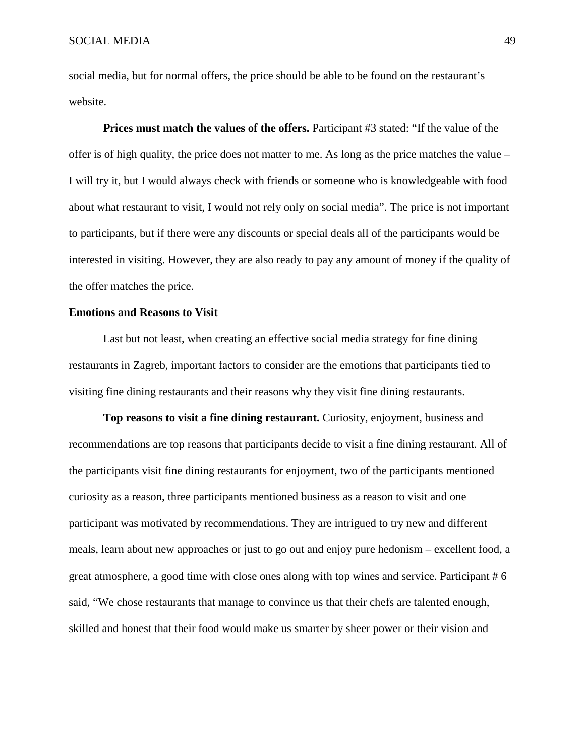social media, but for normal offers, the price should be able to be found on the restaurant's website.

**Prices must match the values of the offers.** Participant #3 stated: "If the value of the offer is of high quality, the price does not matter to me. As long as the price matches the value – I will try it, but I would always check with friends or someone who is knowledgeable with food about what restaurant to visit, I would not rely only on social media". The price is not important to participants, but if there were any discounts or special deals all of the participants would be interested in visiting. However, they are also ready to pay any amount of money if the quality of the offer matches the price.

#### **Emotions and Reasons to Visit**

Last but not least, when creating an effective social media strategy for fine dining restaurants in Zagreb, important factors to consider are the emotions that participants tied to visiting fine dining restaurants and their reasons why they visit fine dining restaurants.

**Top reasons to visit a fine dining restaurant.** Curiosity, enjoyment, business and recommendations are top reasons that participants decide to visit a fine dining restaurant. All of the participants visit fine dining restaurants for enjoyment, two of the participants mentioned curiosity as a reason, three participants mentioned business as a reason to visit and one participant was motivated by recommendations. They are intrigued to try new and different meals, learn about new approaches or just to go out and enjoy pure hedonism – excellent food, a great atmosphere, a good time with close ones along with top wines and service. Participant # 6 said, "We chose restaurants that manage to convince us that their chefs are talented enough, skilled and honest that their food would make us smarter by sheer power or their vision and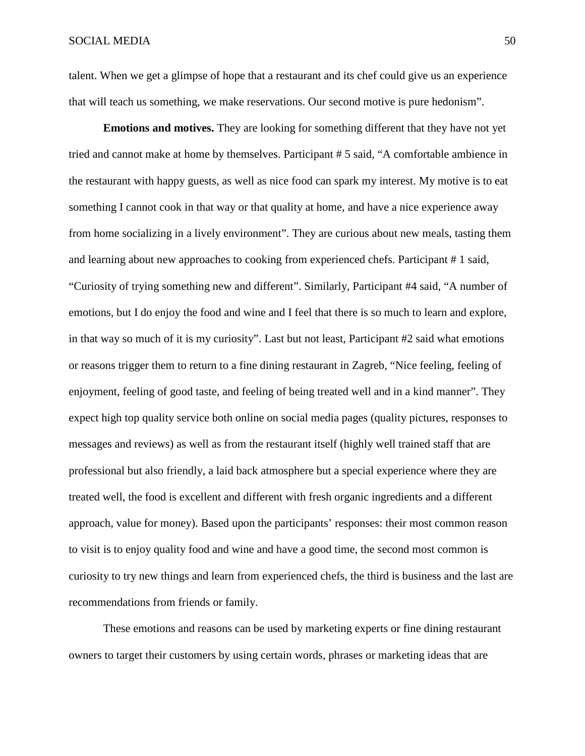talent. When we get a glimpse of hope that a restaurant and its chef could give us an experience that will teach us something, we make reservations. Our second motive is pure hedonism".

**Emotions and motives.** They are looking for something different that they have not yet tried and cannot make at home by themselves. Participant # 5 said, "A comfortable ambience in the restaurant with happy guests, as well as nice food can spark my interest. My motive is to eat something I cannot cook in that way or that quality at home, and have a nice experience away from home socializing in a lively environment". They are curious about new meals, tasting them and learning about new approaches to cooking from experienced chefs. Participant # 1 said, "Curiosity of trying something new and different". Similarly, Participant #4 said, "A number of emotions, but I do enjoy the food and wine and I feel that there is so much to learn and explore, in that way so much of it is my curiosity". Last but not least, Participant #2 said what emotions or reasons trigger them to return to a fine dining restaurant in Zagreb, "Nice feeling, feeling of enjoyment, feeling of good taste, and feeling of being treated well and in a kind manner". They expect high top quality service both online on social media pages (quality pictures, responses to messages and reviews) as well as from the restaurant itself (highly well trained staff that are professional but also friendly, a laid back atmosphere but a special experience where they are treated well, the food is excellent and different with fresh organic ingredients and a different approach, value for money). Based upon the participants' responses: their most common reason to visit is to enjoy quality food and wine and have a good time, the second most common is curiosity to try new things and learn from experienced chefs, the third is business and the last are recommendations from friends or family.

These emotions and reasons can be used by marketing experts or fine dining restaurant owners to target their customers by using certain words, phrases or marketing ideas that are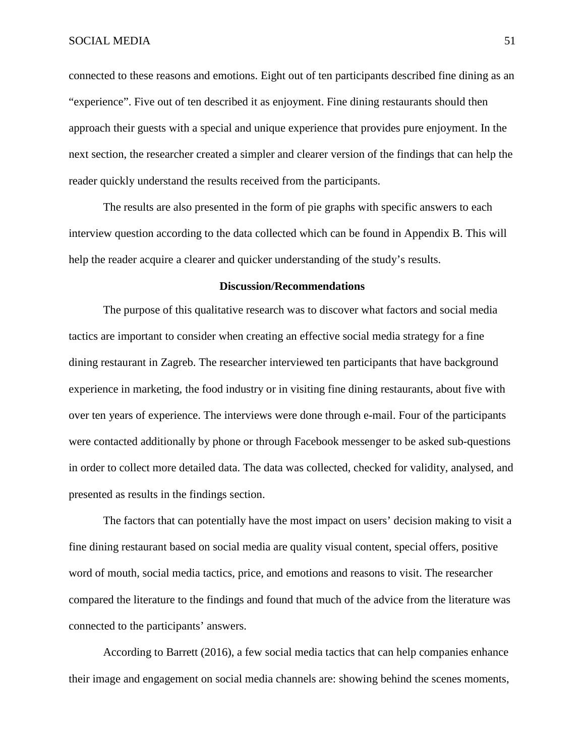connected to these reasons and emotions. Eight out of ten participants described fine dining as an "experience". Five out of ten described it as enjoyment. Fine dining restaurants should then approach their guests with a special and unique experience that provides pure enjoyment. In the next section, the researcher created a simpler and clearer version of the findings that can help the reader quickly understand the results received from the participants.

The results are also presented in the form of pie graphs with specific answers to each interview question according to the data collected which can be found in Appendix B. This will help the reader acquire a clearer and quicker understanding of the study's results.

#### **Discussion/Recommendations**

The purpose of this qualitative research was to discover what factors and social media tactics are important to consider when creating an effective social media strategy for a fine dining restaurant in Zagreb. The researcher interviewed ten participants that have background experience in marketing, the food industry or in visiting fine dining restaurants, about five with over ten years of experience. The interviews were done through e-mail. Four of the participants were contacted additionally by phone or through Facebook messenger to be asked sub-questions in order to collect more detailed data. The data was collected, checked for validity, analysed, and presented as results in the findings section.

The factors that can potentially have the most impact on users' decision making to visit a fine dining restaurant based on social media are quality visual content, special offers, positive word of mouth, social media tactics, price, and emotions and reasons to visit. The researcher compared the literature to the findings and found that much of the advice from the literature was connected to the participants' answers.

According to Barrett (2016), a few social media tactics that can help companies enhance their image and engagement on social media channels are: showing behind the scenes moments,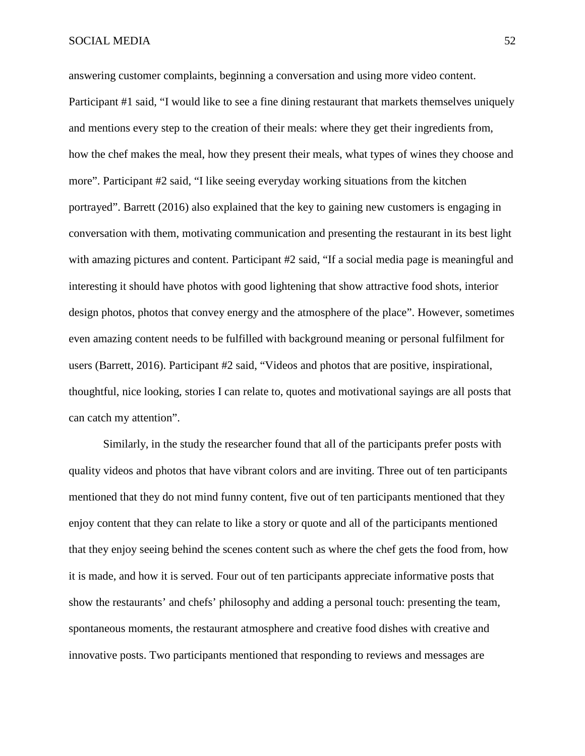#### SOCIAL MEDIA 52

answering customer complaints, beginning a conversation and using more video content. Participant #1 said, "I would like to see a fine dining restaurant that markets themselves uniquely and mentions every step to the creation of their meals: where they get their ingredients from, how the chef makes the meal, how they present their meals, what types of wines they choose and more". Participant #2 said, "I like seeing everyday working situations from the kitchen portrayed". Barrett (2016) also explained that the key to gaining new customers is engaging in conversation with them, motivating communication and presenting the restaurant in its best light with amazing pictures and content. Participant #2 said, "If a social media page is meaningful and interesting it should have photos with good lightening that show attractive food shots, interior design photos, photos that convey energy and the atmosphere of the place". However, sometimes even amazing content needs to be fulfilled with background meaning or personal fulfilment for users (Barrett, 2016). Participant #2 said, "Videos and photos that are positive, inspirational, thoughtful, nice looking, stories I can relate to, quotes and motivational sayings are all posts that can catch my attention".

Similarly, in the study the researcher found that all of the participants prefer posts with quality videos and photos that have vibrant colors and are inviting. Three out of ten participants mentioned that they do not mind funny content, five out of ten participants mentioned that they enjoy content that they can relate to like a story or quote and all of the participants mentioned that they enjoy seeing behind the scenes content such as where the chef gets the food from, how it is made, and how it is served. Four out of ten participants appreciate informative posts that show the restaurants' and chefs' philosophy and adding a personal touch: presenting the team, spontaneous moments, the restaurant atmosphere and creative food dishes with creative and innovative posts. Two participants mentioned that responding to reviews and messages are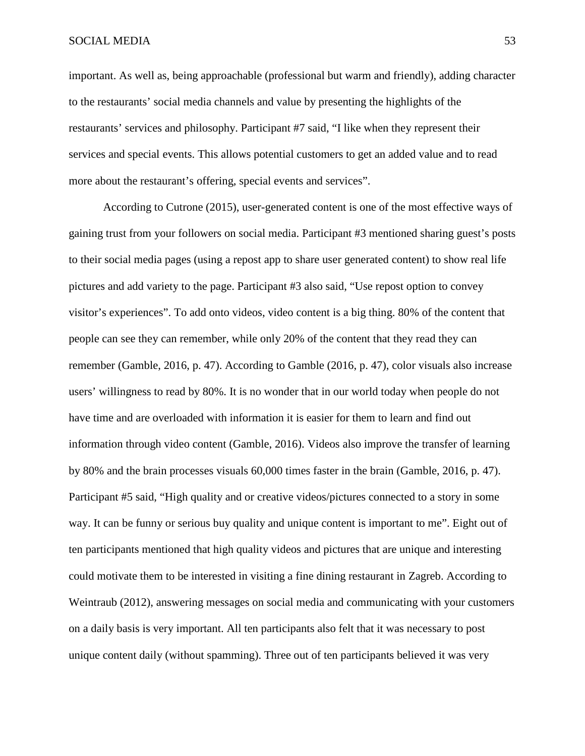#### SOCIAL MEDIA 53

important. As well as, being approachable (professional but warm and friendly), adding character to the restaurants' social media channels and value by presenting the highlights of the restaurants' services and philosophy. Participant #7 said, "I like when they represent their services and special events. This allows potential customers to get an added value and to read more about the restaurant's offering, special events and services".

According to Cutrone (2015), user-generated content is one of the most effective ways of gaining trust from your followers on social media. Participant #3 mentioned sharing guest's posts to their social media pages (using a repost app to share user generated content) to show real life pictures and add variety to the page. Participant #3 also said, "Use repost option to convey visitor's experiences". To add onto videos, video content is a big thing. 80% of the content that people can see they can remember, while only 20% of the content that they read they can remember (Gamble, 2016, p. 47). According to Gamble (2016, p. 47), color visuals also increase users' willingness to read by 80%. It is no wonder that in our world today when people do not have time and are overloaded with information it is easier for them to learn and find out information through video content (Gamble, 2016). Videos also improve the transfer of learning by 80% and the brain processes visuals 60,000 times faster in the brain (Gamble, 2016, p. 47). Participant #5 said, "High quality and or creative videos/pictures connected to a story in some way. It can be funny or serious buy quality and unique content is important to me". Eight out of ten participants mentioned that high quality videos and pictures that are unique and interesting could motivate them to be interested in visiting a fine dining restaurant in Zagreb. According to Weintraub (2012), answering messages on social media and communicating with your customers on a daily basis is very important. All ten participants also felt that it was necessary to post unique content daily (without spamming). Three out of ten participants believed it was very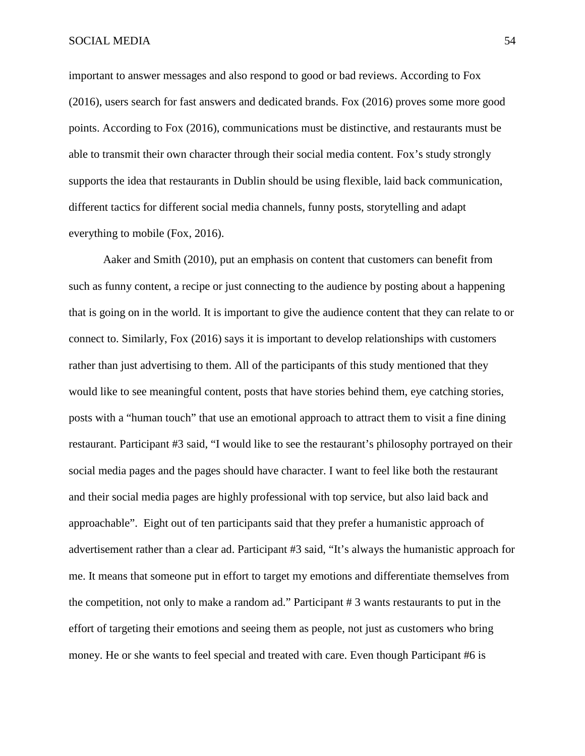important to answer messages and also respond to good or bad reviews. According to Fox (2016), users search for fast answers and dedicated brands. Fox (2016) proves some more good points. According to Fox (2016), communications must be distinctive, and restaurants must be able to transmit their own character through their social media content. Fox's study strongly supports the idea that restaurants in Dublin should be using flexible, laid back communication, different tactics for different social media channels, funny posts, storytelling and adapt everything to mobile (Fox, 2016).

Aaker and Smith (2010), put an emphasis on content that customers can benefit from such as funny content, a recipe or just connecting to the audience by posting about a happening that is going on in the world. It is important to give the audience content that they can relate to or connect to. Similarly, Fox (2016) says it is important to develop relationships with customers rather than just advertising to them. All of the participants of this study mentioned that they would like to see meaningful content, posts that have stories behind them, eye catching stories, posts with a "human touch" that use an emotional approach to attract them to visit a fine dining restaurant. Participant #3 said, "I would like to see the restaurant's philosophy portrayed on their social media pages and the pages should have character. I want to feel like both the restaurant and their social media pages are highly professional with top service, but also laid back and approachable". Eight out of ten participants said that they prefer a humanistic approach of advertisement rather than a clear ad. Participant #3 said, "It's always the humanistic approach for me. It means that someone put in effort to target my emotions and differentiate themselves from the competition, not only to make a random ad." Participant # 3 wants restaurants to put in the effort of targeting their emotions and seeing them as people, not just as customers who bring money. He or she wants to feel special and treated with care. Even though Participant #6 is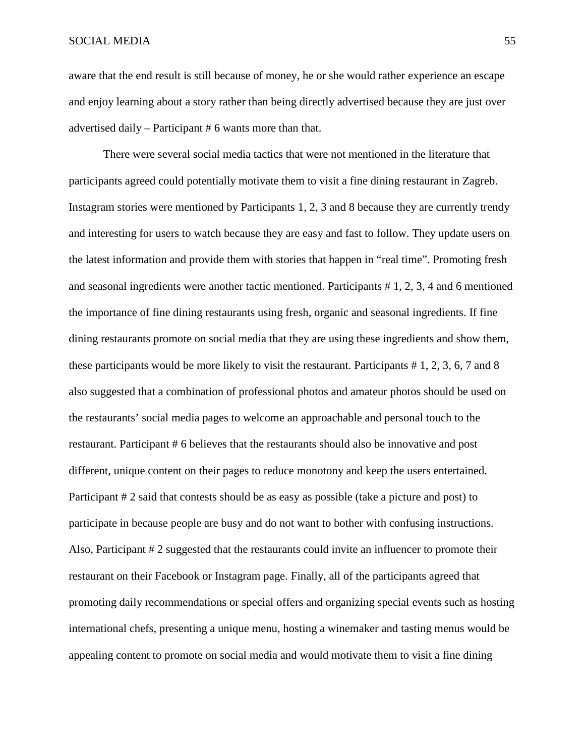#### SOCIAL MEDIA 55

aware that the end result is still because of money, he or she would rather experience an escape and enjoy learning about a story rather than being directly advertised because they are just over advertised daily – Participant # 6 wants more than that.

There were several social media tactics that were not mentioned in the literature that participants agreed could potentially motivate them to visit a fine dining restaurant in Zagreb. Instagram stories were mentioned by Participants 1, 2, 3 and 8 because they are currently trendy and interesting for users to watch because they are easy and fast to follow. They update users on the latest information and provide them with stories that happen in "real time". Promoting fresh and seasonal ingredients were another tactic mentioned. Participants # 1, 2, 3, 4 and 6 mentioned the importance of fine dining restaurants using fresh, organic and seasonal ingredients. If fine dining restaurants promote on social media that they are using these ingredients and show them, these participants would be more likely to visit the restaurant. Participants # 1, 2, 3, 6, 7 and 8 also suggested that a combination of professional photos and amateur photos should be used on the restaurants' social media pages to welcome an approachable and personal touch to the restaurant. Participant # 6 believes that the restaurants should also be innovative and post different, unique content on their pages to reduce monotony and keep the users entertained. Participant # 2 said that contests should be as easy as possible (take a picture and post) to participate in because people are busy and do not want to bother with confusing instructions. Also, Participant # 2 suggested that the restaurants could invite an influencer to promote their restaurant on their Facebook or Instagram page. Finally, all of the participants agreed that promoting daily recommendations or special offers and organizing special events such as hosting international chefs, presenting a unique menu, hosting a winemaker and tasting menus would be appealing content to promote on social media and would motivate them to visit a fine dining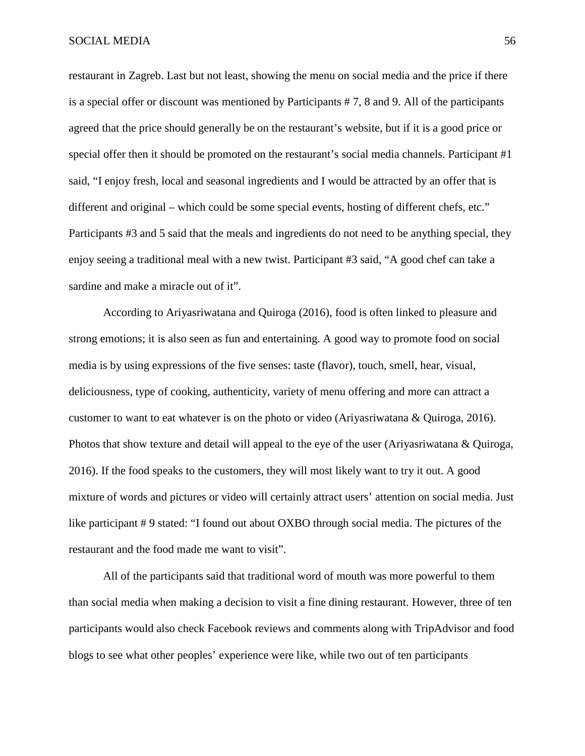restaurant in Zagreb. Last but not least, showing the menu on social media and the price if there is a special offer or discount was mentioned by Participants # 7, 8 and 9. All of the participants agreed that the price should generally be on the restaurant's website, but if it is a good price or special offer then it should be promoted on the restaurant's social media channels. Participant #1 said, "I enjoy fresh, local and seasonal ingredients and I would be attracted by an offer that is different and original – which could be some special events, hosting of different chefs, etc." Participants #3 and 5 said that the meals and ingredients do not need to be anything special, they enjoy seeing a traditional meal with a new twist. Participant #3 said, "A good chef can take a sardine and make a miracle out of it".

According to Ariyasriwatana and Quiroga (2016), food is often linked to pleasure and strong emotions; it is also seen as fun and entertaining. A good way to promote food on social media is by using expressions of the five senses: taste (flavor), touch, smell, hear, visual, deliciousness, type of cooking, authenticity, variety of menu offering and more can attract a customer to want to eat whatever is on the photo or video (Ariyasriwatana & Quiroga, 2016). Photos that show texture and detail will appeal to the eye of the user (Ariyasriwatana & Quiroga, 2016). If the food speaks to the customers, they will most likely want to try it out. A good mixture of words and pictures or video will certainly attract users' attention on social media. Just like participant #9 stated: "I found out about OXBO through social media. The pictures of the restaurant and the food made me want to visit".

All of the participants said that traditional word of mouth was more powerful to them than social media when making a decision to visit a fine dining restaurant. However, three of ten participants would also check Facebook reviews and comments along with TripAdvisor and food blogs to see what other peoples' experience were like, while two out of ten participants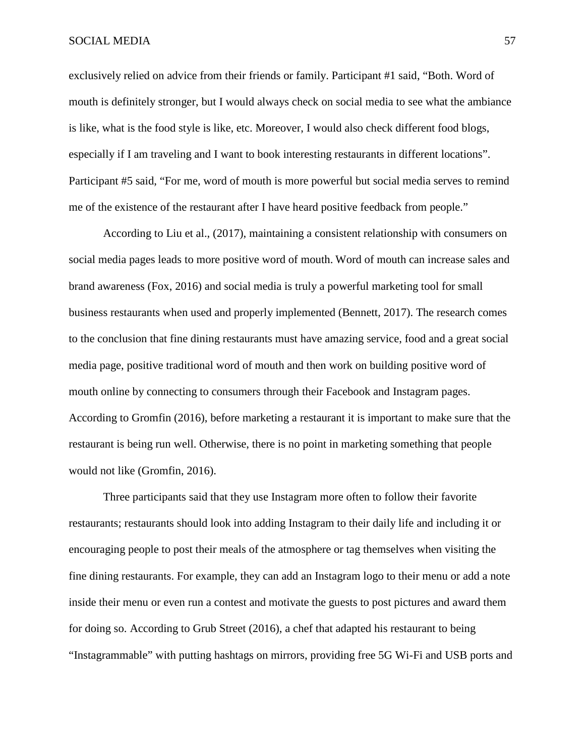#### SOCIAL MEDIA 57

exclusively relied on advice from their friends or family. Participant #1 said, "Both. Word of mouth is definitely stronger, but I would always check on social media to see what the ambiance is like, what is the food style is like, etc. Moreover, I would also check different food blogs, especially if I am traveling and I want to book interesting restaurants in different locations". Participant #5 said, "For me, word of mouth is more powerful but social media serves to remind me of the existence of the restaurant after I have heard positive feedback from people."

According to Liu et al., (2017), maintaining a consistent relationship with consumers on social media pages leads to more positive word of mouth. Word of mouth can increase sales and brand awareness (Fox, 2016) and social media is truly a powerful marketing tool for small business restaurants when used and properly implemented (Bennett, 2017). The research comes to the conclusion that fine dining restaurants must have amazing service, food and a great social media page, positive traditional word of mouth and then work on building positive word of mouth online by connecting to consumers through their Facebook and Instagram pages. According to Gromfin (2016), before marketing a restaurant it is important to make sure that the restaurant is being run well. Otherwise, there is no point in marketing something that people would not like (Gromfin, 2016).

Three participants said that they use Instagram more often to follow their favorite restaurants; restaurants should look into adding Instagram to their daily life and including it or encouraging people to post their meals of the atmosphere or tag themselves when visiting the fine dining restaurants. For example, they can add an Instagram logo to their menu or add a note inside their menu or even run a contest and motivate the guests to post pictures and award them for doing so. According to Grub Street (2016), a chef that adapted his restaurant to being "Instagrammable" with putting hashtags on mirrors, providing free 5G Wi-Fi and USB ports and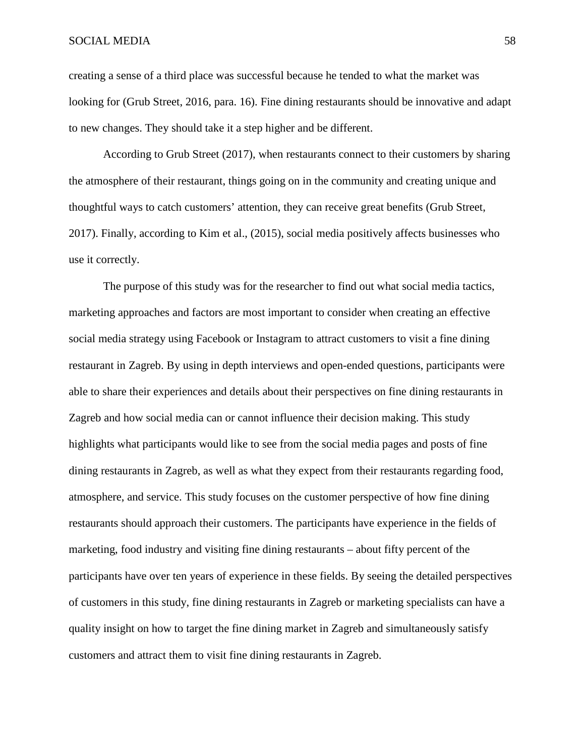creating a sense of a third place was successful because he tended to what the market was looking for (Grub Street, 2016, para. 16). Fine dining restaurants should be innovative and adapt to new changes. They should take it a step higher and be different.

According to Grub Street (2017), when restaurants connect to their customers by sharing the atmosphere of their restaurant, things going on in the community and creating unique and thoughtful ways to catch customers' attention, they can receive great benefits (Grub Street, 2017). Finally, according to Kim et al., (2015), social media positively affects businesses who use it correctly.

The purpose of this study was for the researcher to find out what social media tactics, marketing approaches and factors are most important to consider when creating an effective social media strategy using Facebook or Instagram to attract customers to visit a fine dining restaurant in Zagreb. By using in depth interviews and open-ended questions, participants were able to share their experiences and details about their perspectives on fine dining restaurants in Zagreb and how social media can or cannot influence their decision making. This study highlights what participants would like to see from the social media pages and posts of fine dining restaurants in Zagreb, as well as what they expect from their restaurants regarding food, atmosphere, and service. This study focuses on the customer perspective of how fine dining restaurants should approach their customers. The participants have experience in the fields of marketing, food industry and visiting fine dining restaurants – about fifty percent of the participants have over ten years of experience in these fields. By seeing the detailed perspectives of customers in this study, fine dining restaurants in Zagreb or marketing specialists can have a quality insight on how to target the fine dining market in Zagreb and simultaneously satisfy customers and attract them to visit fine dining restaurants in Zagreb.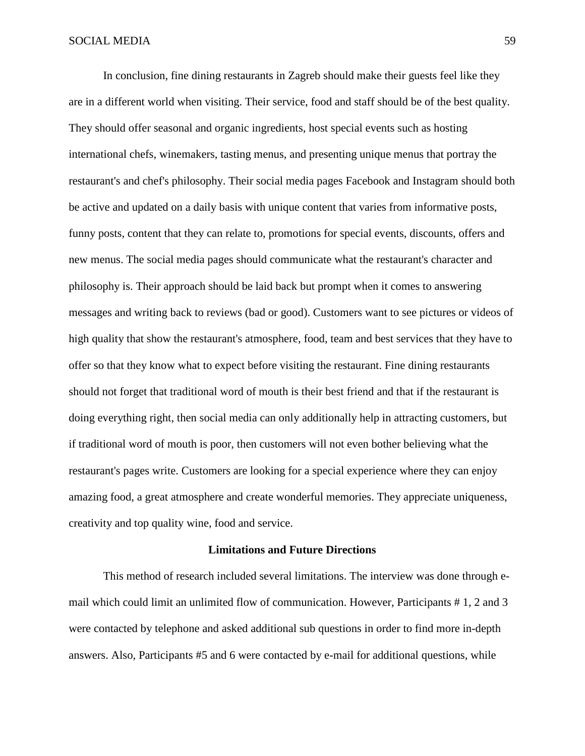In conclusion, fine dining restaurants in Zagreb should make their guests feel like they are in a different world when visiting. Their service, food and staff should be of the best quality. They should offer seasonal and organic ingredients, host special events such as hosting international chefs, winemakers, tasting menus, and presenting unique menus that portray the restaurant's and chef's philosophy. Their social media pages Facebook and Instagram should both be active and updated on a daily basis with unique content that varies from informative posts, funny posts, content that they can relate to, promotions for special events, discounts, offers and new menus. The social media pages should communicate what the restaurant's character and philosophy is. Their approach should be laid back but prompt when it comes to answering messages and writing back to reviews (bad or good). Customers want to see pictures or videos of high quality that show the restaurant's atmosphere, food, team and best services that they have to offer so that they know what to expect before visiting the restaurant. Fine dining restaurants should not forget that traditional word of mouth is their best friend and that if the restaurant is doing everything right, then social media can only additionally help in attracting customers, but if traditional word of mouth is poor, then customers will not even bother believing what the restaurant's pages write. Customers are looking for a special experience where they can enjoy amazing food, a great atmosphere and create wonderful memories. They appreciate uniqueness, creativity and top quality wine, food and service.

#### **Limitations and Future Directions**

This method of research included several limitations. The interview was done through email which could limit an unlimited flow of communication. However, Participants # 1, 2 and 3 were contacted by telephone and asked additional sub questions in order to find more in-depth answers. Also, Participants #5 and 6 were contacted by e-mail for additional questions, while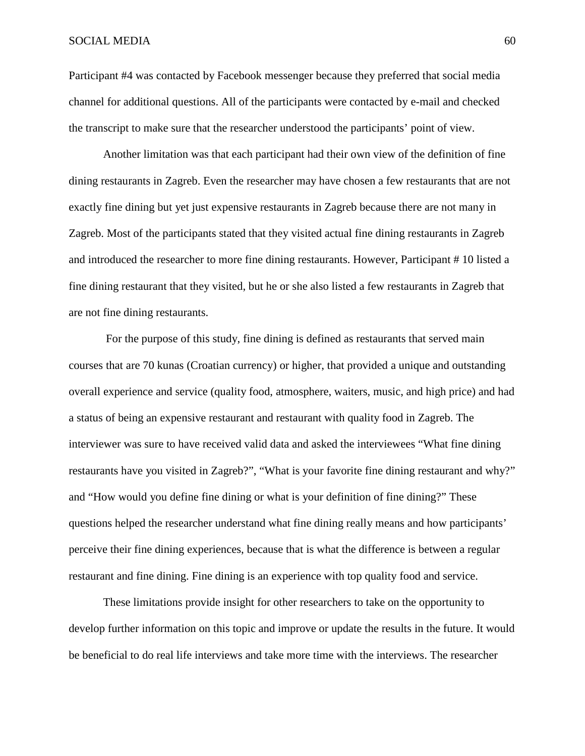#### SOCIAL MEDIA 60

Participant #4 was contacted by Facebook messenger because they preferred that social media channel for additional questions. All of the participants were contacted by e-mail and checked the transcript to make sure that the researcher understood the participants' point of view.

Another limitation was that each participant had their own view of the definition of fine dining restaurants in Zagreb. Even the researcher may have chosen a few restaurants that are not exactly fine dining but yet just expensive restaurants in Zagreb because there are not many in Zagreb. Most of the participants stated that they visited actual fine dining restaurants in Zagreb and introduced the researcher to more fine dining restaurants. However, Participant # 10 listed a fine dining restaurant that they visited, but he or she also listed a few restaurants in Zagreb that are not fine dining restaurants.

For the purpose of this study, fine dining is defined as restaurants that served main courses that are 70 kunas (Croatian currency) or higher, that provided a unique and outstanding overall experience and service (quality food, atmosphere, waiters, music, and high price) and had a status of being an expensive restaurant and restaurant with quality food in Zagreb. The interviewer was sure to have received valid data and asked the interviewees "What fine dining restaurants have you visited in Zagreb?", "What is your favorite fine dining restaurant and why?" and "How would you define fine dining or what is your definition of fine dining?" These questions helped the researcher understand what fine dining really means and how participants' perceive their fine dining experiences, because that is what the difference is between a regular restaurant and fine dining. Fine dining is an experience with top quality food and service.

These limitations provide insight for other researchers to take on the opportunity to develop further information on this topic and improve or update the results in the future. It would be beneficial to do real life interviews and take more time with the interviews. The researcher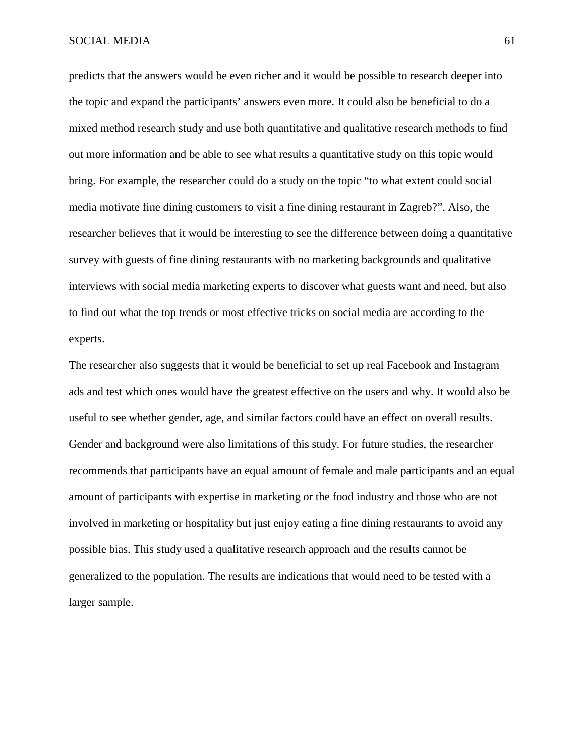predicts that the answers would be even richer and it would be possible to research deeper into the topic and expand the participants' answers even more. It could also be beneficial to do a mixed method research study and use both quantitative and qualitative research methods to find out more information and be able to see what results a quantitative study on this topic would bring. For example, the researcher could do a study on the topic "to what extent could social media motivate fine dining customers to visit a fine dining restaurant in Zagreb?". Also, the researcher believes that it would be interesting to see the difference between doing a quantitative survey with guests of fine dining restaurants with no marketing backgrounds and qualitative interviews with social media marketing experts to discover what guests want and need, but also to find out what the top trends or most effective tricks on social media are according to the experts.

The researcher also suggests that it would be beneficial to set up real Facebook and Instagram ads and test which ones would have the greatest effective on the users and why. It would also be useful to see whether gender, age, and similar factors could have an effect on overall results. Gender and background were also limitations of this study. For future studies, the researcher recommends that participants have an equal amount of female and male participants and an equal amount of participants with expertise in marketing or the food industry and those who are not involved in marketing or hospitality but just enjoy eating a fine dining restaurants to avoid any possible bias. This study used a qualitative research approach and the results cannot be generalized to the population. The results are indications that would need to be tested with a larger sample.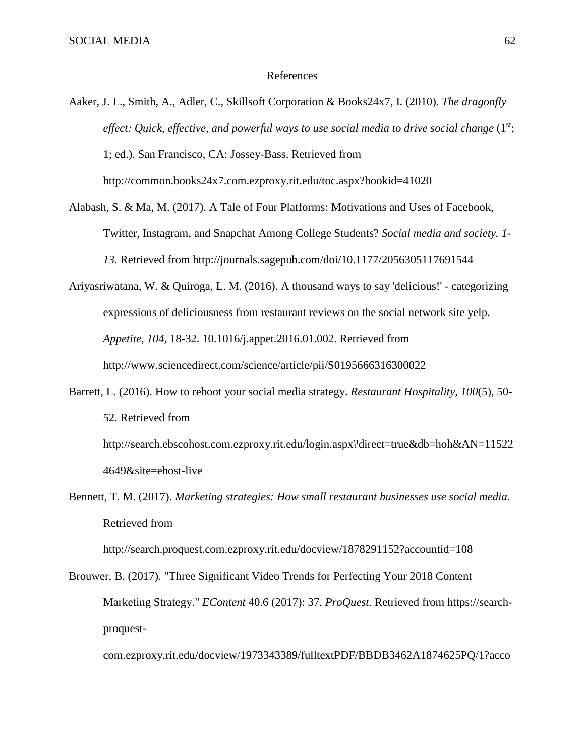4649&site=ehost-live

#### References

- Aaker, J. L., Smith, A., Adler, C., Skillsoft Corporation & Books24x7, I. (2010). *The dragonfly effect: Quick, effective, and powerful ways to use social media to drive social change* (1<sup>st</sup>; 1; ed.). San Francisco, CA: Jossey-Bass. Retrieved from http://common.books24x7.com.ezproxy.rit.edu/toc.aspx?bookid=41020
- Alabash, S. & Ma, M. (2017). A Tale of Four Platforms: Motivations and Uses of Facebook, Twitter, Instagram, and Snapchat Among College Students? *Social media and society. 1- 13.* Retrieved from http://journals.sagepub.com/doi/10.1177/2056305117691544
- Ariyasriwatana, W. & Quiroga, L. M. (2016). A thousand ways to say 'delicious!' categorizing expressions of deliciousness from restaurant reviews on the social network site yelp. *Appetite*, *104,* 18-32. 10.1016/j.appet.2016.01.002. Retrieved from http://www.sciencedirect.com/science/article/pii/S0195666316300022
- Barrett, L. (2016). How to reboot your social media strategy. *Restaurant Hospitality, 100*(5), 50- 52. Retrieved from http://search.ebscohost.com.ezproxy.rit.edu/login.aspx?direct=true&db=hoh&AN=11522
- Bennett, T. M. (2017). *Marketing strategies: How small restaurant businesses use social media*. Retrieved from

http://search.proquest.com.ezproxy.rit.edu/docview/1878291152?accountid=108

Brouwer, B. (2017). "Three Significant Video Trends for Perfecting Your 2018 Content Marketing Strategy." *EContent* 40.6 (2017): 37. *ProQuest.* Retrieved from https://searchproquest-

com.ezproxy.rit.edu/docview/1973343389/fulltextPDF/BBDB3462A1874625PQ/1?acco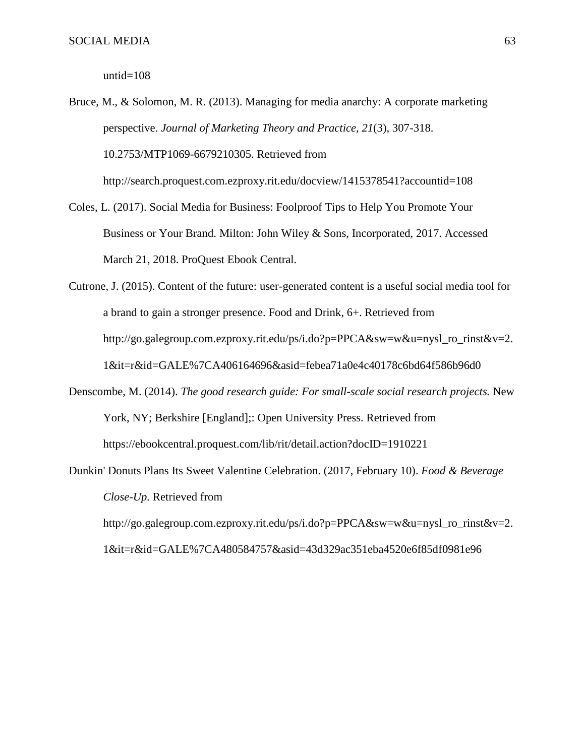untid=108

Bruce, M., & Solomon, M. R. (2013). Managing for media anarchy: A corporate marketing perspective. *Journal of Marketing Theory and Practice, 21*(3), 307-318. 10.2753/MTP1069-6679210305. Retrieved from http://search.proquest.com.ezproxy.rit.edu/docview/1415378541?accountid=108

Coles, L. (2017). Social Media for Business: Foolproof Tips to Help You Promote Your Business or Your Brand. Milton: John Wiley & Sons, Incorporated, 2017. Accessed

March 21, 2018. ProQuest Ebook Central.

- Cutrone, J. (2015). Content of the future: user-generated content is a useful social media tool for a brand to gain a stronger presence. Food and Drink, 6+. Retrieved from http://go.galegroup.com.ezproxy.rit.edu/ps/i.do?p=PPCA&sw=w&u=nysl\_ro\_rinst&v=2. 1&it=r&id=GALE%7CA406164696&asid=febea71a0e4c40178c6bd64f586b96d0
- Denscombe, M. (2014). *The good research guide: For small-scale social research projects.* New York, NY; Berkshire [England];: Open University Press. Retrieved from https://ebookcentral.proquest.com/lib/rit/detail.action?docID=1910221
- Dunkin' Donuts Plans Its Sweet Valentine Celebration. (2017, February 10). *Food & Beverage Close-Up.* Retrieved from http://go.galegroup.com.ezproxy.rit.edu/ps/i.do?p=PPCA&sw=w&u=nysl\_ro\_rinst&v=2. 1&it=r&id=GALE%7CA480584757&asid=43d329ac351eba4520e6f85df0981e96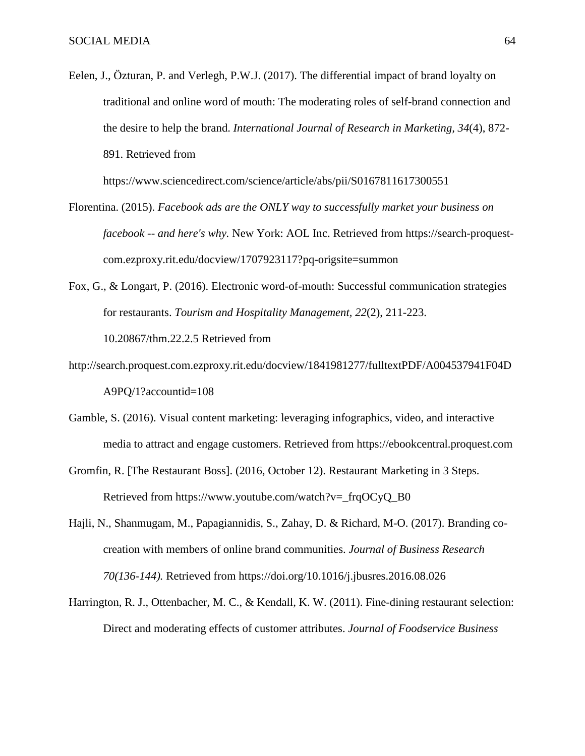Eelen, J., Özturan, P. and Verlegh, P.W.J. (2017). The differential impact of brand loyalty on traditional and online word of mouth: The moderating roles of self-brand connection and the desire to help the brand. *International Journal of Research in Marketing, 34*(4), 872- 891. Retrieved from

https://www.sciencedirect.com/science/article/abs/pii/S0167811617300551

- Florentina. (2015). *Facebook ads are the ONLY way to successfully market your business on facebook -- and here's why.* New York: AOL Inc. Retrieved from https://search-proquestcom.ezproxy.rit.edu/docview/1707923117?pq-origsite=summon
- Fox, G., & Longart, P. (2016). Electronic word-of-mouth: Successful communication strategies for restaurants. *Tourism and Hospitality Management, 22*(2), 211-223. 10.20867/thm.22.2.5 Retrieved from
- http://search.proquest.com.ezproxy.rit.edu/docview/1841981277/fulltextPDF/A004537941F04D A9PQ/1?accountid=108
- Gamble, S. (2016). Visual content marketing: leveraging infographics, video, and interactive media to attract and engage customers. Retrieved from [https://ebookcentral.proquest.com](https://ebookcentral.proquest.com/)
- Gromfin, R. [The Restaurant Boss]. (2016, October 12). Restaurant Marketing in 3 Steps. Retrieved from https://www.youtube.com/watch?v=\_frqOCyQ\_B0
- Hajli, N., Shanmugam, M., Papagiannidis, S., Zahay, D. & Richard, M-O. (2017). Branding cocreation with members of online brand communities. *Journal of Business Research 70(136-144).* Retrieved from https://doi.org/10.1016/j.jbusres.2016.08.026
- Harrington, R. J., Ottenbacher, M. C., & Kendall, K. W. (2011). Fine-dining restaurant selection: Direct and moderating effects of customer attributes. *Journal of Foodservice Business*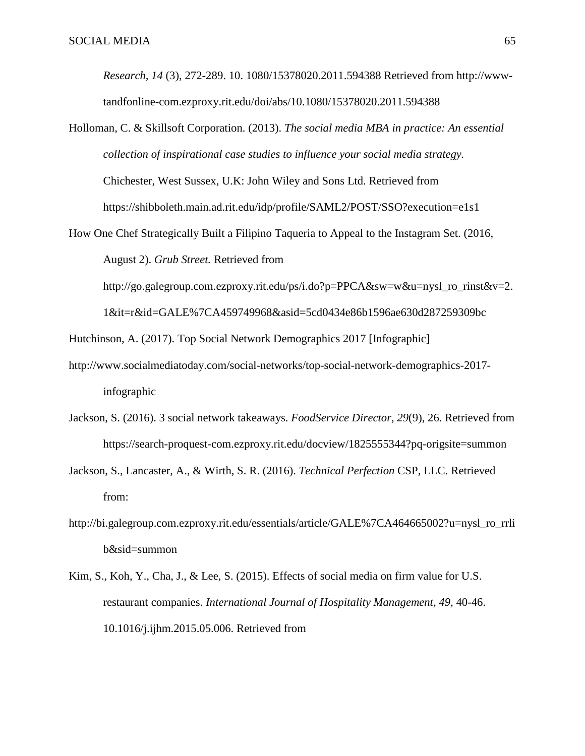*Research, 14* (3), 272-289. 10. 1080/15378020.2011.594388 Retrieved from http://wwwtandfonline-com.ezproxy.rit.edu/doi/abs/10.1080/15378020.2011.594388

- Holloman, C. & Skillsoft Corporation. (2013). *The social media MBA in practice: An essential collection of inspirational case studies to influence your social media strategy.*  Chichester, West Sussex, U.K: John Wiley and Sons Ltd. Retrieved from https://shibboleth.main.ad.rit.edu/idp/profile/SAML2/POST/SSO?execution=e1s1
- How One Chef Strategically Built a Filipino Taqueria to Appeal to the Instagram Set. (2016, August 2). *Grub Street.* Retrieved from

http://go.galegroup.com.ezproxy.rit.edu/ps/i.do?p=PPCA&sw=w&u=nysl\_ro\_rinst&v=2.

1&it=r&id=GALE%7CA459749968&asid=5cd0434e86b1596ae630d287259309bc

Hutchinson, A. (2017). Top Social Network Demographics 2017 [Infographic]

- http://www.socialmediatoday.com/social-networks/top-social-network-demographics-2017 infographic
- Jackson, S. (2016). 3 social network takeaways. *FoodService Director, 29*(9), 26. Retrieved from https://search-proquest-com.ezproxy.rit.edu/docview/1825555344?pq-origsite=summon
- Jackson, S., Lancaster, A., & Wirth, S. R. (2016). *Technical Perfection* CSP, LLC. Retrieved from:
- http://bi.galegroup.com.ezproxy.rit.edu/essentials/article/GALE%7CA464665002?u=nysl\_ro\_rrli b&sid=summon
- Kim, S., Koh, Y., Cha, J., & Lee, S. (2015). Effects of social media on firm value for U.S. restaurant companies. *International Journal of Hospitality Management, 49,* 40-46. 10.1016/j.ijhm.2015.05.006. Retrieved from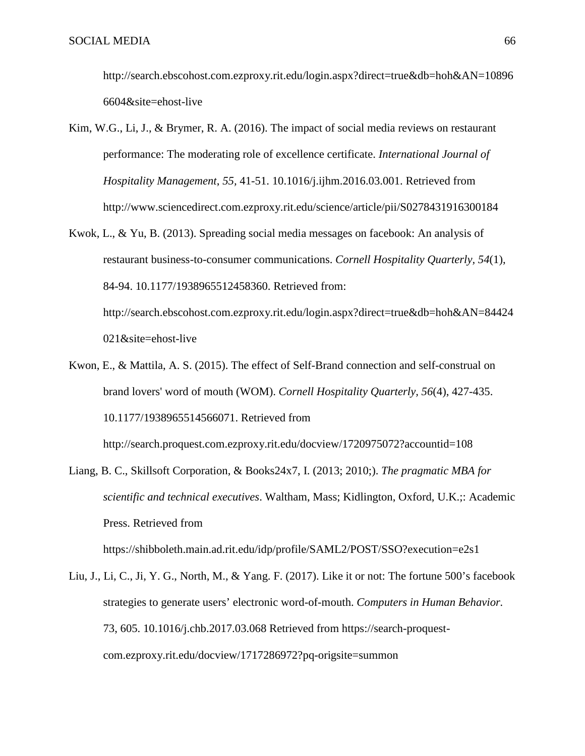http://search.ebscohost.com.ezproxy.rit.edu/login.aspx?direct=true&db=hoh&AN=10896 6604&site=ehost-live

- Kim, W.G., Li, J., & Brymer, R. A. (2016). The impact of social media reviews on restaurant performance: The moderating role of excellence certificate. *International Journal of Hospitality Management*, *55,* 41-51. 10.1016/j.ijhm.2016.03.001. Retrieved from http://www.sciencedirect.com.ezproxy.rit.edu/science/article/pii/S0278431916300184
- Kwok, L., & Yu, B. (2013). Spreading social media messages on facebook: An analysis of restaurant business-to-consumer communications. *Cornell Hospitality Quarterly, 54*(1), 84-94. 10.1177/1938965512458360. Retrieved from: http://search.ebscohost.com.ezproxy.rit.edu/login.aspx?direct=true&db=hoh&AN=84424

021&site=ehost-live

Kwon, E., & Mattila, A. S. (2015). The effect of Self-Brand connection and self-construal on brand lovers' word of mouth (WOM). *Cornell Hospitality Quarterly, 56*(4), 427-435. 10.1177/1938965514566071. Retrieved from

http://search.proquest.com.ezproxy.rit.edu/docview/1720975072?accountid=108

Liang, B. C., Skillsoft Corporation, & Books24x7, I. (2013; 2010;). *The pragmatic MBA for scientific and technical executives*. Waltham, Mass; Kidlington, Oxford, U.K.;: Academic Press. Retrieved from

https://shibboleth.main.ad.rit.edu/idp/profile/SAML2/POST/SSO?execution=e2s1

Liu, J., Li, C., Ji, Y. G., North, M., & Yang. F. (2017). Like it or not: The fortune 500's facebook strategies to generate users' electronic word-of-mouth. *Computers in Human Behavior.*  73, 605. 10.1016/j.chb.2017.03.068 Retrieved from https://search-proquestcom.ezproxy.rit.edu/docview/1717286972?pq-origsite=summon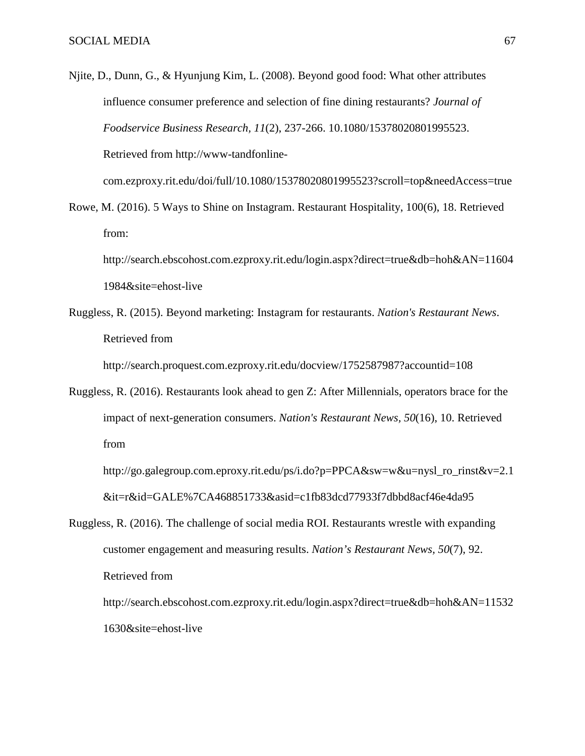Njite, D., Dunn, G., & Hyunjung Kim, L. (2008). Beyond good food: What other attributes influence consumer preference and selection of fine dining restaurants? *Journal of Foodservice Business Research, 11*(2), 237-266. 10.1080/15378020801995523. Retrieved from http://www-tandfonline-

com.ezproxy.rit.edu/doi/full/10.1080/15378020801995523?scroll=top&needAccess=true

Rowe, M. (2016). 5 Ways to Shine on Instagram. Restaurant Hospitality, 100(6), 18. Retrieved from:

http://search.ebscohost.com.ezproxy.rit.edu/login.aspx?direct=true&db=hoh&AN=11604 1984&site=ehost-live

Ruggless, R. (2015). Beyond marketing: Instagram for restaurants. *Nation's Restaurant News*. Retrieved from

http://search.proquest.com.ezproxy.rit.edu/docview/1752587987?accountid=108

Ruggless, R. (2016). Restaurants look ahead to gen Z: After Millennials, operators brace for the impact of next-generation consumers. *Nation's Restaurant News, 50*(16), 10. Retrieved from

http://go.galegroup.com.eproxy.rit.edu/ps/i.do?p=PPCA&sw=w&u=nysl\_ro\_rinst&v=2.1 &it=r&id=GALE%7CA468851733&asid=c1fb83dcd77933f7dbbd8acf46e4da95

Ruggless, R. (2016). The challenge of social media ROI. Restaurants wrestle with expanding customer engagement and measuring results. *Nation's Restaurant News, 50*(7), 92. Retrieved from

http://search.ebscohost.com.ezproxy.rit.edu/login.aspx?direct=true&db=hoh&AN=11532 1630&site=ehost-live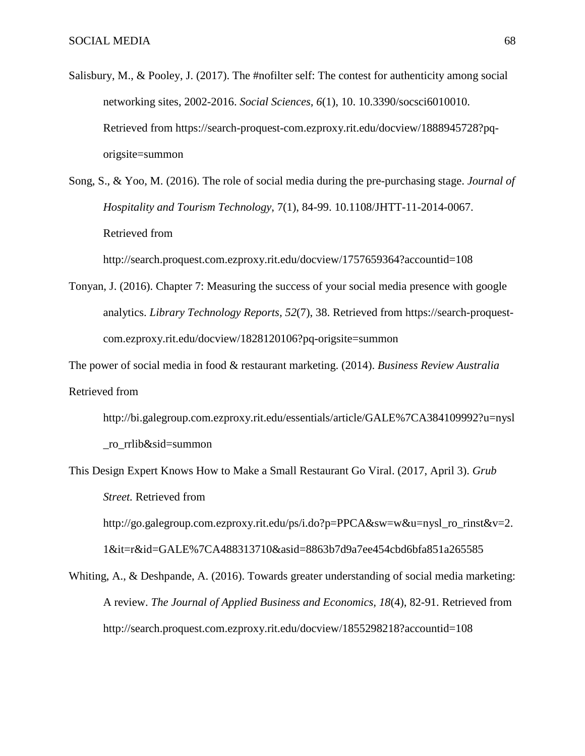- Salisbury, M., & Pooley, J. (2017). The #nofilter self: The contest for authenticity among social networking sites, 2002-2016. *Social Sciences, 6*(1), 10. 10.3390/socsci6010010. Retrieved from https://search-proquest-com.ezproxy.rit.edu/docview/1888945728?pqorigsite=summon
- Song, S., & Yoo, M. (2016). The role of social media during the pre-purchasing stage. *Journal of Hospitality and Tourism Technology*, 7(1), 84-99. 10.1108/JHTT-11-2014-0067. Retrieved from

http://search.proquest.com.ezproxy.rit.edu/docview/1757659364?accountid=108

Tonyan, J. (2016). Chapter 7: Measuring the success of your social media presence with google analytics. *Library Technology Reports, 52*(7), 38. Retrieved from https://search-proquestcom.ezproxy.rit.edu/docview/1828120106?pq-origsite=summon

The power of social media in food & restaurant marketing. (2014). *Business Review Australia* Retrieved from

http://bi.galegroup.com.ezproxy.rit.edu/essentials/article/GALE%7CA384109992?u=nysl \_ro\_rrlib&sid=summon

This Design Expert Knows How to Make a Small Restaurant Go Viral. (2017, April 3). *Grub Street.* Retrieved from

http://go.galegroup.com.ezproxy.rit.edu/ps/i.do?p=PPCA&sw=w&u=nysl\_ro\_rinst&v=2.

1&it=r&id=GALE%7CA488313710&asid=8863b7d9a7ee454cbd6bfa851a265585

Whiting, A., & Deshpande, A. (2016). Towards greater understanding of social media marketing: A review. *The Journal of Applied Business and Economics, 18*(4), 82-91. Retrieved from http://search.proquest.com.ezproxy.rit.edu/docview/1855298218?accountid=108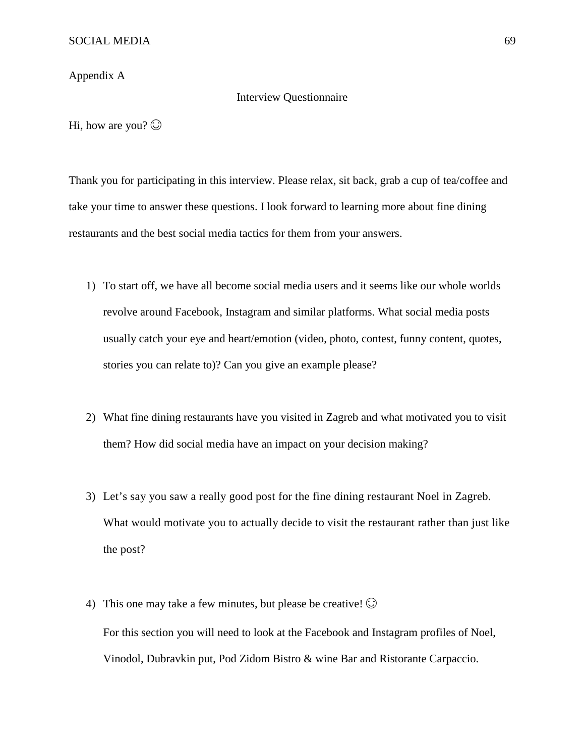Appendix A

#### Interview Questionnaire

Hi, how are you?  $\odot$ 

Thank you for participating in this interview. Please relax, sit back, grab a cup of tea/coffee and take your time to answer these questions. I look forward to learning more about fine dining restaurants and the best social media tactics for them from your answers.

- 1) To start off, we have all become social media users and it seems like our whole worlds revolve around Facebook, Instagram and similar platforms. What social media posts usually catch your eye and heart/emotion (video, photo, contest, funny content, quotes, stories you can relate to)? Can you give an example please?
- 2) What fine dining restaurants have you visited in Zagreb and what motivated you to visit them? How did social media have an impact on your decision making?
- 3) Let's say you saw a really good post for the fine dining restaurant Noel in Zagreb. What would motivate you to actually decide to visit the restaurant rather than just like the post?
- 4) This one may take a few minutes, but please be creative!  $\odot$ For this section you will need to look at the Facebook and Instagram profiles of Noel, Vinodol, Dubravkin put, Pod Zidom Bistro & wine Bar and Ristorante Carpaccio.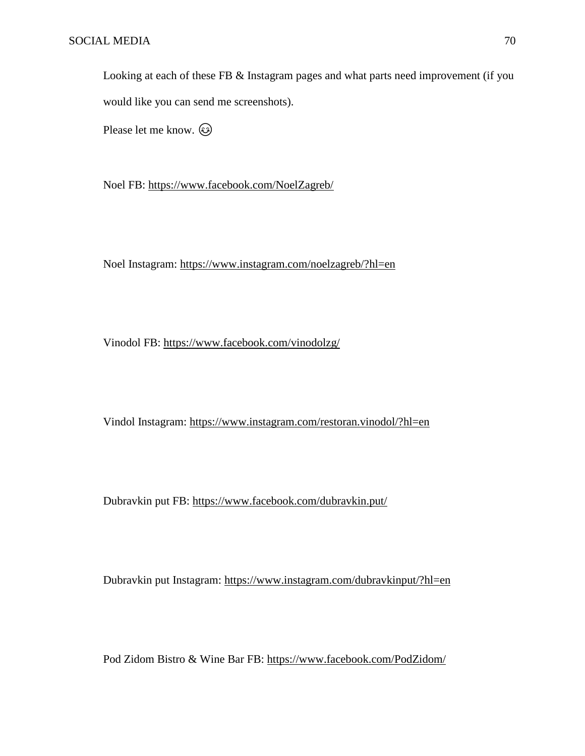Looking at each of these FB & Instagram pages and what parts need improvement (if you would like you can send me screenshots).

Please let me know.  $\circled{e}$ 

Noel FB:<https://www.facebook.com/NoelZagreb/>

Noel Instagram:<https://www.instagram.com/noelzagreb/?hl=en>

Vinodol FB:<https://www.facebook.com/vinodolzg/>

Vindol Instagram:<https://www.instagram.com/restoran.vinodol/?hl=en>

Dubravkin put FB:<https://www.facebook.com/dubravkin.put/>

Dubravkin put Instagram:<https://www.instagram.com/dubravkinput/?hl=en>

Pod Zidom Bistro & Wine Bar FB:<https://www.facebook.com/PodZidom/>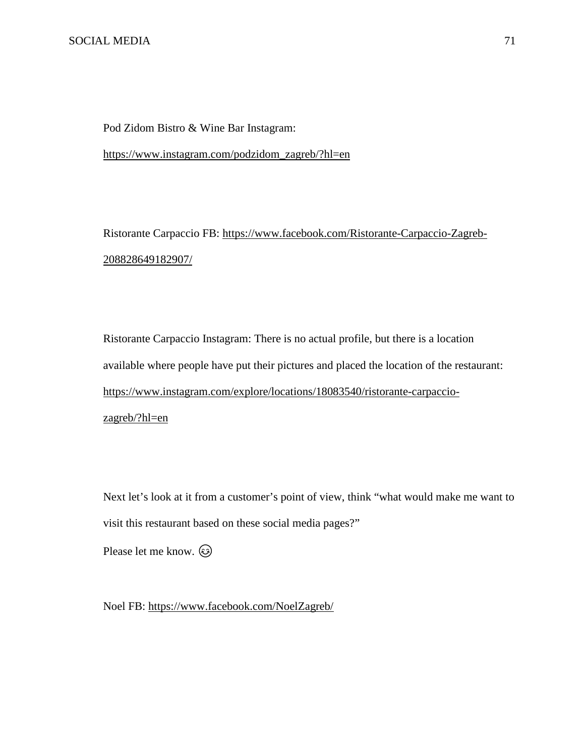Pod Zidom Bistro & Wine Bar Instagram:

[https://www.instagram.com/podzidom\\_zagreb/?hl=en](https://www.instagram.com/podzidom_zagreb/?hl=en)

Ristorante Carpaccio FB: [https://www.facebook.com/Ristorante-Carpaccio-Zagreb-](https://www.facebook.com/Ristorante-Carpaccio-Zagreb-208828649182907/)[208828649182907/](https://www.facebook.com/Ristorante-Carpaccio-Zagreb-208828649182907/)

Ristorante Carpaccio Instagram: There is no actual profile, but there is a location available where people have put their pictures and placed the location of the restaurant: [https://www.instagram.com/explore/locations/18083540/ristorante-carpaccio](https://www.instagram.com/explore/locations/18083540/ristorante-carpaccio-zagreb/?hl=en)[zagreb/?hl=en](https://www.instagram.com/explore/locations/18083540/ristorante-carpaccio-zagreb/?hl=en)

Next let's look at it from a customer's point of view, think "what would make me want to visit this restaurant based on these social media pages?"

Please let me know.  $\circled{e}$ 

Noel FB:<https://www.facebook.com/NoelZagreb/>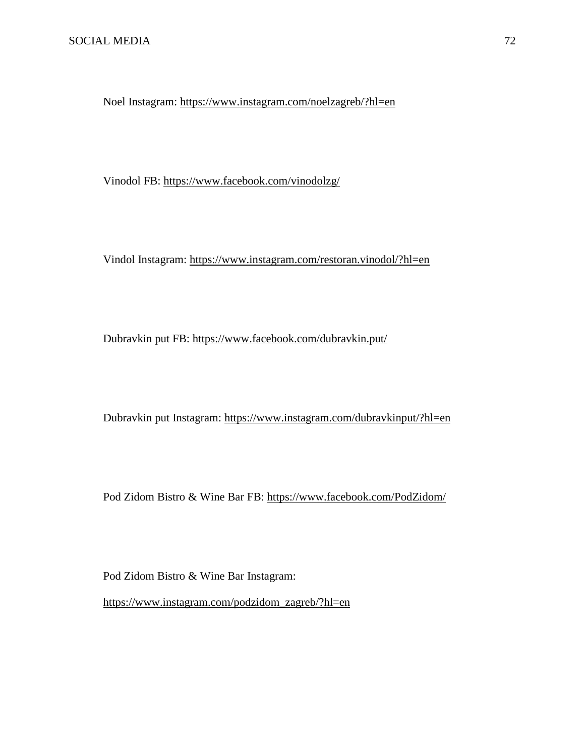Noel Instagram:<https://www.instagram.com/noelzagreb/?hl=en>

Vinodol FB:<https://www.facebook.com/vinodolzg/>

Vindol Instagram:<https://www.instagram.com/restoran.vinodol/?hl=en>

Dubravkin put FB:<https://www.facebook.com/dubravkin.put/>

Dubravkin put Instagram:<https://www.instagram.com/dubravkinput/?hl=en>

Pod Zidom Bistro & Wine Bar FB:<https://www.facebook.com/PodZidom/>

Pod Zidom Bistro & Wine Bar Instagram:

[https://www.instagram.com/podzidom\\_zagreb/?hl=en](https://www.instagram.com/podzidom_zagreb/?hl=en)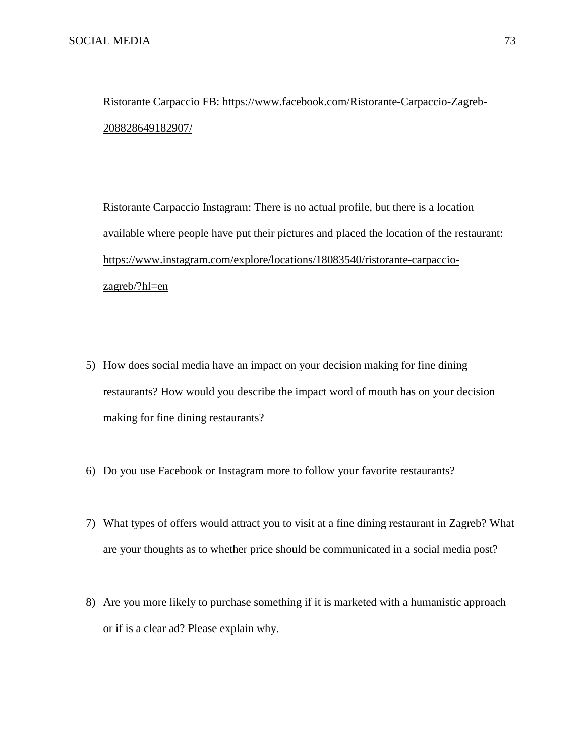Ristorante Carpaccio FB: [https://www.facebook.com/Ristorante-Carpaccio-Zagreb-](https://www.facebook.com/Ristorante-Carpaccio-Zagreb-208828649182907/)[208828649182907/](https://www.facebook.com/Ristorante-Carpaccio-Zagreb-208828649182907/)

Ristorante Carpaccio Instagram: There is no actual profile, but there is a location available where people have put their pictures and placed the location of the restaurant: [https://www.instagram.com/explore/locations/18083540/ristorante-carpaccio](https://www.instagram.com/explore/locations/18083540/ristorante-carpaccio-zagreb/?hl=en)[zagreb/?hl=en](https://www.instagram.com/explore/locations/18083540/ristorante-carpaccio-zagreb/?hl=en)

- 5) How does social media have an impact on your decision making for fine dining restaurants? How would you describe the impact word of mouth has on your decision making for fine dining restaurants?
- 6) Do you use Facebook or Instagram more to follow your favorite restaurants?
- 7) What types of offers would attract you to visit at a fine dining restaurant in Zagreb? What are your thoughts as to whether price should be communicated in a social media post?
- 8) Are you more likely to purchase something if it is marketed with a humanistic approach or if is a clear ad? Please explain why.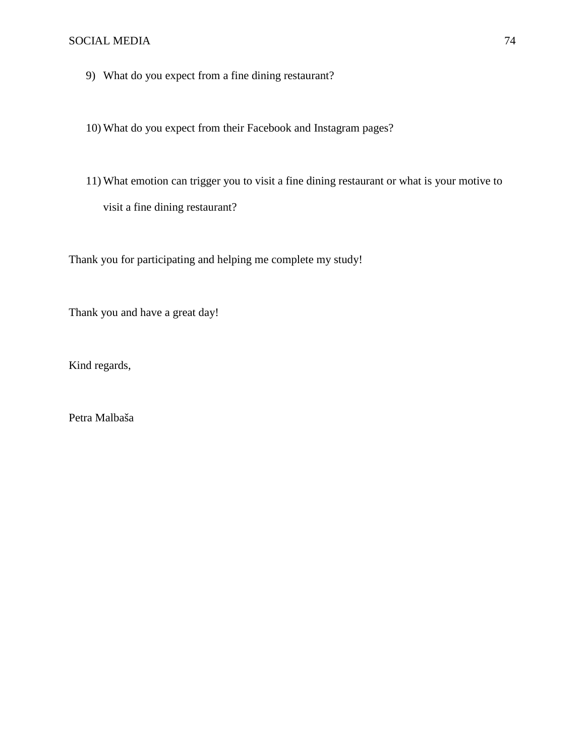9) What do you expect from a fine dining restaurant?

10) What do you expect from their Facebook and Instagram pages?

11) What emotion can trigger you to visit a fine dining restaurant or what is your motive to visit a fine dining restaurant?

Thank you for participating and helping me complete my study!

Thank you and have a great day!

Kind regards,

Petra Malbaša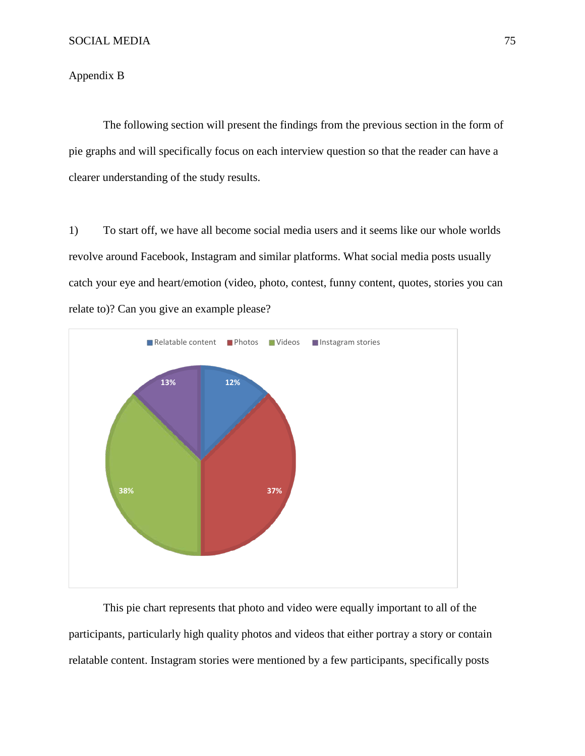## Appendix B

The following section will present the findings from the previous section in the form of pie graphs and will specifically focus on each interview question so that the reader can have a clearer understanding of the study results.

1) To start off, we have all become social media users and it seems like our whole worlds revolve around Facebook, Instagram and similar platforms. What social media posts usually catch your eye and heart/emotion (video, photo, contest, funny content, quotes, stories you can relate to)? Can you give an example please?



This pie chart represents that photo and video were equally important to all of the participants, particularly high quality photos and videos that either portray a story or contain relatable content. Instagram stories were mentioned by a few participants, specifically posts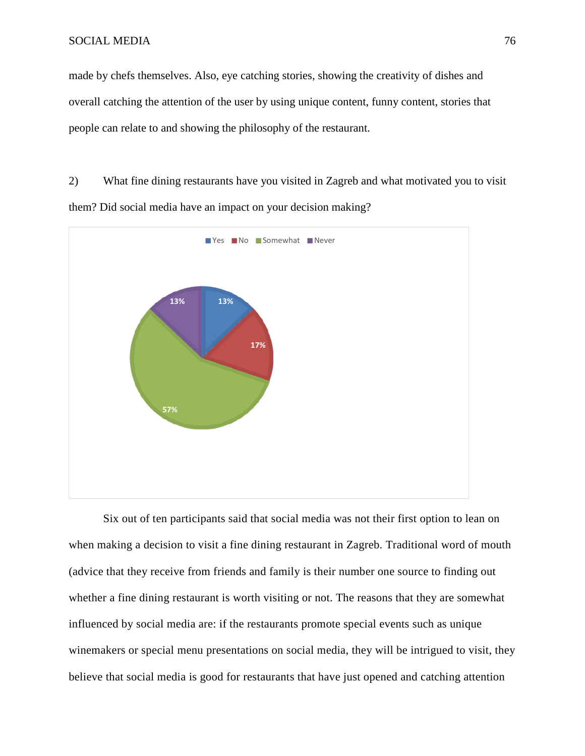made by chefs themselves. Also, eye catching stories, showing the creativity of dishes and overall catching the attention of the user by using unique content, funny content, stories that people can relate to and showing the philosophy of the restaurant.

2) What fine dining restaurants have you visited in Zagreb and what motivated you to visit them? Did social media have an impact on your decision making?



Six out of ten participants said that social media was not their first option to lean on when making a decision to visit a fine dining restaurant in Zagreb. Traditional word of mouth (advice that they receive from friends and family is their number one source to finding out whether a fine dining restaurant is worth visiting or not. The reasons that they are somewhat influenced by social media are: if the restaurants promote special events such as unique winemakers or special menu presentations on social media, they will be intrigued to visit, they believe that social media is good for restaurants that have just opened and catching attention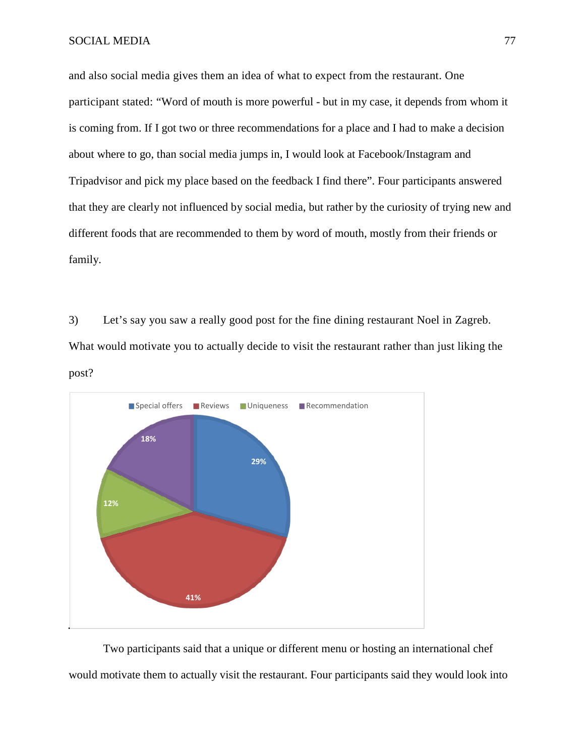and also social media gives them an idea of what to expect from the restaurant. One participant stated: "Word of mouth is more powerful - but in my case, it depends from whom it is coming from. If I got two or three recommendations for a place and I had to make a decision about where to go, than social media jumps in, I would look at Facebook/Instagram and Tripadvisor and pick my place based on the feedback I find there". Four participants answered that they are clearly not influenced by social media, but rather by the curiosity of trying new and different foods that are recommended to them by word of mouth, mostly from their friends or family.

3) Let's say you saw a really good post for the fine dining restaurant Noel in Zagreb. What would motivate you to actually decide to visit the restaurant rather than just liking the post?



Two participants said that a unique or different menu or hosting an international chef would motivate them to actually visit the restaurant. Four participants said they would look into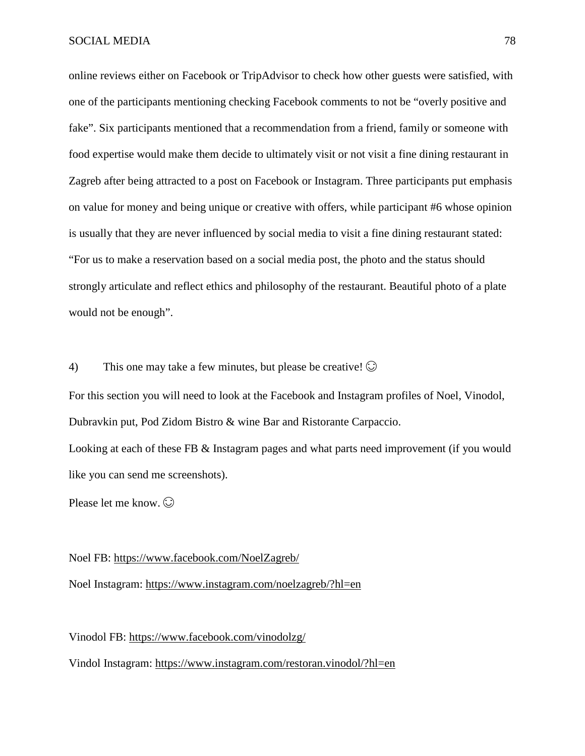online reviews either on Facebook or TripAdvisor to check how other guests were satisfied, with one of the participants mentioning checking Facebook comments to not be "overly positive and fake". Six participants mentioned that a recommendation from a friend, family or someone with food expertise would make them decide to ultimately visit or not visit a fine dining restaurant in Zagreb after being attracted to a post on Facebook or Instagram. Three participants put emphasis on value for money and being unique or creative with offers, while participant #6 whose opinion is usually that they are never influenced by social media to visit a fine dining restaurant stated: "For us to make a reservation based on a social media post, the photo and the status should strongly articulate and reflect ethics and philosophy of the restaurant. Beautiful photo of a plate would not be enough".

4) This one may take a few minutes, but please be creative!  $\odot$ 

For this section you will need to look at the Facebook and Instagram profiles of Noel, Vinodol, Dubravkin put, Pod Zidom Bistro & wine Bar and Ristorante Carpaccio.

Looking at each of these FB & Instagram pages and what parts need improvement (if you would like you can send me screenshots).

Please let me know.  $\odot$ 

Noel FB:<https://www.facebook.com/NoelZagreb/>

Noel Instagram:<https://www.instagram.com/noelzagreb/?hl=en>

Vinodol FB:<https://www.facebook.com/vinodolzg/>

Vindol Instagram:<https://www.instagram.com/restoran.vinodol/?hl=en>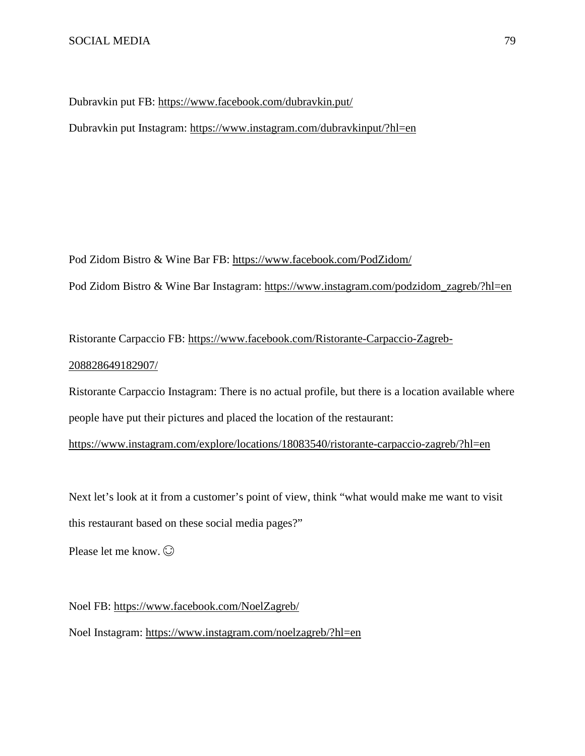Dubravkin put FB:<https://www.facebook.com/dubravkin.put/>

Dubravkin put Instagram:<https://www.instagram.com/dubravkinput/?hl=en>

Pod Zidom Bistro & Wine Bar FB:<https://www.facebook.com/PodZidom/> Pod Zidom Bistro & Wine Bar Instagram: [https://www.instagram.com/podzidom\\_zagreb/?hl=en](https://www.instagram.com/podzidom_zagreb/?hl=en)

Ristorante Carpaccio FB: [https://www.facebook.com/Ristorante-Carpaccio-Zagreb-](https://www.facebook.com/Ristorante-Carpaccio-Zagreb-208828649182907/)[208828649182907/](https://www.facebook.com/Ristorante-Carpaccio-Zagreb-208828649182907/)

Ristorante Carpaccio Instagram: There is no actual profile, but there is a location available where people have put their pictures and placed the location of the restaurant:

<https://www.instagram.com/explore/locations/18083540/ristorante-carpaccio-zagreb/?hl=en>

Next let's look at it from a customer's point of view, think "what would make me want to visit this restaurant based on these social media pages?"

Please let me know.  $\odot$ 

Noel FB:<https://www.facebook.com/NoelZagreb/> Noel Instagram:<https://www.instagram.com/noelzagreb/?hl=en>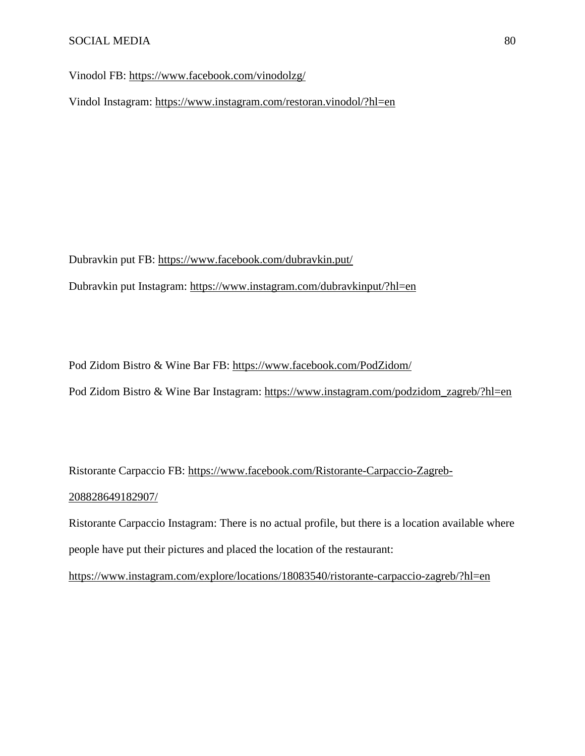Vinodol FB:<https://www.facebook.com/vinodolzg/>

Vindol Instagram:<https://www.instagram.com/restoran.vinodol/?hl=en>

Dubravkin put FB:<https://www.facebook.com/dubravkin.put/>

Dubravkin put Instagram:<https://www.instagram.com/dubravkinput/?hl=en>

Pod Zidom Bistro & Wine Bar FB:<https://www.facebook.com/PodZidom/>

Pod Zidom Bistro & Wine Bar Instagram: [https://www.instagram.com/podzidom\\_zagreb/?hl=en](https://www.instagram.com/podzidom_zagreb/?hl=en)

Ristorante Carpaccio FB: [https://www.facebook.com/Ristorante-Carpaccio-Zagreb-](https://www.facebook.com/Ristorante-Carpaccio-Zagreb-208828649182907/)[208828649182907/](https://www.facebook.com/Ristorante-Carpaccio-Zagreb-208828649182907/)

Ristorante Carpaccio Instagram: There is no actual profile, but there is a location available where people have put their pictures and placed the location of the restaurant:

<https://www.instagram.com/explore/locations/18083540/ristorante-carpaccio-zagreb/?hl=en>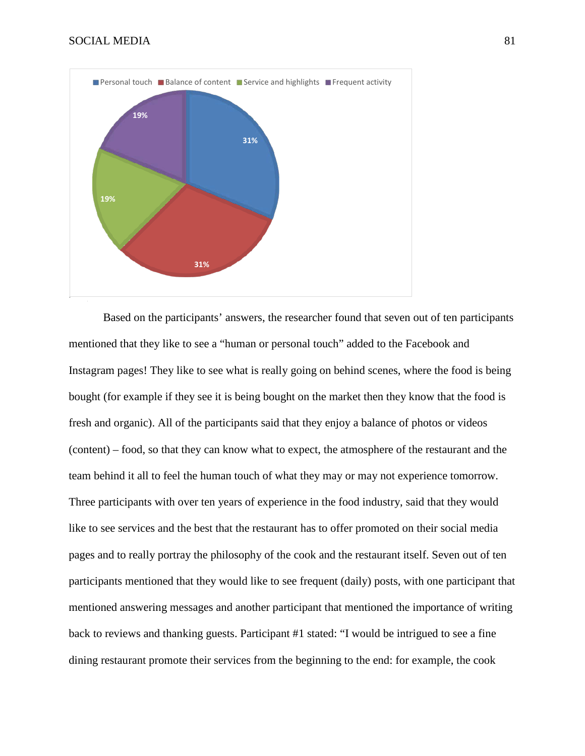

Based on the participants' answers, the researcher found that seven out of ten participants mentioned that they like to see a "human or personal touch" added to the Facebook and Instagram pages! They like to see what is really going on behind scenes, where the food is being bought (for example if they see it is being bought on the market then they know that the food is fresh and organic). All of the participants said that they enjoy a balance of photos or videos (content) – food, so that they can know what to expect, the atmosphere of the restaurant and the team behind it all to feel the human touch of what they may or may not experience tomorrow. Three participants with over ten years of experience in the food industry, said that they would like to see services and the best that the restaurant has to offer promoted on their social media pages and to really portray the philosophy of the cook and the restaurant itself. Seven out of ten participants mentioned that they would like to see frequent (daily) posts, with one participant that mentioned answering messages and another participant that mentioned the importance of writing back to reviews and thanking guests. Participant #1 stated: "I would be intrigued to see a fine dining restaurant promote their services from the beginning to the end: for example, the cook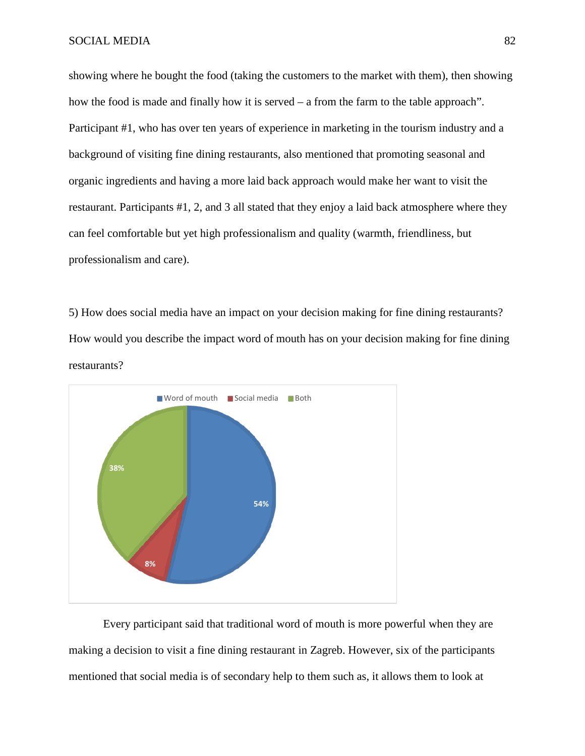showing where he bought the food (taking the customers to the market with them), then showing how the food is made and finally how it is served – a from the farm to the table approach". Participant #1, who has over ten years of experience in marketing in the tourism industry and a background of visiting fine dining restaurants, also mentioned that promoting seasonal and organic ingredients and having a more laid back approach would make her want to visit the restaurant. Participants #1, 2, and 3 all stated that they enjoy a laid back atmosphere where they can feel comfortable but yet high professionalism and quality (warmth, friendliness, but professionalism and care).

5) How does social media have an impact on your decision making for fine dining restaurants? How would you describe the impact word of mouth has on your decision making for fine dining restaurants?



Every participant said that traditional word of mouth is more powerful when they are making a decision to visit a fine dining restaurant in Zagreb. However, six of the participants mentioned that social media is of secondary help to them such as, it allows them to look at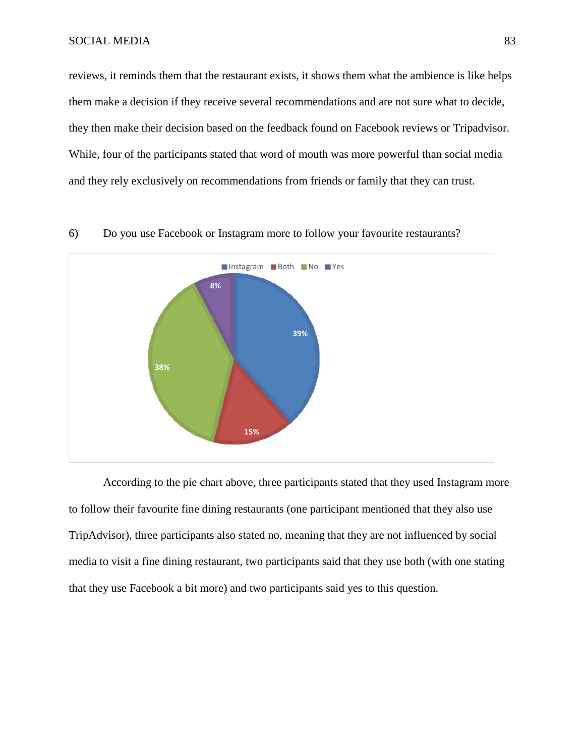reviews, it reminds them that the restaurant exists, it shows them what the ambience is like helps them make a decision if they receive several recommendations and are not sure what to decide, they then make their decision based on the feedback found on Facebook reviews or Tripadvisor. While, four of the participants stated that word of mouth was more powerful than social media and they rely exclusively on recommendations from friends or family that they can trust.



6) Do you use Facebook or Instagram more to follow your favourite restaurants?

According to the pie chart above, three participants stated that they used Instagram more to follow their favourite fine dining restaurants (one participant mentioned that they also use TripAdvisor), three participants also stated no, meaning that they are not influenced by social media to visit a fine dining restaurant, two participants said that they use both (with one stating that they use Facebook a bit more) and two participants said yes to this question.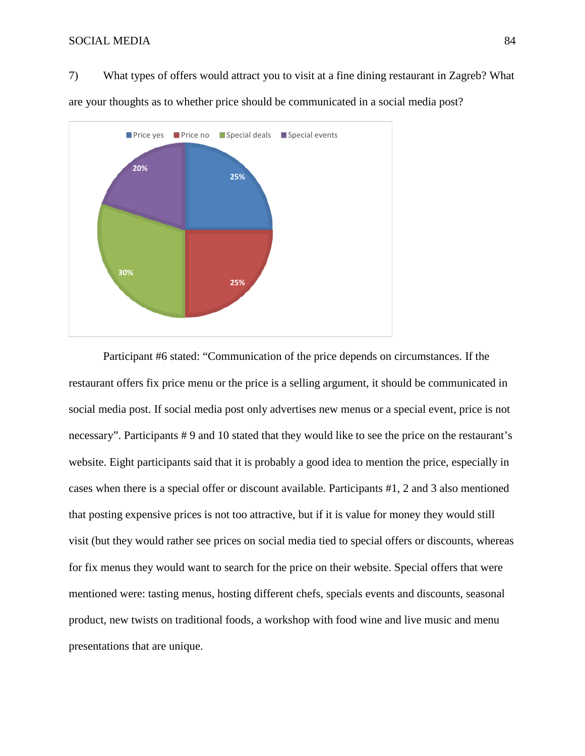7) What types of offers would attract you to visit at a fine dining restaurant in Zagreb? What are your thoughts as to whether price should be communicated in a social media post?



Participant #6 stated: "Communication of the price depends on circumstances. If the restaurant offers fix price menu or the price is a selling argument, it should be communicated in social media post. If social media post only advertises new menus or a special event, price is not necessary". Participants # 9 and 10 stated that they would like to see the price on the restaurant's website. Eight participants said that it is probably a good idea to mention the price, especially in cases when there is a special offer or discount available. Participants #1, 2 and 3 also mentioned that posting expensive prices is not too attractive, but if it is value for money they would still visit (but they would rather see prices on social media tied to special offers or discounts, whereas for fix menus they would want to search for the price on their website. Special offers that were mentioned were: tasting menus, hosting different chefs, specials events and discounts, seasonal product, new twists on traditional foods, a workshop with food wine and live music and menu presentations that are unique.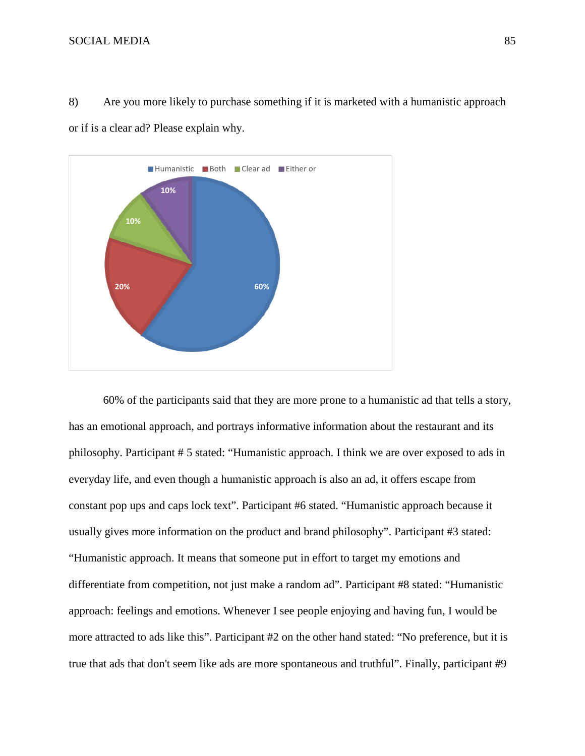



60% of the participants said that they are more prone to a humanistic ad that tells a story, has an emotional approach, and portrays informative information about the restaurant and its philosophy. Participant # 5 stated: "Humanistic approach. I think we are over exposed to ads in everyday life, and even though a humanistic approach is also an ad, it offers escape from constant pop ups and caps lock text". Participant #6 stated. "Humanistic approach because it usually gives more information on the product and brand philosophy". Participant #3 stated: "Humanistic approach. It means that someone put in effort to target my emotions and differentiate from competition, not just make a random ad". Participant #8 stated: "Humanistic approach: feelings and emotions. Whenever I see people enjoying and having fun, I would be more attracted to ads like this". Participant #2 on the other hand stated: "No preference, but it is true that ads that don't seem like ads are more spontaneous and truthful". Finally, participant #9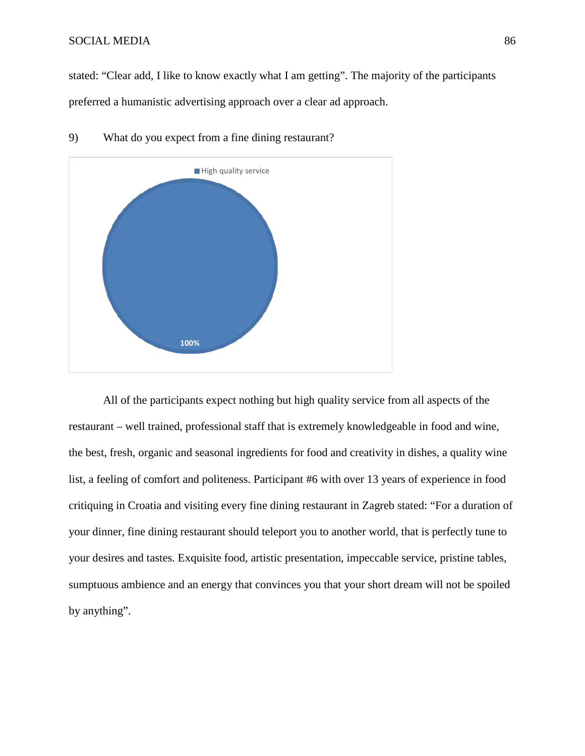stated: "Clear add, I like to know exactly what I am getting". The majority of the participants preferred a humanistic advertising approach over a clear ad approach.



## 9) What do you expect from a fine dining restaurant?

All of the participants expect nothing but high quality service from all aspects of the restaurant – well trained, professional staff that is extremely knowledgeable in food and wine, the best, fresh, organic and seasonal ingredients for food and creativity in dishes, a quality wine list, a feeling of comfort and politeness. Participant #6 with over 13 years of experience in food critiquing in Croatia and visiting every fine dining restaurant in Zagreb stated: "For a duration of your dinner, fine dining restaurant should teleport you to another world, that is perfectly tune to your desires and tastes. Exquisite food, artistic presentation, impeccable service, pristine tables, sumptuous ambience and an energy that convinces you that your short dream will not be spoiled by anything".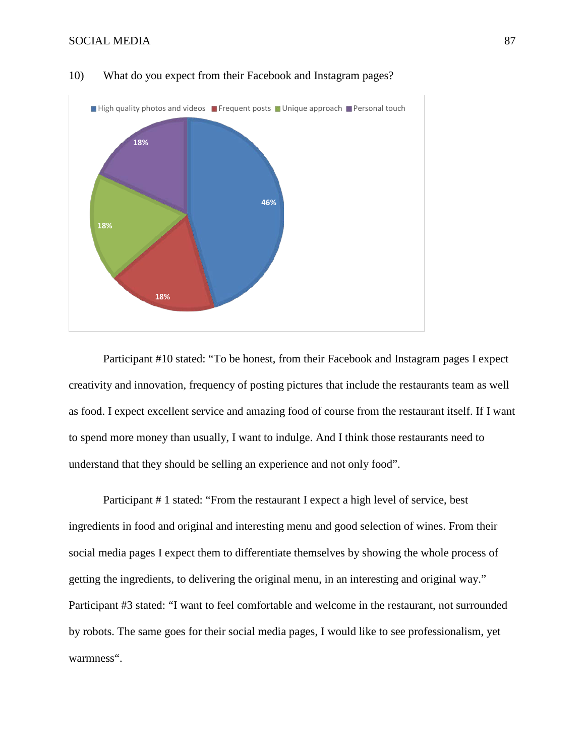

#### 10) What do you expect from their Facebook and Instagram pages?

Participant #10 stated: "To be honest, from their Facebook and Instagram pages I expect creativity and innovation, frequency of posting pictures that include the restaurants team as well as food. I expect excellent service and amazing food of course from the restaurant itself. If I want to spend more money than usually, I want to indulge. And I think those restaurants need to understand that they should be selling an experience and not only food".

Participant # 1 stated: "From the restaurant I expect a high level of service, best ingredients in food and original and interesting menu and good selection of wines. From their social media pages I expect them to differentiate themselves by showing the whole process of getting the ingredients, to delivering the original menu, in an interesting and original way." Participant #3 stated: "I want to feel comfortable and welcome in the restaurant, not surrounded by robots. The same goes for their social media pages, I would like to see professionalism, yet warmness".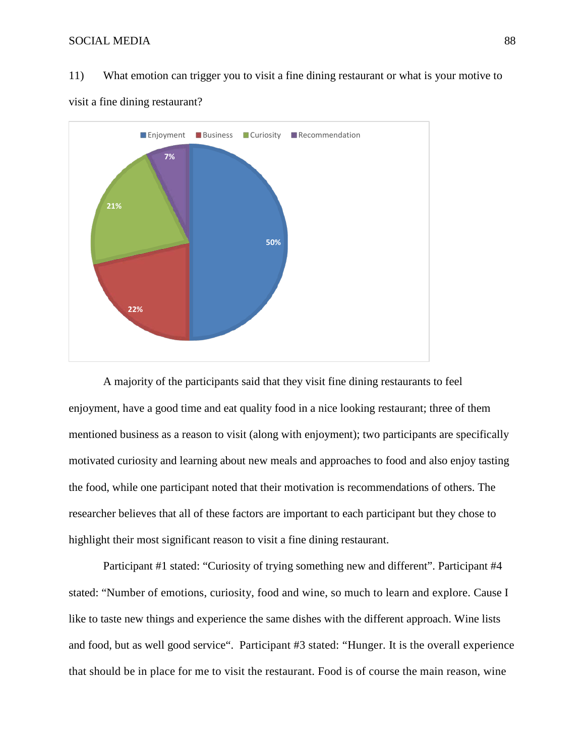11) What emotion can trigger you to visit a fine dining restaurant or what is your motive to



visit a fine dining restaurant?

A majority of the participants said that they visit fine dining restaurants to feel enjoyment, have a good time and eat quality food in a nice looking restaurant; three of them mentioned business as a reason to visit (along with enjoyment); two participants are specifically motivated curiosity and learning about new meals and approaches to food and also enjoy tasting the food, while one participant noted that their motivation is recommendations of others. The researcher believes that all of these factors are important to each participant but they chose to highlight their most significant reason to visit a fine dining restaurant.

Participant #1 stated: "Curiosity of trying something new and different". Participant #4 stated: "Number of emotions, curiosity, food and wine, so much to learn and explore. Cause I like to taste new things and experience the same dishes with the different approach. Wine lists and food, but as well good service". Participant #3 stated: "Hunger. It is the overall experience that should be in place for me to visit the restaurant. Food is of course the main reason, wine